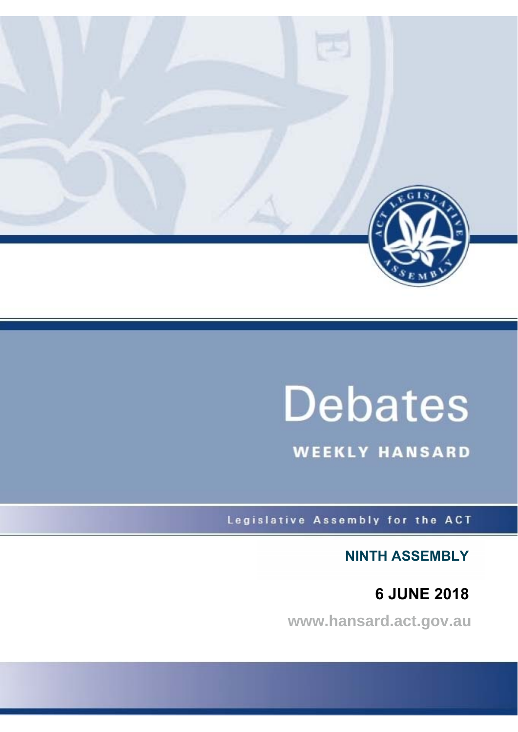

# **Debates**

**WEEKLY HANSARD** 

Legislative Assembly for the ACT

**NINTH ASSEMBLY**

**6 JUNE 2018**

**www.hansard.act.gov.au**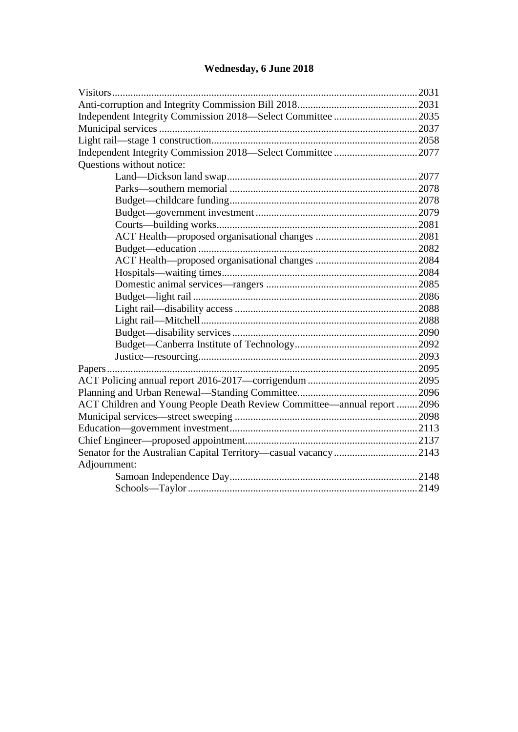## **[Wednesday, 6 June 2018](#page-2-0)**

| Questions without notice:                                               |  |
|-------------------------------------------------------------------------|--|
|                                                                         |  |
|                                                                         |  |
|                                                                         |  |
|                                                                         |  |
|                                                                         |  |
|                                                                         |  |
|                                                                         |  |
|                                                                         |  |
|                                                                         |  |
|                                                                         |  |
|                                                                         |  |
|                                                                         |  |
|                                                                         |  |
|                                                                         |  |
|                                                                         |  |
|                                                                         |  |
|                                                                         |  |
|                                                                         |  |
|                                                                         |  |
| ACT Children and Young People Death Review Committee—annual report 2096 |  |
|                                                                         |  |
|                                                                         |  |
|                                                                         |  |
|                                                                         |  |
| Adjournment:                                                            |  |
|                                                                         |  |
|                                                                         |  |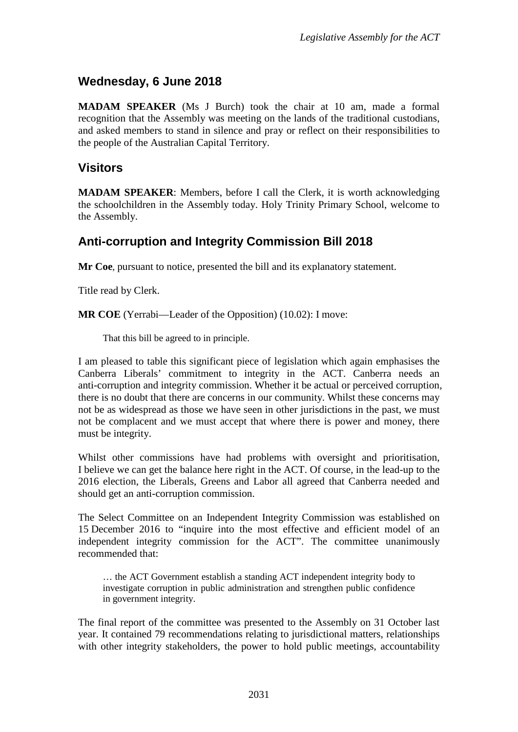## <span id="page-2-0"></span>**Wednesday, 6 June 2018**

**MADAM SPEAKER** (Ms J Burch) took the chair at 10 am, made a formal recognition that the Assembly was meeting on the lands of the traditional custodians, and asked members to stand in silence and pray or reflect on their responsibilities to the people of the Australian Capital Territory.

### <span id="page-2-1"></span>**Visitors**

**MADAM SPEAKER**: Members, before I call the Clerk, it is worth acknowledging the schoolchildren in the Assembly today. Holy Trinity Primary School, welcome to the Assembly.

## <span id="page-2-2"></span>**Anti-corruption and Integrity Commission Bill 2018**

**Mr Coe**, pursuant to notice, presented the bill and its explanatory statement.

Title read by Clerk.

**MR COE** (Yerrabi—Leader of the Opposition) (10.02): I move:

That this bill be agreed to in principle.

I am pleased to table this significant piece of legislation which again emphasises the Canberra Liberals' commitment to integrity in the ACT. Canberra needs an anti-corruption and integrity commission. Whether it be actual or perceived corruption, there is no doubt that there are concerns in our community. Whilst these concerns may not be as widespread as those we have seen in other jurisdictions in the past, we must not be complacent and we must accept that where there is power and money, there must be integrity.

Whilst other commissions have had problems with oversight and prioritisation, I believe we can get the balance here right in the ACT. Of course, in the lead-up to the 2016 election, the Liberals, Greens and Labor all agreed that Canberra needed and should get an anti-corruption commission.

The Select Committee on an Independent Integrity Commission was established on 15 December 2016 to "inquire into the most effective and efficient model of an independent integrity commission for the ACT". The committee unanimously recommended that:

… the ACT Government establish a standing ACT independent integrity body to investigate corruption in public administration and strengthen public confidence in government integrity.

The final report of the committee was presented to the Assembly on 31 October last year. It contained 79 recommendations relating to jurisdictional matters, relationships with other integrity stakeholders, the power to hold public meetings, accountability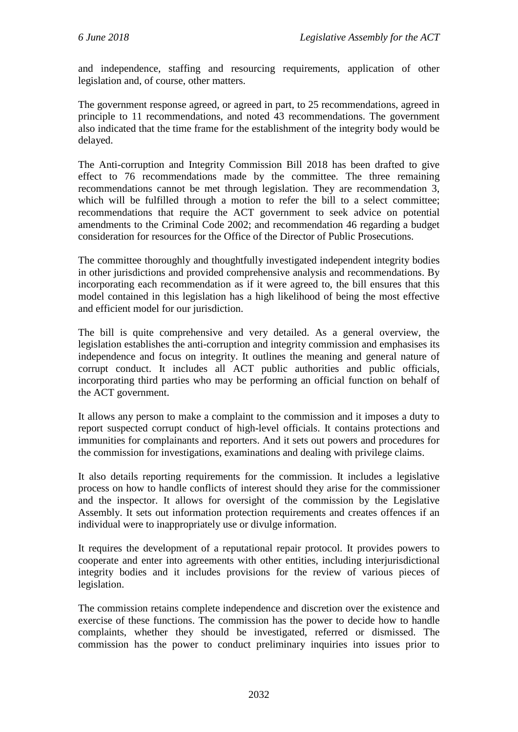and independence, staffing and resourcing requirements, application of other legislation and, of course, other matters.

The government response agreed, or agreed in part, to 25 recommendations, agreed in principle to 11 recommendations, and noted 43 recommendations. The government also indicated that the time frame for the establishment of the integrity body would be delayed.

The Anti-corruption and Integrity Commission Bill 2018 has been drafted to give effect to 76 recommendations made by the committee. The three remaining recommendations cannot be met through legislation. They are recommendation 3, which will be fulfilled through a motion to refer the bill to a select committee; recommendations that require the ACT government to seek advice on potential amendments to the Criminal Code 2002; and recommendation 46 regarding a budget consideration for resources for the Office of the Director of Public Prosecutions.

The committee thoroughly and thoughtfully investigated independent integrity bodies in other jurisdictions and provided comprehensive analysis and recommendations. By incorporating each recommendation as if it were agreed to, the bill ensures that this model contained in this legislation has a high likelihood of being the most effective and efficient model for our jurisdiction.

The bill is quite comprehensive and very detailed. As a general overview, the legislation establishes the anti-corruption and integrity commission and emphasises its independence and focus on integrity. It outlines the meaning and general nature of corrupt conduct. It includes all ACT public authorities and public officials, incorporating third parties who may be performing an official function on behalf of the ACT government.

It allows any person to make a complaint to the commission and it imposes a duty to report suspected corrupt conduct of high-level officials. It contains protections and immunities for complainants and reporters. And it sets out powers and procedures for the commission for investigations, examinations and dealing with privilege claims.

It also details reporting requirements for the commission. It includes a legislative process on how to handle conflicts of interest should they arise for the commissioner and the inspector. It allows for oversight of the commission by the Legislative Assembly. It sets out information protection requirements and creates offences if an individual were to inappropriately use or divulge information.

It requires the development of a reputational repair protocol. It provides powers to cooperate and enter into agreements with other entities, including interjurisdictional integrity bodies and it includes provisions for the review of various pieces of legislation.

The commission retains complete independence and discretion over the existence and exercise of these functions. The commission has the power to decide how to handle complaints, whether they should be investigated, referred or dismissed. The commission has the power to conduct preliminary inquiries into issues prior to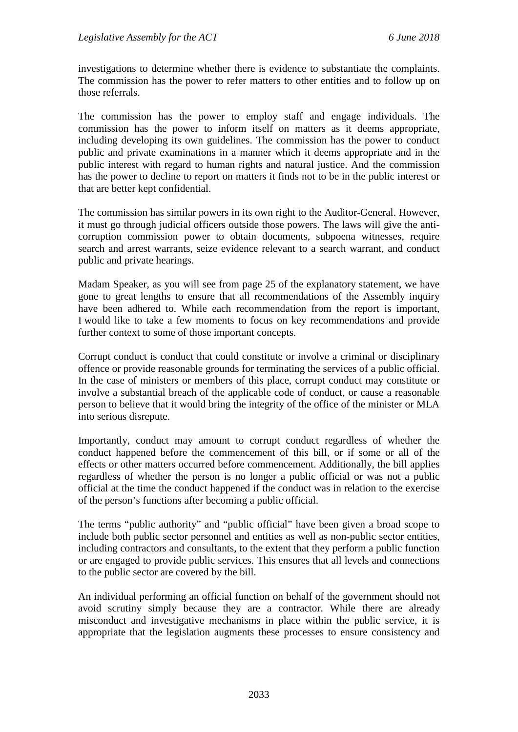investigations to determine whether there is evidence to substantiate the complaints. The commission has the power to refer matters to other entities and to follow up on those referrals.

The commission has the power to employ staff and engage individuals. The commission has the power to inform itself on matters as it deems appropriate, including developing its own guidelines. The commission has the power to conduct public and private examinations in a manner which it deems appropriate and in the public interest with regard to human rights and natural justice. And the commission has the power to decline to report on matters it finds not to be in the public interest or that are better kept confidential.

The commission has similar powers in its own right to the Auditor-General. However, it must go through judicial officers outside those powers. The laws will give the anticorruption commission power to obtain documents, subpoena witnesses, require search and arrest warrants, seize evidence relevant to a search warrant, and conduct public and private hearings.

Madam Speaker, as you will see from page 25 of the explanatory statement, we have gone to great lengths to ensure that all recommendations of the Assembly inquiry have been adhered to. While each recommendation from the report is important, I would like to take a few moments to focus on key recommendations and provide further context to some of those important concepts.

Corrupt conduct is conduct that could constitute or involve a criminal or disciplinary offence or provide reasonable grounds for terminating the services of a public official. In the case of ministers or members of this place, corrupt conduct may constitute or involve a substantial breach of the applicable code of conduct, or cause a reasonable person to believe that it would bring the integrity of the office of the minister or MLA into serious disrepute.

Importantly, conduct may amount to corrupt conduct regardless of whether the conduct happened before the commencement of this bill, or if some or all of the effects or other matters occurred before commencement. Additionally, the bill applies regardless of whether the person is no longer a public official or was not a public official at the time the conduct happened if the conduct was in relation to the exercise of the person's functions after becoming a public official.

The terms "public authority" and "public official" have been given a broad scope to include both public sector personnel and entities as well as non-public sector entities, including contractors and consultants, to the extent that they perform a public function or are engaged to provide public services. This ensures that all levels and connections to the public sector are covered by the bill.

An individual performing an official function on behalf of the government should not avoid scrutiny simply because they are a contractor. While there are already misconduct and investigative mechanisms in place within the public service, it is appropriate that the legislation augments these processes to ensure consistency and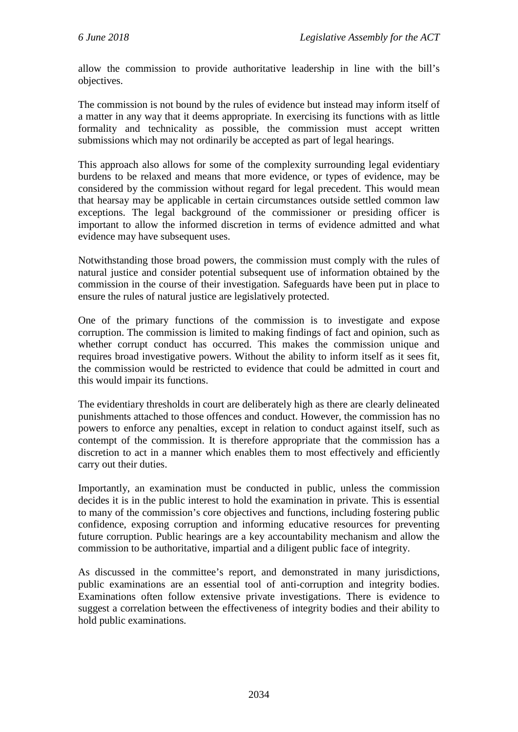allow the commission to provide authoritative leadership in line with the bill's objectives.

The commission is not bound by the rules of evidence but instead may inform itself of a matter in any way that it deems appropriate. In exercising its functions with as little formality and technicality as possible, the commission must accept written submissions which may not ordinarily be accepted as part of legal hearings.

This approach also allows for some of the complexity surrounding legal evidentiary burdens to be relaxed and means that more evidence, or types of evidence, may be considered by the commission without regard for legal precedent. This would mean that hearsay may be applicable in certain circumstances outside settled common law exceptions. The legal background of the commissioner or presiding officer is important to allow the informed discretion in terms of evidence admitted and what evidence may have subsequent uses.

Notwithstanding those broad powers, the commission must comply with the rules of natural justice and consider potential subsequent use of information obtained by the commission in the course of their investigation. Safeguards have been put in place to ensure the rules of natural justice are legislatively protected.

One of the primary functions of the commission is to investigate and expose corruption. The commission is limited to making findings of fact and opinion, such as whether corrupt conduct has occurred. This makes the commission unique and requires broad investigative powers. Without the ability to inform itself as it sees fit, the commission would be restricted to evidence that could be admitted in court and this would impair its functions.

The evidentiary thresholds in court are deliberately high as there are clearly delineated punishments attached to those offences and conduct. However, the commission has no powers to enforce any penalties, except in relation to conduct against itself, such as contempt of the commission. It is therefore appropriate that the commission has a discretion to act in a manner which enables them to most effectively and efficiently carry out their duties.

Importantly, an examination must be conducted in public, unless the commission decides it is in the public interest to hold the examination in private. This is essential to many of the commission's core objectives and functions, including fostering public confidence, exposing corruption and informing educative resources for preventing future corruption. Public hearings are a key accountability mechanism and allow the commission to be authoritative, impartial and a diligent public face of integrity.

As discussed in the committee's report, and demonstrated in many jurisdictions, public examinations are an essential tool of anti-corruption and integrity bodies. Examinations often follow extensive private investigations. There is evidence to suggest a correlation between the effectiveness of integrity bodies and their ability to hold public examinations.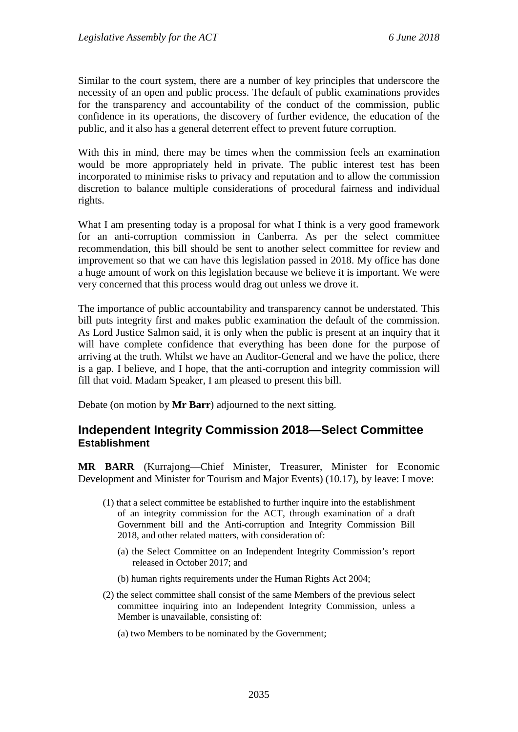Similar to the court system, there are a number of key principles that underscore the necessity of an open and public process. The default of public examinations provides for the transparency and accountability of the conduct of the commission, public confidence in its operations, the discovery of further evidence, the education of the public, and it also has a general deterrent effect to prevent future corruption.

With this in mind, there may be times when the commission feels an examination would be more appropriately held in private. The public interest test has been incorporated to minimise risks to privacy and reputation and to allow the commission discretion to balance multiple considerations of procedural fairness and individual rights.

What I am presenting today is a proposal for what I think is a very good framework for an anti-corruption commission in Canberra. As per the select committee recommendation, this bill should be sent to another select committee for review and improvement so that we can have this legislation passed in 2018. My office has done a huge amount of work on this legislation because we believe it is important. We were very concerned that this process would drag out unless we drove it.

The importance of public accountability and transparency cannot be understated. This bill puts integrity first and makes public examination the default of the commission. As Lord Justice Salmon said, it is only when the public is present at an inquiry that it will have complete confidence that everything has been done for the purpose of arriving at the truth. Whilst we have an Auditor-General and we have the police, there is a gap. I believe, and I hope, that the anti-corruption and integrity commission will fill that void. Madam Speaker, I am pleased to present this bill.

Debate (on motion by **Mr Barr**) adjourned to the next sitting.

#### <span id="page-6-0"></span>**Independent Integrity Commission 2018—Select Committee Establishment**

**MR BARR** (Kurrajong—Chief Minister, Treasurer, Minister for Economic Development and Minister for Tourism and Major Events) (10.17), by leave: I move:

- (1) that a select committee be established to further inquire into the establishment of an integrity commission for the ACT, through examination of a draft Government bill and the Anti-corruption and Integrity Commission Bill 2018, and other related matters, with consideration of:
	- (a) the Select Committee on an Independent Integrity Commission's report released in October 2017; and
	- (b) human rights requirements under the Human Rights Act 2004;
- (2) the select committee shall consist of the same Members of the previous select committee inquiring into an Independent Integrity Commission, unless a Member is unavailable, consisting of:
	- (a) two Members to be nominated by the Government;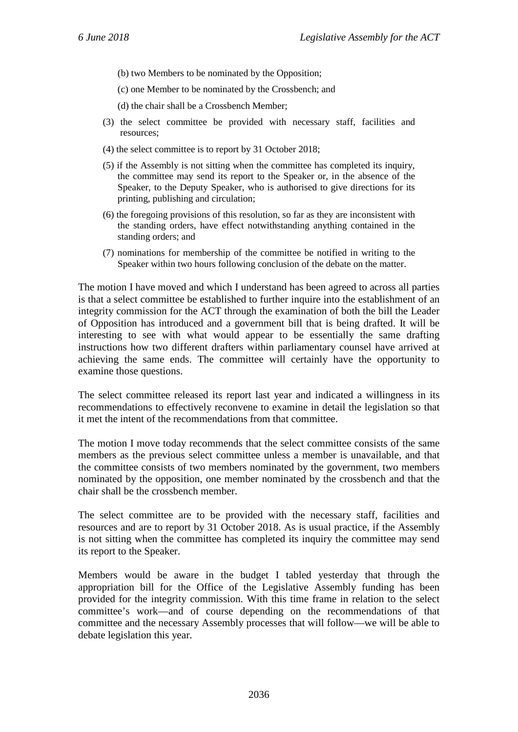- (b) two Members to be nominated by the Opposition;
- (c) one Member to be nominated by the Crossbench; and
- (d) the chair shall be a Crossbench Member;
- (3) the select committee be provided with necessary staff, facilities and resources;
- (4) the select committee is to report by 31 October 2018;
- (5) if the Assembly is not sitting when the committee has completed its inquiry, the committee may send its report to the Speaker or, in the absence of the Speaker, to the Deputy Speaker, who is authorised to give directions for its printing, publishing and circulation;
- (6) the foregoing provisions of this resolution, so far as they are inconsistent with the standing orders, have effect notwithstanding anything contained in the standing orders; and
- (7) nominations for membership of the committee be notified in writing to the Speaker within two hours following conclusion of the debate on the matter.

The motion I have moved and which I understand has been agreed to across all parties is that a select committee be established to further inquire into the establishment of an integrity commission for the ACT through the examination of both the bill the Leader of Opposition has introduced and a government bill that is being drafted. It will be interesting to see with what would appear to be essentially the same drafting instructions how two different drafters within parliamentary counsel have arrived at achieving the same ends. The committee will certainly have the opportunity to examine those questions.

The select committee released its report last year and indicated a willingness in its recommendations to effectively reconvene to examine in detail the legislation so that it met the intent of the recommendations from that committee.

The motion I move today recommends that the select committee consists of the same members as the previous select committee unless a member is unavailable, and that the committee consists of two members nominated by the government, two members nominated by the opposition, one member nominated by the crossbench and that the chair shall be the crossbench member.

The select committee are to be provided with the necessary staff, facilities and resources and are to report by 31 October 2018. As is usual practice, if the Assembly is not sitting when the committee has completed its inquiry the committee may send its report to the Speaker.

Members would be aware in the budget I tabled yesterday that through the appropriation bill for the Office of the Legislative Assembly funding has been provided for the integrity commission. With this time frame in relation to the select committee's work—and of course depending on the recommendations of that committee and the necessary Assembly processes that will follow—we will be able to debate legislation this year.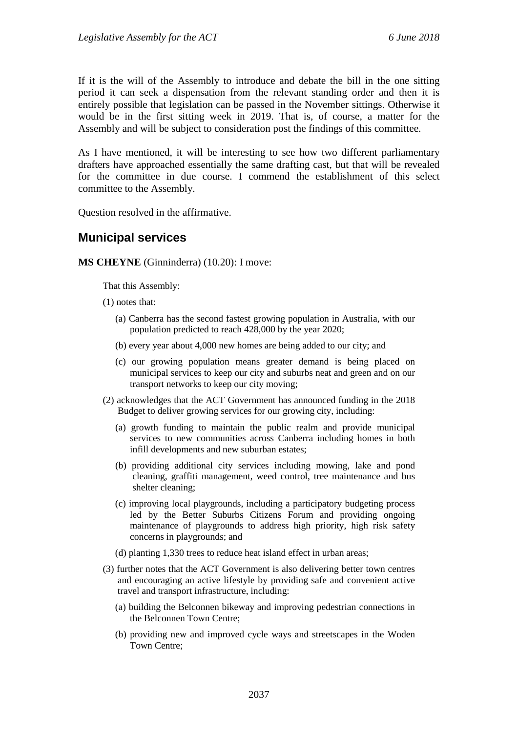If it is the will of the Assembly to introduce and debate the bill in the one sitting period it can seek a dispensation from the relevant standing order and then it is entirely possible that legislation can be passed in the November sittings. Otherwise it would be in the first sitting week in 2019. That is, of course, a matter for the Assembly and will be subject to consideration post the findings of this committee.

As I have mentioned, it will be interesting to see how two different parliamentary drafters have approached essentially the same drafting cast, but that will be revealed for the committee in due course. I commend the establishment of this select committee to the Assembly.

Question resolved in the affirmative.

#### <span id="page-8-0"></span>**Municipal services**

**MS CHEYNE** (Ginninderra) (10.20): I move:

That this Assembly:

- (1) notes that:
	- (a) Canberra has the second fastest growing population in Australia, with our population predicted to reach 428,000 by the year 2020;
	- (b) every year about 4,000 new homes are being added to our city; and
	- (c) our growing population means greater demand is being placed on municipal services to keep our city and suburbs neat and green and on our transport networks to keep our city moving;
- (2) acknowledges that the ACT Government has announced funding in the 2018 Budget to deliver growing services for our growing city, including:
	- (a) growth funding to maintain the public realm and provide municipal services to new communities across Canberra including homes in both infill developments and new suburban estates;
	- (b) providing additional city services including mowing, lake and pond cleaning, graffiti management, weed control, tree maintenance and bus shelter cleaning;
	- (c) improving local playgrounds, including a participatory budgeting process led by the Better Suburbs Citizens Forum and providing ongoing maintenance of playgrounds to address high priority, high risk safety concerns in playgrounds; and
	- (d) planting 1,330 trees to reduce heat island effect in urban areas;
- (3) further notes that the ACT Government is also delivering better town centres and encouraging an active lifestyle by providing safe and convenient active travel and transport infrastructure, including:
	- (a) building the Belconnen bikeway and improving pedestrian connections in the Belconnen Town Centre;
	- (b) providing new and improved cycle ways and streetscapes in the Woden Town Centre;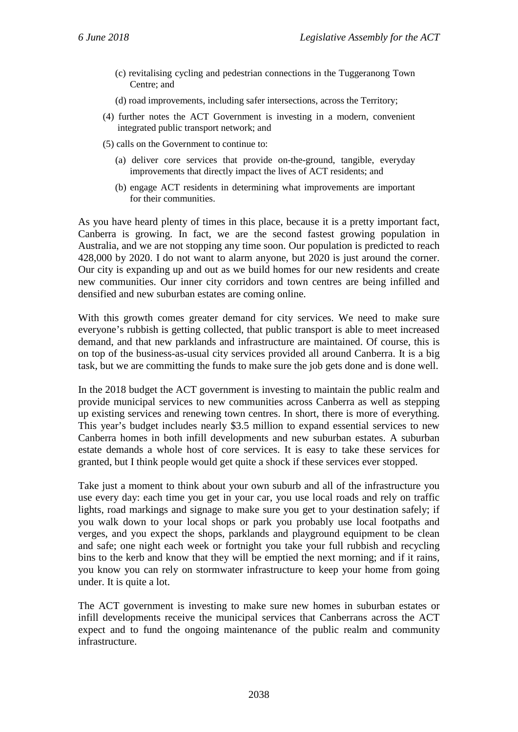- (c) revitalising cycling and pedestrian connections in the Tuggeranong Town Centre; and
- (d) road improvements, including safer intersections, across the Territory;
- (4) further notes the ACT Government is investing in a modern, convenient integrated public transport network; and
- (5) calls on the Government to continue to:
	- (a) deliver core services that provide on-the-ground, tangible, everyday improvements that directly impact the lives of ACT residents; and
	- (b) engage ACT residents in determining what improvements are important for their communities.

As you have heard plenty of times in this place, because it is a pretty important fact, Canberra is growing. In fact, we are the second fastest growing population in Australia, and we are not stopping any time soon. Our population is predicted to reach 428,000 by 2020. I do not want to alarm anyone, but 2020 is just around the corner. Our city is expanding up and out as we build homes for our new residents and create new communities. Our inner city corridors and town centres are being infilled and densified and new suburban estates are coming online.

With this growth comes greater demand for city services. We need to make sure everyone's rubbish is getting collected, that public transport is able to meet increased demand, and that new parklands and infrastructure are maintained. Of course, this is on top of the business-as-usual city services provided all around Canberra. It is a big task, but we are committing the funds to make sure the job gets done and is done well.

In the 2018 budget the ACT government is investing to maintain the public realm and provide municipal services to new communities across Canberra as well as stepping up existing services and renewing town centres. In short, there is more of everything. This year's budget includes nearly \$3.5 million to expand essential services to new Canberra homes in both infill developments and new suburban estates. A suburban estate demands a whole host of core services. It is easy to take these services for granted, but I think people would get quite a shock if these services ever stopped.

Take just a moment to think about your own suburb and all of the infrastructure you use every day: each time you get in your car, you use local roads and rely on traffic lights, road markings and signage to make sure you get to your destination safely; if you walk down to your local shops or park you probably use local footpaths and verges, and you expect the shops, parklands and playground equipment to be clean and safe; one night each week or fortnight you take your full rubbish and recycling bins to the kerb and know that they will be emptied the next morning; and if it rains, you know you can rely on stormwater infrastructure to keep your home from going under. It is quite a lot.

The ACT government is investing to make sure new homes in suburban estates or infill developments receive the municipal services that Canberrans across the ACT expect and to fund the ongoing maintenance of the public realm and community infrastructure.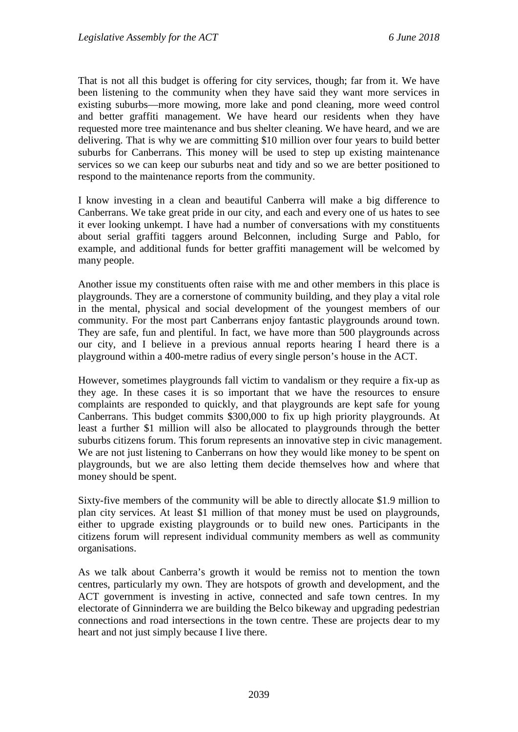That is not all this budget is offering for city services, though; far from it. We have been listening to the community when they have said they want more services in existing suburbs—more mowing, more lake and pond cleaning, more weed control and better graffiti management. We have heard our residents when they have requested more tree maintenance and bus shelter cleaning. We have heard, and we are delivering. That is why we are committing \$10 million over four years to build better suburbs for Canberrans. This money will be used to step up existing maintenance services so we can keep our suburbs neat and tidy and so we are better positioned to respond to the maintenance reports from the community.

I know investing in a clean and beautiful Canberra will make a big difference to Canberrans. We take great pride in our city, and each and every one of us hates to see it ever looking unkempt. I have had a number of conversations with my constituents about serial graffiti taggers around Belconnen, including Surge and Pablo, for example, and additional funds for better graffiti management will be welcomed by many people.

Another issue my constituents often raise with me and other members in this place is playgrounds. They are a cornerstone of community building, and they play a vital role in the mental, physical and social development of the youngest members of our community. For the most part Canberrans enjoy fantastic playgrounds around town. They are safe, fun and plentiful. In fact, we have more than 500 playgrounds across our city, and I believe in a previous annual reports hearing I heard there is a playground within a 400-metre radius of every single person's house in the ACT.

However, sometimes playgrounds fall victim to vandalism or they require a fix-up as they age. In these cases it is so important that we have the resources to ensure complaints are responded to quickly, and that playgrounds are kept safe for young Canberrans. This budget commits \$300,000 to fix up high priority playgrounds. At least a further \$1 million will also be allocated to playgrounds through the better suburbs citizens forum. This forum represents an innovative step in civic management. We are not just listening to Canberrans on how they would like money to be spent on playgrounds, but we are also letting them decide themselves how and where that money should be spent.

Sixty-five members of the community will be able to directly allocate \$1.9 million to plan city services. At least \$1 million of that money must be used on playgrounds, either to upgrade existing playgrounds or to build new ones. Participants in the citizens forum will represent individual community members as well as community organisations.

As we talk about Canberra's growth it would be remiss not to mention the town centres, particularly my own. They are hotspots of growth and development, and the ACT government is investing in active, connected and safe town centres. In my electorate of Ginninderra we are building the Belco bikeway and upgrading pedestrian connections and road intersections in the town centre. These are projects dear to my heart and not just simply because I live there.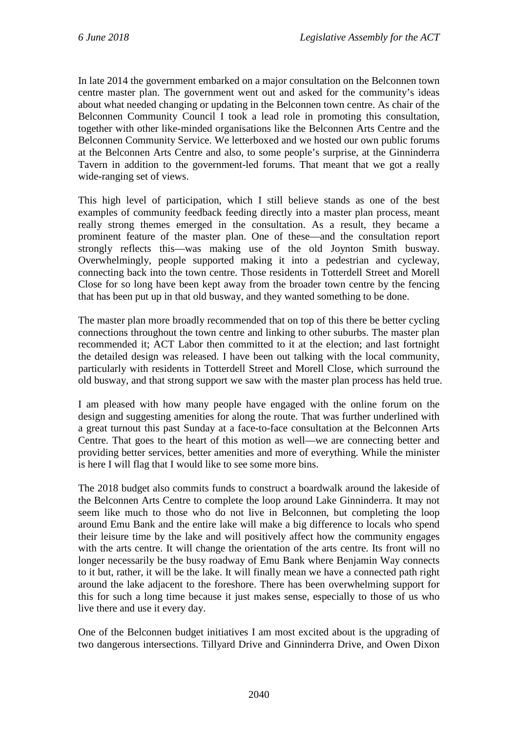In late 2014 the government embarked on a major consultation on the Belconnen town centre master plan. The government went out and asked for the community's ideas about what needed changing or updating in the Belconnen town centre. As chair of the Belconnen Community Council I took a lead role in promoting this consultation, together with other like-minded organisations like the Belconnen Arts Centre and the Belconnen Community Service. We letterboxed and we hosted our own public forums at the Belconnen Arts Centre and also, to some people's surprise, at the Ginninderra Tavern in addition to the government-led forums. That meant that we got a really wide-ranging set of views.

This high level of participation, which I still believe stands as one of the best examples of community feedback feeding directly into a master plan process, meant really strong themes emerged in the consultation. As a result, they became a prominent feature of the master plan. One of these—and the consultation report strongly reflects this—was making use of the old Joynton Smith busway. Overwhelmingly, people supported making it into a pedestrian and cycleway, connecting back into the town centre. Those residents in Totterdell Street and Morell Close for so long have been kept away from the broader town centre by the fencing that has been put up in that old busway, and they wanted something to be done.

The master plan more broadly recommended that on top of this there be better cycling connections throughout the town centre and linking to other suburbs. The master plan recommended it; ACT Labor then committed to it at the election; and last fortnight the detailed design was released. I have been out talking with the local community, particularly with residents in Totterdell Street and Morell Close, which surround the old busway, and that strong support we saw with the master plan process has held true.

I am pleased with how many people have engaged with the online forum on the design and suggesting amenities for along the route. That was further underlined with a great turnout this past Sunday at a face-to-face consultation at the Belconnen Arts Centre. That goes to the heart of this motion as well—we are connecting better and providing better services, better amenities and more of everything. While the minister is here I will flag that I would like to see some more bins.

The 2018 budget also commits funds to construct a boardwalk around the lakeside of the Belconnen Arts Centre to complete the loop around Lake Ginninderra. It may not seem like much to those who do not live in Belconnen, but completing the loop around Emu Bank and the entire lake will make a big difference to locals who spend their leisure time by the lake and will positively affect how the community engages with the arts centre. It will change the orientation of the arts centre. Its front will no longer necessarily be the busy roadway of Emu Bank where Benjamin Way connects to it but, rather, it will be the lake. It will finally mean we have a connected path right around the lake adjacent to the foreshore. There has been overwhelming support for this for such a long time because it just makes sense, especially to those of us who live there and use it every day.

One of the Belconnen budget initiatives I am most excited about is the upgrading of two dangerous intersections. Tillyard Drive and Ginninderra Drive, and Owen Dixon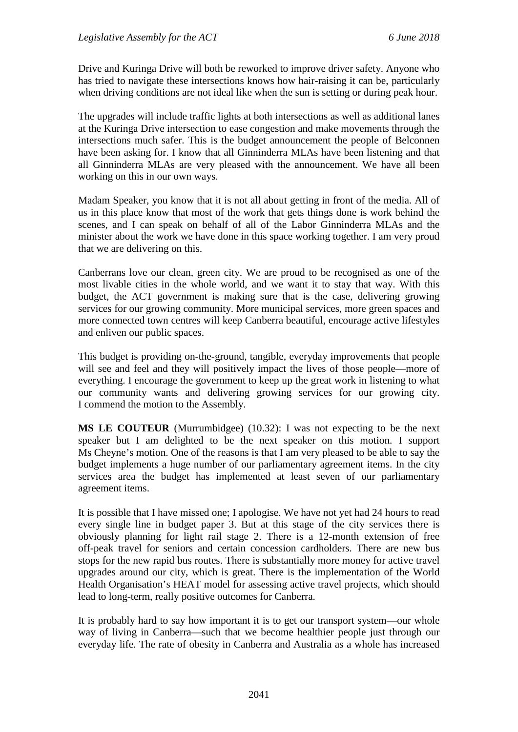Drive and Kuringa Drive will both be reworked to improve driver safety. Anyone who has tried to navigate these intersections knows how hair-raising it can be, particularly when driving conditions are not ideal like when the sun is setting or during peak hour.

The upgrades will include traffic lights at both intersections as well as additional lanes at the Kuringa Drive intersection to ease congestion and make movements through the intersections much safer. This is the budget announcement the people of Belconnen have been asking for. I know that all Ginninderra MLAs have been listening and that all Ginninderra MLAs are very pleased with the announcement. We have all been working on this in our own ways.

Madam Speaker, you know that it is not all about getting in front of the media. All of us in this place know that most of the work that gets things done is work behind the scenes, and I can speak on behalf of all of the Labor Ginninderra MLAs and the minister about the work we have done in this space working together. I am very proud that we are delivering on this.

Canberrans love our clean, green city. We are proud to be recognised as one of the most livable cities in the whole world, and we want it to stay that way. With this budget, the ACT government is making sure that is the case, delivering growing services for our growing community. More municipal services, more green spaces and more connected town centres will keep Canberra beautiful, encourage active lifestyles and enliven our public spaces.

This budget is providing on-the-ground, tangible, everyday improvements that people will see and feel and they will positively impact the lives of those people—more of everything. I encourage the government to keep up the great work in listening to what our community wants and delivering growing services for our growing city. I commend the motion to the Assembly.

**MS LE COUTEUR** (Murrumbidgee) (10.32): I was not expecting to be the next speaker but I am delighted to be the next speaker on this motion. I support Ms Cheyne's motion. One of the reasons is that I am very pleased to be able to say the budget implements a huge number of our parliamentary agreement items. In the city services area the budget has implemented at least seven of our parliamentary agreement items.

It is possible that I have missed one; I apologise. We have not yet had 24 hours to read every single line in budget paper 3. But at this stage of the city services there is obviously planning for light rail stage 2. There is a 12-month extension of free off-peak travel for seniors and certain concession cardholders. There are new bus stops for the new rapid bus routes. There is substantially more money for active travel upgrades around our city, which is great. There is the implementation of the World Health Organisation's HEAT model for assessing active travel projects, which should lead to long-term, really positive outcomes for Canberra.

It is probably hard to say how important it is to get our transport system—our whole way of living in Canberra—such that we become healthier people just through our everyday life. The rate of obesity in Canberra and Australia as a whole has increased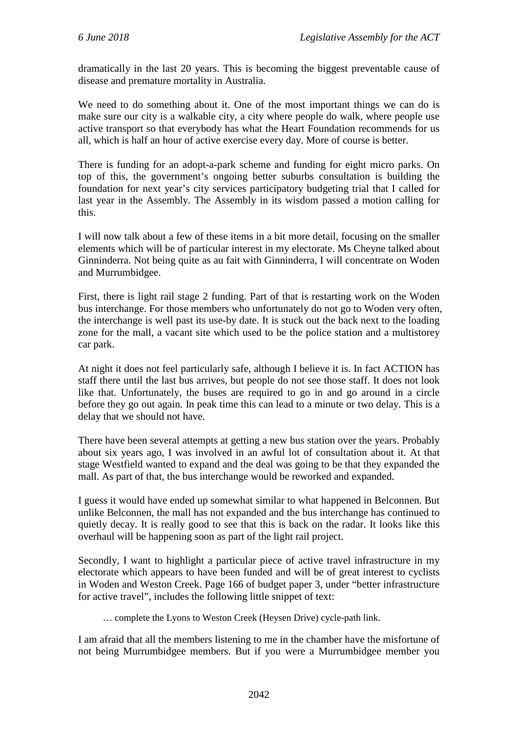dramatically in the last 20 years. This is becoming the biggest preventable cause of disease and premature mortality in Australia.

We need to do something about it. One of the most important things we can do is make sure our city is a walkable city, a city where people do walk, where people use active transport so that everybody has what the Heart Foundation recommends for us all, which is half an hour of active exercise every day. More of course is better.

There is funding for an adopt-a-park scheme and funding for eight micro parks. On top of this, the government's ongoing better suburbs consultation is building the foundation for next year's city services participatory budgeting trial that I called for last year in the Assembly. The Assembly in its wisdom passed a motion calling for this.

I will now talk about a few of these items in a bit more detail, focusing on the smaller elements which will be of particular interest in my electorate. Ms Cheyne talked about Ginninderra. Not being quite as au fait with Ginninderra, I will concentrate on Woden and Murrumbidgee.

First, there is light rail stage 2 funding. Part of that is restarting work on the Woden bus interchange. For those members who unfortunately do not go to Woden very often, the interchange is well past its use-by date. It is stuck out the back next to the loading zone for the mall, a vacant site which used to be the police station and a multistorey car park.

At night it does not feel particularly safe, although I believe it is. In fact ACTION has staff there until the last bus arrives, but people do not see those staff. It does not look like that. Unfortunately, the buses are required to go in and go around in a circle before they go out again. In peak time this can lead to a minute or two delay. This is a delay that we should not have.

There have been several attempts at getting a new bus station over the years. Probably about six years ago, I was involved in an awful lot of consultation about it. At that stage Westfield wanted to expand and the deal was going to be that they expanded the mall. As part of that, the bus interchange would be reworked and expanded.

I guess it would have ended up somewhat similar to what happened in Belconnen. But unlike Belconnen, the mall has not expanded and the bus interchange has continued to quietly decay. It is really good to see that this is back on the radar. It looks like this overhaul will be happening soon as part of the light rail project.

Secondly, I want to highlight a particular piece of active travel infrastructure in my electorate which appears to have been funded and will be of great interest to cyclists in Woden and Weston Creek. Page 166 of budget paper 3, under "better infrastructure for active travel", includes the following little snippet of text:

… complete the Lyons to Weston Creek (Heysen Drive) cycle-path link.

I am afraid that all the members listening to me in the chamber have the misfortune of not being Murrumbidgee members. But if you were a Murrumbidgee member you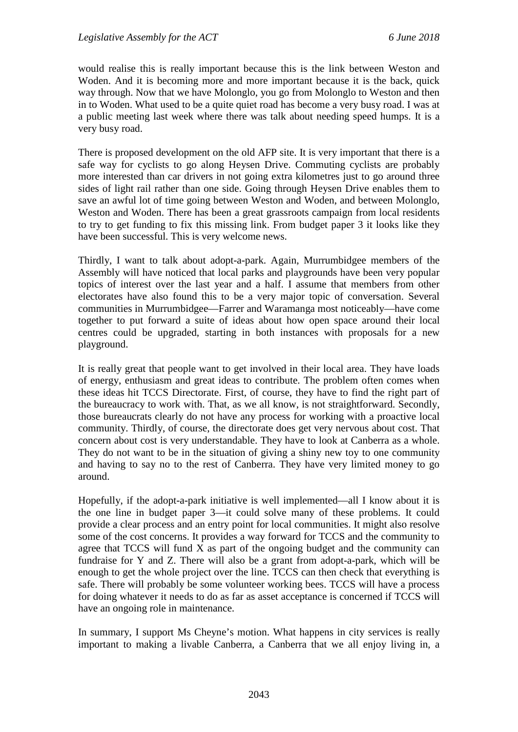would realise this is really important because this is the link between Weston and Woden. And it is becoming more and more important because it is the back, quick way through. Now that we have Molonglo, you go from Molonglo to Weston and then in to Woden. What used to be a quite quiet road has become a very busy road. I was at a public meeting last week where there was talk about needing speed humps. It is a very busy road.

There is proposed development on the old AFP site. It is very important that there is a safe way for cyclists to go along Heysen Drive. Commuting cyclists are probably more interested than car drivers in not going extra kilometres just to go around three sides of light rail rather than one side. Going through Heysen Drive enables them to save an awful lot of time going between Weston and Woden, and between Molonglo, Weston and Woden. There has been a great grassroots campaign from local residents to try to get funding to fix this missing link. From budget paper 3 it looks like they have been successful. This is very welcome news.

Thirdly, I want to talk about adopt-a-park. Again, Murrumbidgee members of the Assembly will have noticed that local parks and playgrounds have been very popular topics of interest over the last year and a half. I assume that members from other electorates have also found this to be a very major topic of conversation. Several communities in Murrumbidgee—Farrer and Waramanga most noticeably—have come together to put forward a suite of ideas about how open space around their local centres could be upgraded, starting in both instances with proposals for a new playground.

It is really great that people want to get involved in their local area. They have loads of energy, enthusiasm and great ideas to contribute. The problem often comes when these ideas hit TCCS Directorate. First, of course, they have to find the right part of the bureaucracy to work with. That, as we all know, is not straightforward. Secondly, those bureaucrats clearly do not have any process for working with a proactive local community. Thirdly, of course, the directorate does get very nervous about cost. That concern about cost is very understandable. They have to look at Canberra as a whole. They do not want to be in the situation of giving a shiny new toy to one community and having to say no to the rest of Canberra. They have very limited money to go around.

Hopefully, if the adopt-a-park initiative is well implemented—all I know about it is the one line in budget paper 3—it could solve many of these problems. It could provide a clear process and an entry point for local communities. It might also resolve some of the cost concerns. It provides a way forward for TCCS and the community to agree that TCCS will fund X as part of the ongoing budget and the community can fundraise for Y and Z. There will also be a grant from adopt-a-park, which will be enough to get the whole project over the line. TCCS can then check that everything is safe. There will probably be some volunteer working bees. TCCS will have a process for doing whatever it needs to do as far as asset acceptance is concerned if TCCS will have an ongoing role in maintenance.

In summary, I support Ms Cheyne's motion. What happens in city services is really important to making a livable Canberra, a Canberra that we all enjoy living in, a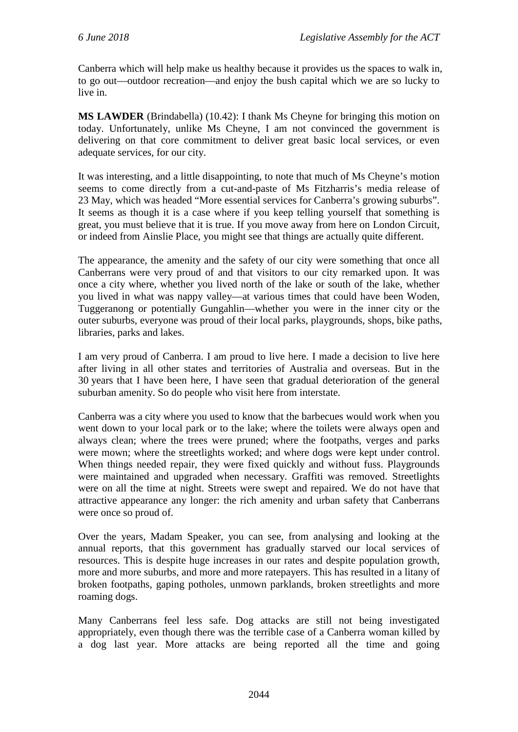Canberra which will help make us healthy because it provides us the spaces to walk in, to go out—outdoor recreation—and enjoy the bush capital which we are so lucky to live in.

**MS LAWDER** (Brindabella) (10.42): I thank Ms Cheyne for bringing this motion on today. Unfortunately, unlike Ms Cheyne, I am not convinced the government is delivering on that core commitment to deliver great basic local services, or even adequate services, for our city.

It was interesting, and a little disappointing, to note that much of Ms Cheyne's motion seems to come directly from a cut-and-paste of Ms Fitzharris's media release of 23 May, which was headed "More essential services for Canberra's growing suburbs". It seems as though it is a case where if you keep telling yourself that something is great, you must believe that it is true. If you move away from here on London Circuit, or indeed from Ainslie Place, you might see that things are actually quite different.

The appearance, the amenity and the safety of our city were something that once all Canberrans were very proud of and that visitors to our city remarked upon. It was once a city where, whether you lived north of the lake or south of the lake, whether you lived in what was nappy valley—at various times that could have been Woden, Tuggeranong or potentially Gungahlin—whether you were in the inner city or the outer suburbs, everyone was proud of their local parks, playgrounds, shops, bike paths, libraries, parks and lakes.

I am very proud of Canberra. I am proud to live here. I made a decision to live here after living in all other states and territories of Australia and overseas. But in the 30 years that I have been here, I have seen that gradual deterioration of the general suburban amenity. So do people who visit here from interstate.

Canberra was a city where you used to know that the barbecues would work when you went down to your local park or to the lake; where the toilets were always open and always clean; where the trees were pruned; where the footpaths, verges and parks were mown; where the streetlights worked; and where dogs were kept under control. When things needed repair, they were fixed quickly and without fuss. Playgrounds were maintained and upgraded when necessary. Graffiti was removed. Streetlights were on all the time at night. Streets were swept and repaired. We do not have that attractive appearance any longer: the rich amenity and urban safety that Canberrans were once so proud of.

Over the years, Madam Speaker, you can see, from analysing and looking at the annual reports, that this government has gradually starved our local services of resources. This is despite huge increases in our rates and despite population growth, more and more suburbs, and more and more ratepayers. This has resulted in a litany of broken footpaths, gaping potholes, unmown parklands, broken streetlights and more roaming dogs.

Many Canberrans feel less safe. Dog attacks are still not being investigated appropriately, even though there was the terrible case of a Canberra woman killed by a dog last year. More attacks are being reported all the time and going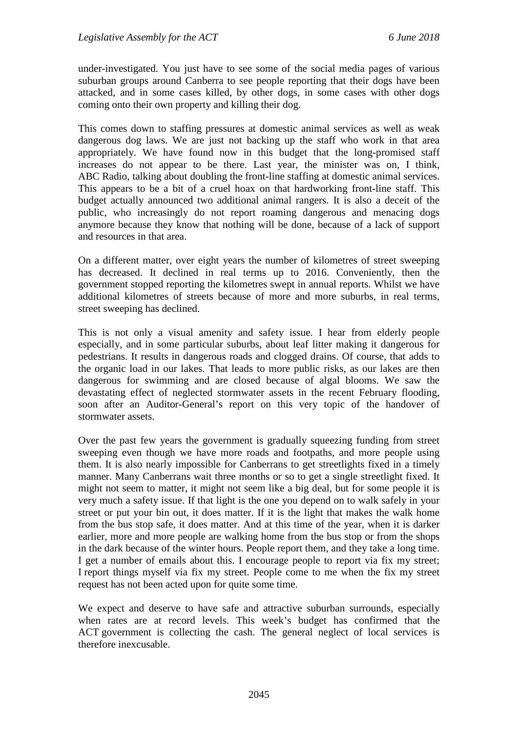under-investigated. You just have to see some of the social media pages of various suburban groups around Canberra to see people reporting that their dogs have been attacked, and in some cases killed, by other dogs, in some cases with other dogs coming onto their own property and killing their dog.

This comes down to staffing pressures at domestic animal services as well as weak dangerous dog laws. We are just not backing up the staff who work in that area appropriately. We have found now in this budget that the long-promised staff increases do not appear to be there. Last year, the minister was on, I think, ABC Radio, talking about doubling the front-line staffing at domestic animal services. This appears to be a bit of a cruel hoax on that hardworking front-line staff. This budget actually announced two additional animal rangers. It is also a deceit of the public, who increasingly do not report roaming dangerous and menacing dogs anymore because they know that nothing will be done, because of a lack of support and resources in that area.

On a different matter, over eight years the number of kilometres of street sweeping has decreased. It declined in real terms up to 2016. Conveniently, then the government stopped reporting the kilometres swept in annual reports. Whilst we have additional kilometres of streets because of more and more suburbs, in real terms, street sweeping has declined.

This is not only a visual amenity and safety issue. I hear from elderly people especially, and in some particular suburbs, about leaf litter making it dangerous for pedestrians. It results in dangerous roads and clogged drains. Of course, that adds to the organic load in our lakes. That leads to more public risks, as our lakes are then dangerous for swimming and are closed because of algal blooms. We saw the devastating effect of neglected stormwater assets in the recent February flooding, soon after an Auditor-General's report on this very topic of the handover of stormwater assets.

Over the past few years the government is gradually squeezing funding from street sweeping even though we have more roads and footpaths, and more people using them. It is also nearly impossible for Canberrans to get streetlights fixed in a timely manner. Many Canberrans wait three months or so to get a single streetlight fixed. It might not seem to matter, it might not seem like a big deal, but for some people it is very much a safety issue. If that light is the one you depend on to walk safely in your street or put your bin out, it does matter. If it is the light that makes the walk home from the bus stop safe, it does matter. And at this time of the year, when it is darker earlier, more and more people are walking home from the bus stop or from the shops in the dark because of the winter hours. People report them, and they take a long time. I get a number of emails about this. I encourage people to report via fix my street; I report things myself via fix my street. People come to me when the fix my street request has not been acted upon for quite some time.

We expect and deserve to have safe and attractive suburban surrounds, especially when rates are at record levels. This week's budget has confirmed that the ACT government is collecting the cash. The general neglect of local services is therefore inexcusable.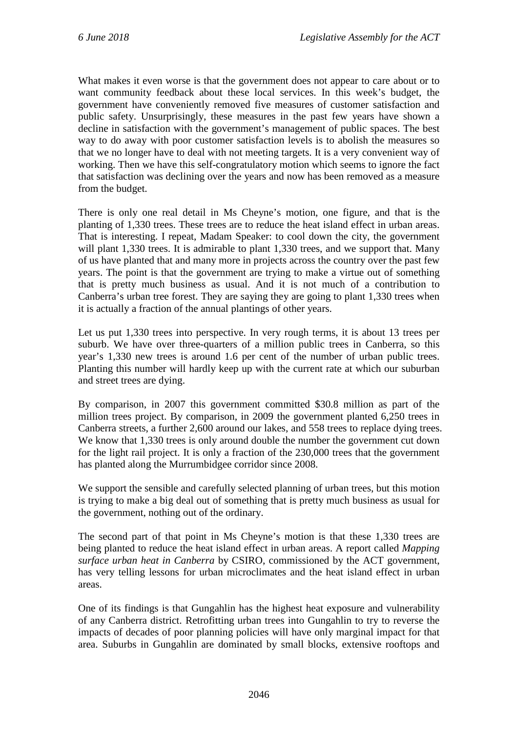What makes it even worse is that the government does not appear to care about or to want community feedback about these local services. In this week's budget, the government have conveniently removed five measures of customer satisfaction and public safety. Unsurprisingly, these measures in the past few years have shown a decline in satisfaction with the government's management of public spaces. The best way to do away with poor customer satisfaction levels is to abolish the measures so that we no longer have to deal with not meeting targets. It is a very convenient way of working. Then we have this self-congratulatory motion which seems to ignore the fact that satisfaction was declining over the years and now has been removed as a measure from the budget.

There is only one real detail in Ms Cheyne's motion, one figure, and that is the planting of 1,330 trees. These trees are to reduce the heat island effect in urban areas. That is interesting. I repeat, Madam Speaker: to cool down the city, the government will plant 1,330 trees. It is admirable to plant 1,330 trees, and we support that. Many of us have planted that and many more in projects across the country over the past few years. The point is that the government are trying to make a virtue out of something that is pretty much business as usual. And it is not much of a contribution to Canberra's urban tree forest. They are saying they are going to plant 1,330 trees when it is actually a fraction of the annual plantings of other years.

Let us put 1,330 trees into perspective. In very rough terms, it is about 13 trees per suburb. We have over three-quarters of a million public trees in Canberra, so this year's 1,330 new trees is around 1.6 per cent of the number of urban public trees. Planting this number will hardly keep up with the current rate at which our suburban and street trees are dying.

By comparison, in 2007 this government committed \$30.8 million as part of the million trees project. By comparison, in 2009 the government planted 6,250 trees in Canberra streets, a further 2,600 around our lakes, and 558 trees to replace dying trees. We know that 1,330 trees is only around double the number the government cut down for the light rail project. It is only a fraction of the 230,000 trees that the government has planted along the Murrumbidgee corridor since 2008.

We support the sensible and carefully selected planning of urban trees, but this motion is trying to make a big deal out of something that is pretty much business as usual for the government, nothing out of the ordinary.

The second part of that point in Ms Cheyne's motion is that these 1,330 trees are being planted to reduce the heat island effect in urban areas. A report called *Mapping surface urban heat in Canberra* by CSIRO, commissioned by the ACT government, has very telling lessons for urban microclimates and the heat island effect in urban areas.

One of its findings is that Gungahlin has the highest heat exposure and vulnerability of any Canberra district. Retrofitting urban trees into Gungahlin to try to reverse the impacts of decades of poor planning policies will have only marginal impact for that area. Suburbs in Gungahlin are dominated by small blocks, extensive rooftops and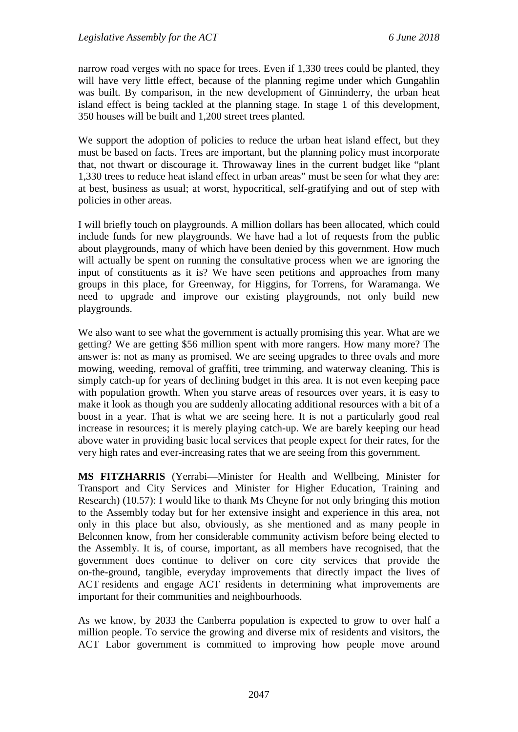narrow road verges with no space for trees. Even if 1,330 trees could be planted, they will have very little effect, because of the planning regime under which Gungahlin was built. By comparison, in the new development of Ginninderry, the urban heat island effect is being tackled at the planning stage. In stage 1 of this development, 350 houses will be built and 1,200 street trees planted.

We support the adoption of policies to reduce the urban heat island effect, but they must be based on facts. Trees are important, but the planning policy must incorporate that, not thwart or discourage it. Throwaway lines in the current budget like "plant 1,330 trees to reduce heat island effect in urban areas" must be seen for what they are: at best, business as usual; at worst, hypocritical, self-gratifying and out of step with policies in other areas.

I will briefly touch on playgrounds. A million dollars has been allocated, which could include funds for new playgrounds. We have had a lot of requests from the public about playgrounds, many of which have been denied by this government. How much will actually be spent on running the consultative process when we are ignoring the input of constituents as it is? We have seen petitions and approaches from many groups in this place, for Greenway, for Higgins, for Torrens, for Waramanga. We need to upgrade and improve our existing playgrounds, not only build new playgrounds.

We also want to see what the government is actually promising this year. What are we getting? We are getting \$56 million spent with more rangers. How many more? The answer is: not as many as promised. We are seeing upgrades to three ovals and more mowing, weeding, removal of graffiti, tree trimming, and waterway cleaning. This is simply catch-up for years of declining budget in this area. It is not even keeping pace with population growth. When you starve areas of resources over years, it is easy to make it look as though you are suddenly allocating additional resources with a bit of a boost in a year. That is what we are seeing here. It is not a particularly good real increase in resources; it is merely playing catch-up. We are barely keeping our head above water in providing basic local services that people expect for their rates, for the very high rates and ever-increasing rates that we are seeing from this government.

**MS FITZHARRIS** (Yerrabi—Minister for Health and Wellbeing, Minister for Transport and City Services and Minister for Higher Education, Training and Research) (10.57): I would like to thank Ms Cheyne for not only bringing this motion to the Assembly today but for her extensive insight and experience in this area, not only in this place but also, obviously, as she mentioned and as many people in Belconnen know, from her considerable community activism before being elected to the Assembly. It is, of course, important, as all members have recognised, that the government does continue to deliver on core city services that provide the on-the-ground, tangible, everyday improvements that directly impact the lives of ACT residents and engage ACT residents in determining what improvements are important for their communities and neighbourhoods.

As we know, by 2033 the Canberra population is expected to grow to over half a million people. To service the growing and diverse mix of residents and visitors, the ACT Labor government is committed to improving how people move around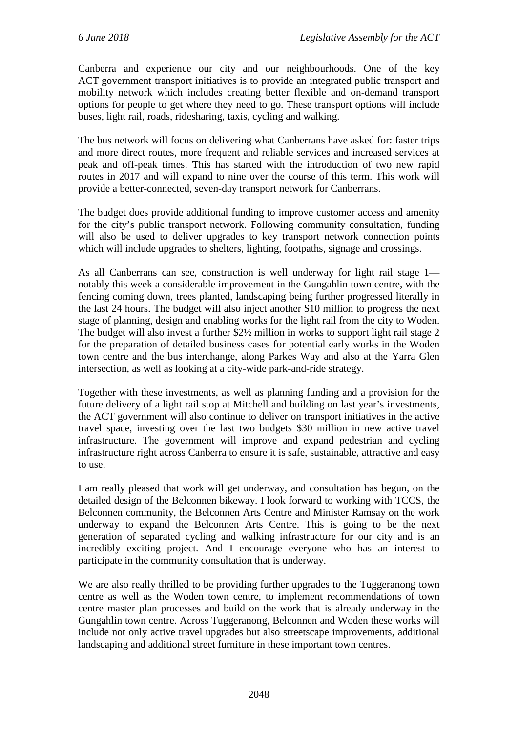Canberra and experience our city and our neighbourhoods. One of the key ACT government transport initiatives is to provide an integrated public transport and mobility network which includes creating better flexible and on-demand transport options for people to get where they need to go. These transport options will include buses, light rail, roads, ridesharing, taxis, cycling and walking.

The bus network will focus on delivering what Canberrans have asked for: faster trips and more direct routes, more frequent and reliable services and increased services at peak and off-peak times. This has started with the introduction of two new rapid routes in 2017 and will expand to nine over the course of this term. This work will provide a better-connected, seven-day transport network for Canberrans.

The budget does provide additional funding to improve customer access and amenity for the city's public transport network. Following community consultation, funding will also be used to deliver upgrades to key transport network connection points which will include upgrades to shelters, lighting, footpaths, signage and crossings.

As all Canberrans can see, construction is well underway for light rail stage 1 notably this week a considerable improvement in the Gungahlin town centre, with the fencing coming down, trees planted, landscaping being further progressed literally in the last 24 hours. The budget will also inject another \$10 million to progress the next stage of planning, design and enabling works for the light rail from the city to Woden. The budget will also invest a further \$2½ million in works to support light rail stage 2 for the preparation of detailed business cases for potential early works in the Woden town centre and the bus interchange, along Parkes Way and also at the Yarra Glen intersection, as well as looking at a city-wide park-and-ride strategy.

Together with these investments, as well as planning funding and a provision for the future delivery of a light rail stop at Mitchell and building on last year's investments, the ACT government will also continue to deliver on transport initiatives in the active travel space, investing over the last two budgets \$30 million in new active travel infrastructure. The government will improve and expand pedestrian and cycling infrastructure right across Canberra to ensure it is safe, sustainable, attractive and easy to use.

I am really pleased that work will get underway, and consultation has begun, on the detailed design of the Belconnen bikeway. I look forward to working with TCCS, the Belconnen community, the Belconnen Arts Centre and Minister Ramsay on the work underway to expand the Belconnen Arts Centre. This is going to be the next generation of separated cycling and walking infrastructure for our city and is an incredibly exciting project. And I encourage everyone who has an interest to participate in the community consultation that is underway.

We are also really thrilled to be providing further upgrades to the Tuggeranong town centre as well as the Woden town centre, to implement recommendations of town centre master plan processes and build on the work that is already underway in the Gungahlin town centre. Across Tuggeranong, Belconnen and Woden these works will include not only active travel upgrades but also streetscape improvements, additional landscaping and additional street furniture in these important town centres.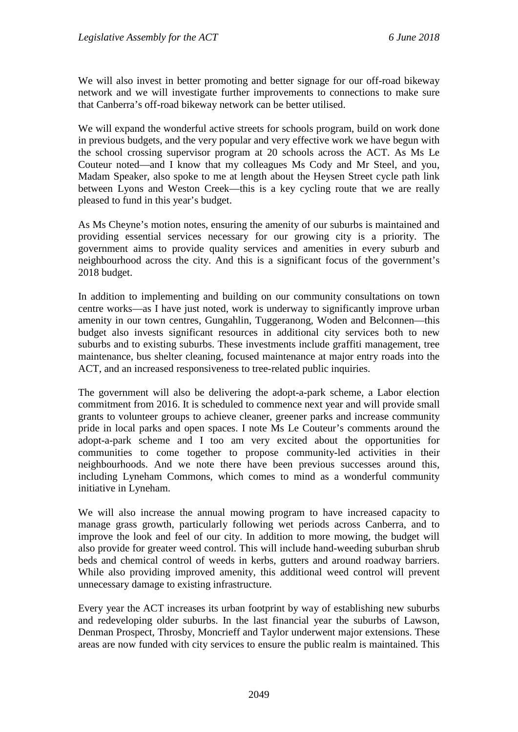We will also invest in better promoting and better signage for our off-road bikeway network and we will investigate further improvements to connections to make sure that Canberra's off-road bikeway network can be better utilised.

We will expand the wonderful active streets for schools program, build on work done in previous budgets, and the very popular and very effective work we have begun with the school crossing supervisor program at 20 schools across the ACT. As Ms Le Couteur noted—and I know that my colleagues Ms Cody and Mr Steel, and you, Madam Speaker, also spoke to me at length about the Heysen Street cycle path link between Lyons and Weston Creek—this is a key cycling route that we are really pleased to fund in this year's budget.

As Ms Cheyne's motion notes, ensuring the amenity of our suburbs is maintained and providing essential services necessary for our growing city is a priority. The government aims to provide quality services and amenities in every suburb and neighbourhood across the city. And this is a significant focus of the government's 2018 budget.

In addition to implementing and building on our community consultations on town centre works—as I have just noted, work is underway to significantly improve urban amenity in our town centres, Gungahlin, Tuggeranong, Woden and Belconnen—this budget also invests significant resources in additional city services both to new suburbs and to existing suburbs. These investments include graffiti management, tree maintenance, bus shelter cleaning, focused maintenance at major entry roads into the ACT, and an increased responsiveness to tree-related public inquiries.

The government will also be delivering the adopt-a-park scheme, a Labor election commitment from 2016. It is scheduled to commence next year and will provide small grants to volunteer groups to achieve cleaner, greener parks and increase community pride in local parks and open spaces. I note Ms Le Couteur's comments around the adopt-a-park scheme and I too am very excited about the opportunities for communities to come together to propose community-led activities in their neighbourhoods. And we note there have been previous successes around this, including Lyneham Commons, which comes to mind as a wonderful community initiative in Lyneham.

We will also increase the annual mowing program to have increased capacity to manage grass growth, particularly following wet periods across Canberra, and to improve the look and feel of our city. In addition to more mowing, the budget will also provide for greater weed control. This will include hand-weeding suburban shrub beds and chemical control of weeds in kerbs, gutters and around roadway barriers. While also providing improved amenity, this additional weed control will prevent unnecessary damage to existing infrastructure.

Every year the ACT increases its urban footprint by way of establishing new suburbs and redeveloping older suburbs. In the last financial year the suburbs of Lawson, Denman Prospect, Throsby, Moncrieff and Taylor underwent major extensions. These areas are now funded with city services to ensure the public realm is maintained. This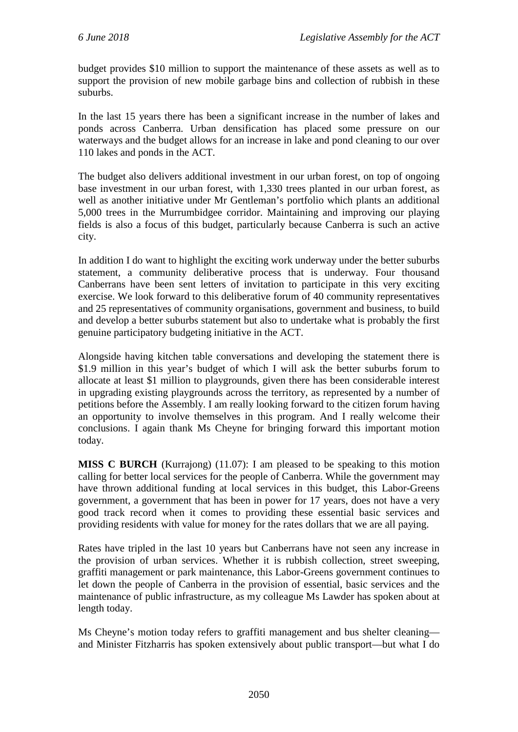budget provides \$10 million to support the maintenance of these assets as well as to support the provision of new mobile garbage bins and collection of rubbish in these suburbs.

In the last 15 years there has been a significant increase in the number of lakes and ponds across Canberra. Urban densification has placed some pressure on our waterways and the budget allows for an increase in lake and pond cleaning to our over 110 lakes and ponds in the ACT.

The budget also delivers additional investment in our urban forest, on top of ongoing base investment in our urban forest, with 1,330 trees planted in our urban forest, as well as another initiative under Mr Gentleman's portfolio which plants an additional 5,000 trees in the Murrumbidgee corridor. Maintaining and improving our playing fields is also a focus of this budget, particularly because Canberra is such an active city.

In addition I do want to highlight the exciting work underway under the better suburbs statement, a community deliberative process that is underway. Four thousand Canberrans have been sent letters of invitation to participate in this very exciting exercise. We look forward to this deliberative forum of 40 community representatives and 25 representatives of community organisations, government and business, to build and develop a better suburbs statement but also to undertake what is probably the first genuine participatory budgeting initiative in the ACT.

Alongside having kitchen table conversations and developing the statement there is \$1.9 million in this year's budget of which I will ask the better suburbs forum to allocate at least \$1 million to playgrounds, given there has been considerable interest in upgrading existing playgrounds across the territory, as represented by a number of petitions before the Assembly. I am really looking forward to the citizen forum having an opportunity to involve themselves in this program. And I really welcome their conclusions. I again thank Ms Cheyne for bringing forward this important motion today.

**MISS C BURCH** (Kurrajong) (11.07): I am pleased to be speaking to this motion calling for better local services for the people of Canberra. While the government may have thrown additional funding at local services in this budget, this Labor-Greens government, a government that has been in power for 17 years, does not have a very good track record when it comes to providing these essential basic services and providing residents with value for money for the rates dollars that we are all paying.

Rates have tripled in the last 10 years but Canberrans have not seen any increase in the provision of urban services. Whether it is rubbish collection, street sweeping, graffiti management or park maintenance, this Labor-Greens government continues to let down the people of Canberra in the provision of essential, basic services and the maintenance of public infrastructure, as my colleague Ms Lawder has spoken about at length today.

Ms Cheyne's motion today refers to graffiti management and bus shelter cleaning and Minister Fitzharris has spoken extensively about public transport—but what I do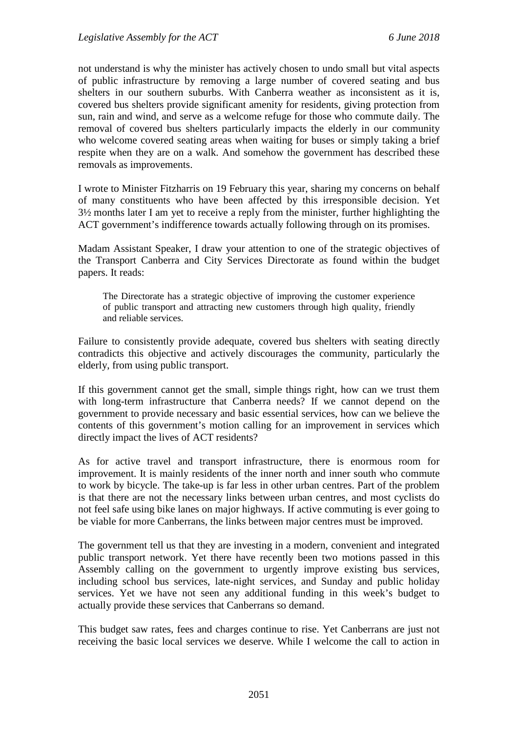not understand is why the minister has actively chosen to undo small but vital aspects of public infrastructure by removing a large number of covered seating and bus shelters in our southern suburbs. With Canberra weather as inconsistent as it is, covered bus shelters provide significant amenity for residents, giving protection from sun, rain and wind, and serve as a welcome refuge for those who commute daily. The removal of covered bus shelters particularly impacts the elderly in our community who welcome covered seating areas when waiting for buses or simply taking a brief respite when they are on a walk. And somehow the government has described these removals as improvements.

I wrote to Minister Fitzharris on 19 February this year, sharing my concerns on behalf of many constituents who have been affected by this irresponsible decision. Yet 3½ months later I am yet to receive a reply from the minister, further highlighting the ACT government's indifference towards actually following through on its promises.

Madam Assistant Speaker, I draw your attention to one of the strategic objectives of the Transport Canberra and City Services Directorate as found within the budget papers. It reads:

The Directorate has a strategic objective of improving the customer experience of public transport and attracting new customers through high quality, friendly and reliable services.

Failure to consistently provide adequate, covered bus shelters with seating directly contradicts this objective and actively discourages the community, particularly the elderly, from using public transport.

If this government cannot get the small, simple things right, how can we trust them with long-term infrastructure that Canberra needs? If we cannot depend on the government to provide necessary and basic essential services, how can we believe the contents of this government's motion calling for an improvement in services which directly impact the lives of ACT residents?

As for active travel and transport infrastructure, there is enormous room for improvement. It is mainly residents of the inner north and inner south who commute to work by bicycle. The take-up is far less in other urban centres. Part of the problem is that there are not the necessary links between urban centres, and most cyclists do not feel safe using bike lanes on major highways. If active commuting is ever going to be viable for more Canberrans, the links between major centres must be improved.

The government tell us that they are investing in a modern, convenient and integrated public transport network. Yet there have recently been two motions passed in this Assembly calling on the government to urgently improve existing bus services, including school bus services, late-night services, and Sunday and public holiday services. Yet we have not seen any additional funding in this week's budget to actually provide these services that Canberrans so demand.

This budget saw rates, fees and charges continue to rise. Yet Canberrans are just not receiving the basic local services we deserve. While I welcome the call to action in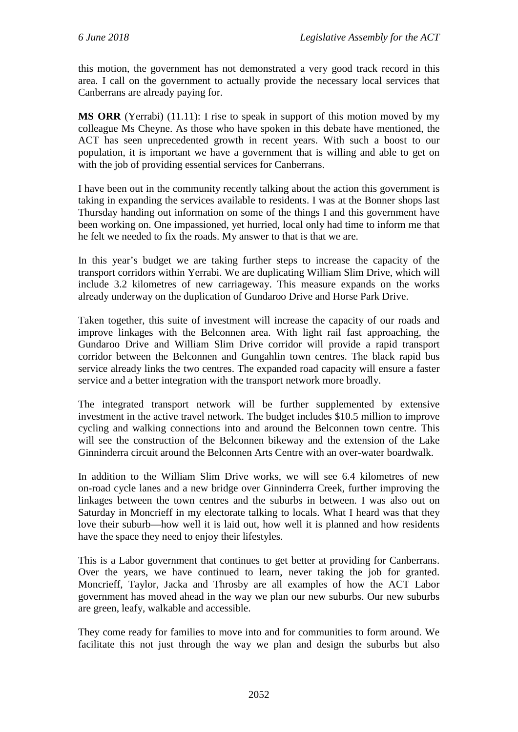this motion, the government has not demonstrated a very good track record in this area. I call on the government to actually provide the necessary local services that Canberrans are already paying for.

**MS ORR** (Yerrabi) (11.11): I rise to speak in support of this motion moved by my colleague Ms Cheyne. As those who have spoken in this debate have mentioned, the ACT has seen unprecedented growth in recent years. With such a boost to our population, it is important we have a government that is willing and able to get on with the job of providing essential services for Canberrans.

I have been out in the community recently talking about the action this government is taking in expanding the services available to residents. I was at the Bonner shops last Thursday handing out information on some of the things I and this government have been working on. One impassioned, yet hurried, local only had time to inform me that he felt we needed to fix the roads. My answer to that is that we are.

In this year's budget we are taking further steps to increase the capacity of the transport corridors within Yerrabi. We are duplicating William Slim Drive, which will include 3.2 kilometres of new carriageway. This measure expands on the works already underway on the duplication of Gundaroo Drive and Horse Park Drive.

Taken together, this suite of investment will increase the capacity of our roads and improve linkages with the Belconnen area. With light rail fast approaching, the Gundaroo Drive and William Slim Drive corridor will provide a rapid transport corridor between the Belconnen and Gungahlin town centres. The black rapid bus service already links the two centres. The expanded road capacity will ensure a faster service and a better integration with the transport network more broadly.

The integrated transport network will be further supplemented by extensive investment in the active travel network. The budget includes \$10.5 million to improve cycling and walking connections into and around the Belconnen town centre. This will see the construction of the Belconnen bikeway and the extension of the Lake Ginninderra circuit around the Belconnen Arts Centre with an over-water boardwalk.

In addition to the William Slim Drive works, we will see 6.4 kilometres of new on-road cycle lanes and a new bridge over Ginninderra Creek, further improving the linkages between the town centres and the suburbs in between. I was also out on Saturday in Moncrieff in my electorate talking to locals. What I heard was that they love their suburb—how well it is laid out, how well it is planned and how residents have the space they need to enjoy their lifestyles.

This is a Labor government that continues to get better at providing for Canberrans. Over the years, we have continued to learn, never taking the job for granted. Moncrieff, Taylor, Jacka and Throsby are all examples of how the ACT Labor government has moved ahead in the way we plan our new suburbs. Our new suburbs are green, leafy, walkable and accessible.

They come ready for families to move into and for communities to form around. We facilitate this not just through the way we plan and design the suburbs but also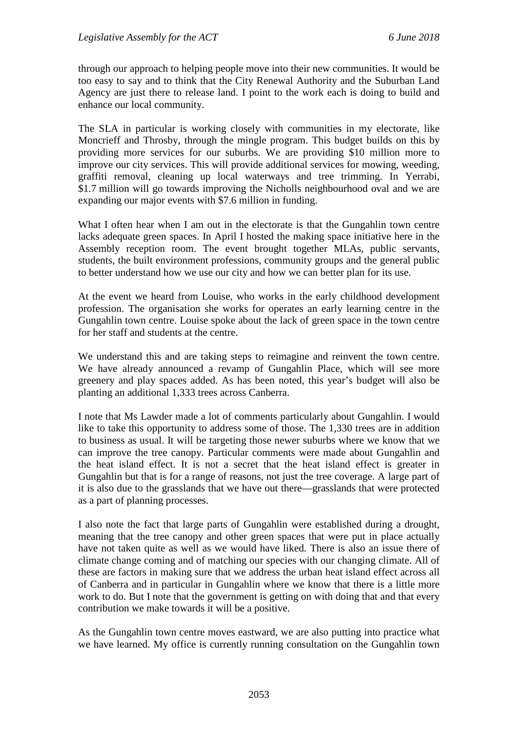through our approach to helping people move into their new communities. It would be too easy to say and to think that the City Renewal Authority and the Suburban Land Agency are just there to release land. I point to the work each is doing to build and enhance our local community.

The SLA in particular is working closely with communities in my electorate, like Moncrieff and Throsby, through the mingle program. This budget builds on this by providing more services for our suburbs. We are providing \$10 million more to improve our city services. This will provide additional services for mowing, weeding, graffiti removal, cleaning up local waterways and tree trimming. In Yerrabi, \$1.7 million will go towards improving the Nicholls neighbourhood oval and we are expanding our major events with \$7.6 million in funding.

What I often hear when I am out in the electorate is that the Gungahlin town centre lacks adequate green spaces. In April I hosted the making space initiative here in the Assembly reception room. The event brought together MLAs, public servants, students, the built environment professions, community groups and the general public to better understand how we use our city and how we can better plan for its use.

At the event we heard from Louise, who works in the early childhood development profession. The organisation she works for operates an early learning centre in the Gungahlin town centre. Louise spoke about the lack of green space in the town centre for her staff and students at the centre.

We understand this and are taking steps to reimagine and reinvent the town centre. We have already announced a revamp of Gungahlin Place, which will see more greenery and play spaces added. As has been noted, this year's budget will also be planting an additional 1,333 trees across Canberra.

I note that Ms Lawder made a lot of comments particularly about Gungahlin. I would like to take this opportunity to address some of those. The 1,330 trees are in addition to business as usual. It will be targeting those newer suburbs where we know that we can improve the tree canopy. Particular comments were made about Gungahlin and the heat island effect. It is not a secret that the heat island effect is greater in Gungahlin but that is for a range of reasons, not just the tree coverage. A large part of it is also due to the grasslands that we have out there—grasslands that were protected as a part of planning processes.

I also note the fact that large parts of Gungahlin were established during a drought, meaning that the tree canopy and other green spaces that were put in place actually have not taken quite as well as we would have liked. There is also an issue there of climate change coming and of matching our species with our changing climate. All of these are factors in making sure that we address the urban heat island effect across all of Canberra and in particular in Gungahlin where we know that there is a little more work to do. But I note that the government is getting on with doing that and that every contribution we make towards it will be a positive.

As the Gungahlin town centre moves eastward, we are also putting into practice what we have learned. My office is currently running consultation on the Gungahlin town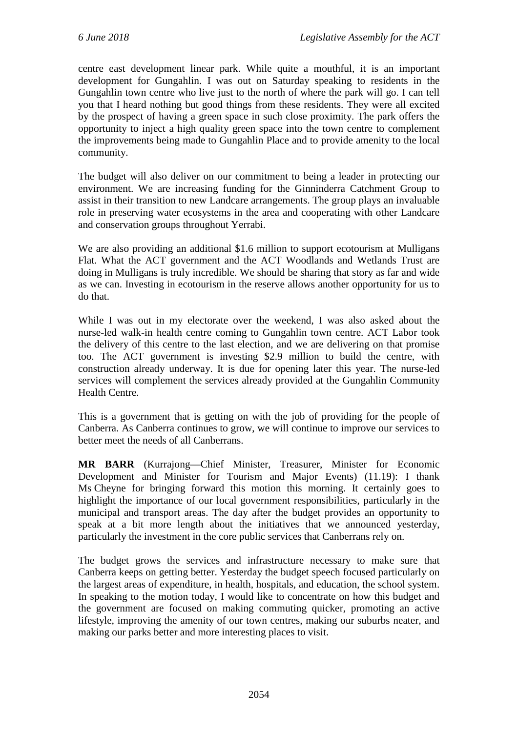centre east development linear park. While quite a mouthful, it is an important development for Gungahlin. I was out on Saturday speaking to residents in the Gungahlin town centre who live just to the north of where the park will go. I can tell you that I heard nothing but good things from these residents. They were all excited by the prospect of having a green space in such close proximity. The park offers the opportunity to inject a high quality green space into the town centre to complement the improvements being made to Gungahlin Place and to provide amenity to the local community.

The budget will also deliver on our commitment to being a leader in protecting our environment. We are increasing funding for the Ginninderra Catchment Group to assist in their transition to new Landcare arrangements. The group plays an invaluable role in preserving water ecosystems in the area and cooperating with other Landcare and conservation groups throughout Yerrabi.

We are also providing an additional \$1.6 million to support ecotourism at Mulligans Flat. What the ACT government and the ACT Woodlands and Wetlands Trust are doing in Mulligans is truly incredible. We should be sharing that story as far and wide as we can. Investing in ecotourism in the reserve allows another opportunity for us to do that.

While I was out in my electorate over the weekend, I was also asked about the nurse-led walk-in health centre coming to Gungahlin town centre. ACT Labor took the delivery of this centre to the last election, and we are delivering on that promise too. The ACT government is investing \$2.9 million to build the centre, with construction already underway. It is due for opening later this year. The nurse-led services will complement the services already provided at the Gungahlin Community Health Centre.

This is a government that is getting on with the job of providing for the people of Canberra. As Canberra continues to grow, we will continue to improve our services to better meet the needs of all Canberrans.

**MR BARR** (Kurrajong—Chief Minister, Treasurer, Minister for Economic Development and Minister for Tourism and Major Events) (11.19): I thank Ms Cheyne for bringing forward this motion this morning. It certainly goes to highlight the importance of our local government responsibilities, particularly in the municipal and transport areas. The day after the budget provides an opportunity to speak at a bit more length about the initiatives that we announced yesterday, particularly the investment in the core public services that Canberrans rely on.

The budget grows the services and infrastructure necessary to make sure that Canberra keeps on getting better. Yesterday the budget speech focused particularly on the largest areas of expenditure, in health, hospitals, and education, the school system. In speaking to the motion today, I would like to concentrate on how this budget and the government are focused on making commuting quicker, promoting an active lifestyle, improving the amenity of our town centres, making our suburbs neater, and making our parks better and more interesting places to visit.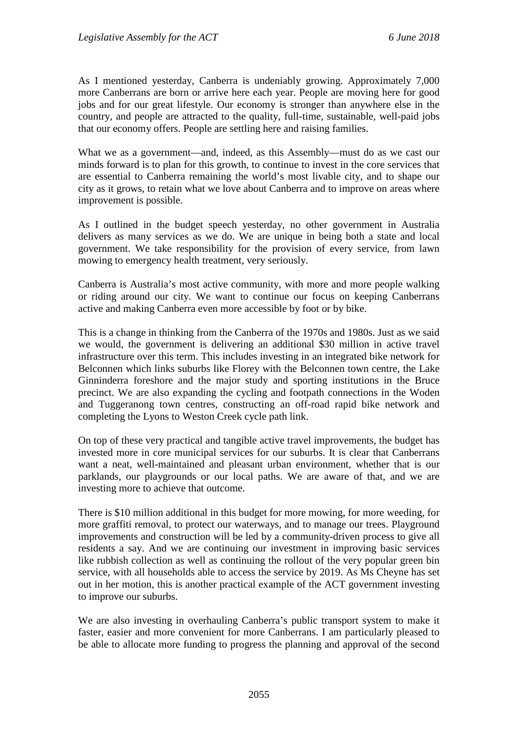As I mentioned yesterday, Canberra is undeniably growing. Approximately 7,000 more Canberrans are born or arrive here each year. People are moving here for good jobs and for our great lifestyle. Our economy is stronger than anywhere else in the country, and people are attracted to the quality, full-time, sustainable, well-paid jobs that our economy offers. People are settling here and raising families.

What we as a government—and, indeed, as this Assembly—must do as we cast our minds forward is to plan for this growth, to continue to invest in the core services that are essential to Canberra remaining the world's most livable city, and to shape our city as it grows, to retain what we love about Canberra and to improve on areas where improvement is possible.

As I outlined in the budget speech yesterday, no other government in Australia delivers as many services as we do. We are unique in being both a state and local government. We take responsibility for the provision of every service, from lawn mowing to emergency health treatment, very seriously.

Canberra is Australia's most active community, with more and more people walking or riding around our city. We want to continue our focus on keeping Canberrans active and making Canberra even more accessible by foot or by bike.

This is a change in thinking from the Canberra of the 1970s and 1980s. Just as we said we would, the government is delivering an additional \$30 million in active travel infrastructure over this term. This includes investing in an integrated bike network for Belconnen which links suburbs like Florey with the Belconnen town centre, the Lake Ginninderra foreshore and the major study and sporting institutions in the Bruce precinct. We are also expanding the cycling and footpath connections in the Woden and Tuggeranong town centres, constructing an off-road rapid bike network and completing the Lyons to Weston Creek cycle path link.

On top of these very practical and tangible active travel improvements, the budget has invested more in core municipal services for our suburbs. It is clear that Canberrans want a neat, well-maintained and pleasant urban environment, whether that is our parklands, our playgrounds or our local paths. We are aware of that, and we are investing more to achieve that outcome.

There is \$10 million additional in this budget for more mowing, for more weeding, for more graffiti removal, to protect our waterways, and to manage our trees. Playground improvements and construction will be led by a community-driven process to give all residents a say. And we are continuing our investment in improving basic services like rubbish collection as well as continuing the rollout of the very popular green bin service, with all households able to access the service by 2019. As Ms Cheyne has set out in her motion, this is another practical example of the ACT government investing to improve our suburbs.

We are also investing in overhauling Canberra's public transport system to make it faster, easier and more convenient for more Canberrans. I am particularly pleased to be able to allocate more funding to progress the planning and approval of the second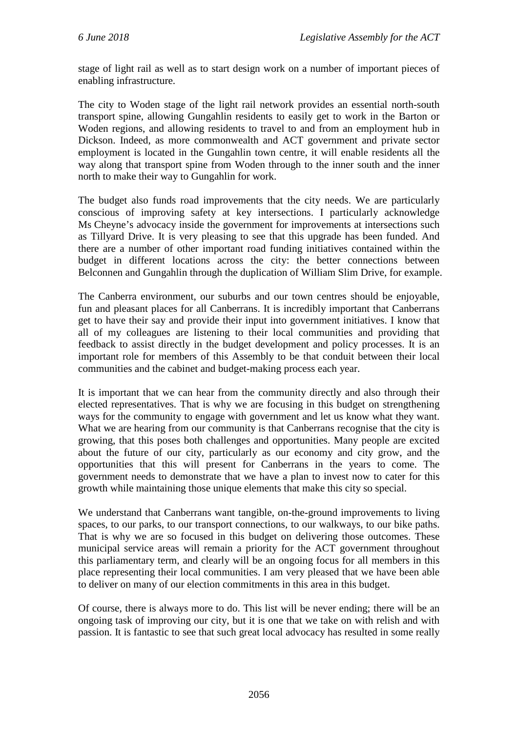stage of light rail as well as to start design work on a number of important pieces of enabling infrastructure.

The city to Woden stage of the light rail network provides an essential north-south transport spine, allowing Gungahlin residents to easily get to work in the Barton or Woden regions, and allowing residents to travel to and from an employment hub in Dickson. Indeed, as more commonwealth and ACT government and private sector employment is located in the Gungahlin town centre, it will enable residents all the way along that transport spine from Woden through to the inner south and the inner north to make their way to Gungahlin for work.

The budget also funds road improvements that the city needs. We are particularly conscious of improving safety at key intersections. I particularly acknowledge Ms Cheyne's advocacy inside the government for improvements at intersections such as Tillyard Drive. It is very pleasing to see that this upgrade has been funded. And there are a number of other important road funding initiatives contained within the budget in different locations across the city: the better connections between Belconnen and Gungahlin through the duplication of William Slim Drive, for example.

The Canberra environment, our suburbs and our town centres should be enjoyable, fun and pleasant places for all Canberrans. It is incredibly important that Canberrans get to have their say and provide their input into government initiatives. I know that all of my colleagues are listening to their local communities and providing that feedback to assist directly in the budget development and policy processes. It is an important role for members of this Assembly to be that conduit between their local communities and the cabinet and budget-making process each year.

It is important that we can hear from the community directly and also through their elected representatives. That is why we are focusing in this budget on strengthening ways for the community to engage with government and let us know what they want. What we are hearing from our community is that Canberrans recognise that the city is growing, that this poses both challenges and opportunities. Many people are excited about the future of our city, particularly as our economy and city grow, and the opportunities that this will present for Canberrans in the years to come. The government needs to demonstrate that we have a plan to invest now to cater for this growth while maintaining those unique elements that make this city so special.

We understand that Canberrans want tangible, on-the-ground improvements to living spaces, to our parks, to our transport connections, to our walkways, to our bike paths. That is why we are so focused in this budget on delivering those outcomes. These municipal service areas will remain a priority for the ACT government throughout this parliamentary term, and clearly will be an ongoing focus for all members in this place representing their local communities. I am very pleased that we have been able to deliver on many of our election commitments in this area in this budget.

Of course, there is always more to do. This list will be never ending; there will be an ongoing task of improving our city, but it is one that we take on with relish and with passion. It is fantastic to see that such great local advocacy has resulted in some really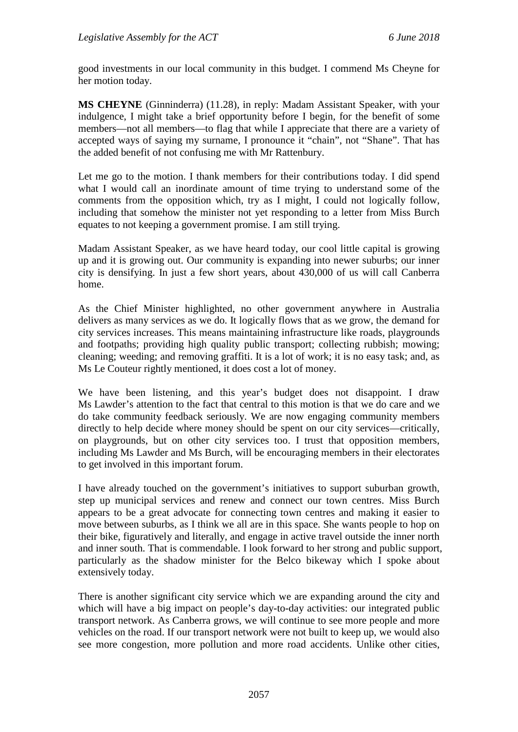good investments in our local community in this budget. I commend Ms Cheyne for her motion today.

**MS CHEYNE** (Ginninderra) (11.28), in reply: Madam Assistant Speaker, with your indulgence, I might take a brief opportunity before I begin, for the benefit of some members—not all members—to flag that while I appreciate that there are a variety of accepted ways of saying my surname, I pronounce it "chain", not "Shane". That has the added benefit of not confusing me with Mr Rattenbury.

Let me go to the motion. I thank members for their contributions today. I did spend what I would call an inordinate amount of time trying to understand some of the comments from the opposition which, try as I might, I could not logically follow, including that somehow the minister not yet responding to a letter from Miss Burch equates to not keeping a government promise. I am still trying.

Madam Assistant Speaker, as we have heard today, our cool little capital is growing up and it is growing out. Our community is expanding into newer suburbs; our inner city is densifying. In just a few short years, about 430,000 of us will call Canberra home.

As the Chief Minister highlighted, no other government anywhere in Australia delivers as many services as we do. It logically flows that as we grow, the demand for city services increases. This means maintaining infrastructure like roads, playgrounds and footpaths; providing high quality public transport; collecting rubbish; mowing; cleaning; weeding; and removing graffiti. It is a lot of work; it is no easy task; and, as Ms Le Couteur rightly mentioned, it does cost a lot of money.

We have been listening, and this year's budget does not disappoint. I draw Ms Lawder's attention to the fact that central to this motion is that we do care and we do take community feedback seriously. We are now engaging community members directly to help decide where money should be spent on our city services—critically, on playgrounds, but on other city services too. I trust that opposition members, including Ms Lawder and Ms Burch, will be encouraging members in their electorates to get involved in this important forum.

I have already touched on the government's initiatives to support suburban growth, step up municipal services and renew and connect our town centres. Miss Burch appears to be a great advocate for connecting town centres and making it easier to move between suburbs, as I think we all are in this space. She wants people to hop on their bike, figuratively and literally, and engage in active travel outside the inner north and inner south. That is commendable. I look forward to her strong and public support, particularly as the shadow minister for the Belco bikeway which I spoke about extensively today.

There is another significant city service which we are expanding around the city and which will have a big impact on people's day-to-day activities: our integrated public transport network. As Canberra grows, we will continue to see more people and more vehicles on the road. If our transport network were not built to keep up, we would also see more congestion, more pollution and more road accidents. Unlike other cities,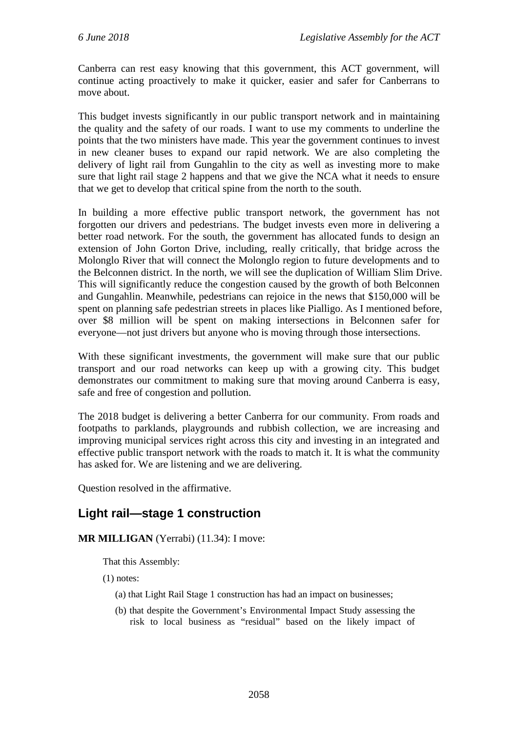Canberra can rest easy knowing that this government, this ACT government, will continue acting proactively to make it quicker, easier and safer for Canberrans to move about.

This budget invests significantly in our public transport network and in maintaining the quality and the safety of our roads. I want to use my comments to underline the points that the two ministers have made. This year the government continues to invest in new cleaner buses to expand our rapid network. We are also completing the delivery of light rail from Gungahlin to the city as well as investing more to make sure that light rail stage 2 happens and that we give the NCA what it needs to ensure that we get to develop that critical spine from the north to the south.

In building a more effective public transport network, the government has not forgotten our drivers and pedestrians. The budget invests even more in delivering a better road network. For the south, the government has allocated funds to design an extension of John Gorton Drive, including, really critically, that bridge across the Molonglo River that will connect the Molonglo region to future developments and to the Belconnen district. In the north, we will see the duplication of William Slim Drive. This will significantly reduce the congestion caused by the growth of both Belconnen and Gungahlin. Meanwhile, pedestrians can rejoice in the news that \$150,000 will be spent on planning safe pedestrian streets in places like Pialligo. As I mentioned before, over \$8 million will be spent on making intersections in Belconnen safer for everyone—not just drivers but anyone who is moving through those intersections.

With these significant investments, the government will make sure that our public transport and our road networks can keep up with a growing city. This budget demonstrates our commitment to making sure that moving around Canberra is easy, safe and free of congestion and pollution.

The 2018 budget is delivering a better Canberra for our community. From roads and footpaths to parklands, playgrounds and rubbish collection, we are increasing and improving municipal services right across this city and investing in an integrated and effective public transport network with the roads to match it. It is what the community has asked for. We are listening and we are delivering.

Question resolved in the affirmative.

#### <span id="page-29-0"></span>**Light rail—stage 1 construction**

**MR MILLIGAN** (Yerrabi) (11.34): I move:

That this Assembly:

(1) notes:

- (a) that Light Rail Stage 1 construction has had an impact on businesses;
- (b) that despite the Government's Environmental Impact Study assessing the risk to local business as "residual" based on the likely impact of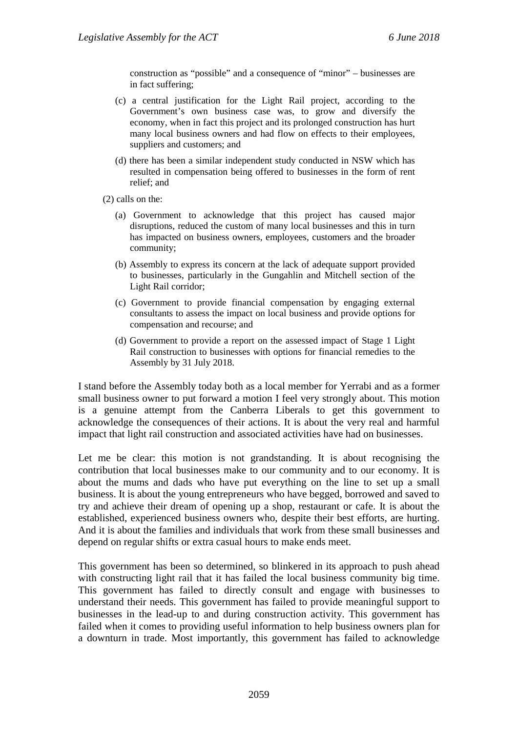construction as "possible" and a consequence of "minor" – businesses are in fact suffering;

- (c) a central justification for the Light Rail project, according to the Government's own business case was, to grow and diversify the economy, when in fact this project and its prolonged construction has hurt many local business owners and had flow on effects to their employees, suppliers and customers; and
- (d) there has been a similar independent study conducted in NSW which has resulted in compensation being offered to businesses in the form of rent relief; and
- (2) calls on the:
	- (a) Government to acknowledge that this project has caused major disruptions, reduced the custom of many local businesses and this in turn has impacted on business owners, employees, customers and the broader community;
	- (b) Assembly to express its concern at the lack of adequate support provided to businesses, particularly in the Gungahlin and Mitchell section of the Light Rail corridor;
	- (c) Government to provide financial compensation by engaging external consultants to assess the impact on local business and provide options for compensation and recourse; and
	- (d) Government to provide a report on the assessed impact of Stage 1 Light Rail construction to businesses with options for financial remedies to the Assembly by 31 July 2018.

I stand before the Assembly today both as a local member for Yerrabi and as a former small business owner to put forward a motion I feel very strongly about. This motion is a genuine attempt from the Canberra Liberals to get this government to acknowledge the consequences of their actions. It is about the very real and harmful impact that light rail construction and associated activities have had on businesses.

Let me be clear: this motion is not grandstanding. It is about recognising the contribution that local businesses make to our community and to our economy. It is about the mums and dads who have put everything on the line to set up a small business. It is about the young entrepreneurs who have begged, borrowed and saved to try and achieve their dream of opening up a shop, restaurant or cafe. It is about the established, experienced business owners who, despite their best efforts, are hurting. And it is about the families and individuals that work from these small businesses and depend on regular shifts or extra casual hours to make ends meet.

This government has been so determined, so blinkered in its approach to push ahead with constructing light rail that it has failed the local business community big time. This government has failed to directly consult and engage with businesses to understand their needs. This government has failed to provide meaningful support to businesses in the lead-up to and during construction activity. This government has failed when it comes to providing useful information to help business owners plan for a downturn in trade. Most importantly, this government has failed to acknowledge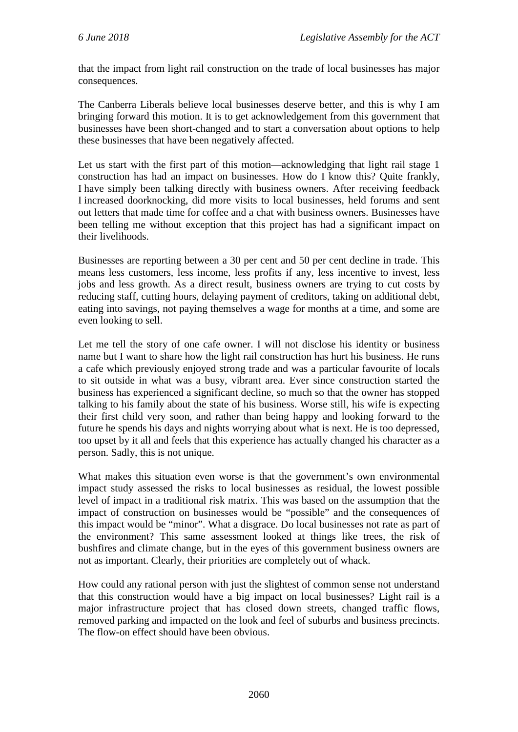that the impact from light rail construction on the trade of local businesses has major consequences.

The Canberra Liberals believe local businesses deserve better, and this is why I am bringing forward this motion. It is to get acknowledgement from this government that businesses have been short-changed and to start a conversation about options to help these businesses that have been negatively affected.

Let us start with the first part of this motion—acknowledging that light rail stage 1 construction has had an impact on businesses. How do I know this? Quite frankly, I have simply been talking directly with business owners. After receiving feedback I increased doorknocking, did more visits to local businesses, held forums and sent out letters that made time for coffee and a chat with business owners. Businesses have been telling me without exception that this project has had a significant impact on their livelihoods.

Businesses are reporting between a 30 per cent and 50 per cent decline in trade. This means less customers, less income, less profits if any, less incentive to invest, less jobs and less growth. As a direct result, business owners are trying to cut costs by reducing staff, cutting hours, delaying payment of creditors, taking on additional debt, eating into savings, not paying themselves a wage for months at a time, and some are even looking to sell.

Let me tell the story of one cafe owner. I will not disclose his identity or business name but I want to share how the light rail construction has hurt his business. He runs a cafe which previously enjoyed strong trade and was a particular favourite of locals to sit outside in what was a busy, vibrant area. Ever since construction started the business has experienced a significant decline, so much so that the owner has stopped talking to his family about the state of his business. Worse still, his wife is expecting their first child very soon, and rather than being happy and looking forward to the future he spends his days and nights worrying about what is next. He is too depressed, too upset by it all and feels that this experience has actually changed his character as a person. Sadly, this is not unique.

What makes this situation even worse is that the government's own environmental impact study assessed the risks to local businesses as residual, the lowest possible level of impact in a traditional risk matrix. This was based on the assumption that the impact of construction on businesses would be "possible" and the consequences of this impact would be "minor". What a disgrace. Do local businesses not rate as part of the environment? This same assessment looked at things like trees, the risk of bushfires and climate change, but in the eyes of this government business owners are not as important. Clearly, their priorities are completely out of whack.

How could any rational person with just the slightest of common sense not understand that this construction would have a big impact on local businesses? Light rail is a major infrastructure project that has closed down streets, changed traffic flows, removed parking and impacted on the look and feel of suburbs and business precincts. The flow-on effect should have been obvious.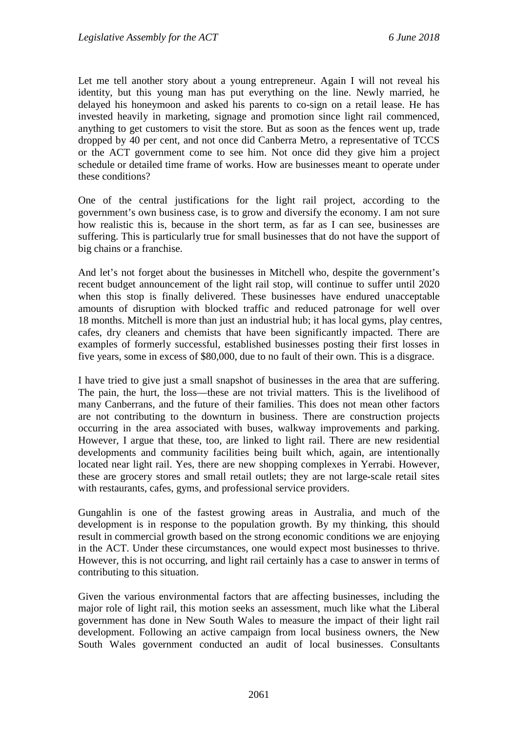Let me tell another story about a young entrepreneur. Again I will not reveal his identity, but this young man has put everything on the line. Newly married, he delayed his honeymoon and asked his parents to co-sign on a retail lease. He has invested heavily in marketing, signage and promotion since light rail commenced, anything to get customers to visit the store. But as soon as the fences went up, trade dropped by 40 per cent, and not once did Canberra Metro, a representative of TCCS or the ACT government come to see him. Not once did they give him a project schedule or detailed time frame of works. How are businesses meant to operate under these conditions?

One of the central justifications for the light rail project, according to the government's own business case, is to grow and diversify the economy. I am not sure how realistic this is, because in the short term, as far as I can see, businesses are suffering. This is particularly true for small businesses that do not have the support of big chains or a franchise.

And let's not forget about the businesses in Mitchell who, despite the government's recent budget announcement of the light rail stop, will continue to suffer until 2020 when this stop is finally delivered. These businesses have endured unacceptable amounts of disruption with blocked traffic and reduced patronage for well over 18 months. Mitchell is more than just an industrial hub; it has local gyms, play centres, cafes, dry cleaners and chemists that have been significantly impacted. There are examples of formerly successful, established businesses posting their first losses in five years, some in excess of \$80,000, due to no fault of their own. This is a disgrace.

I have tried to give just a small snapshot of businesses in the area that are suffering. The pain, the hurt, the loss—these are not trivial matters. This is the livelihood of many Canberrans, and the future of their families. This does not mean other factors are not contributing to the downturn in business. There are construction projects occurring in the area associated with buses, walkway improvements and parking. However, I argue that these, too, are linked to light rail. There are new residential developments and community facilities being built which, again, are intentionally located near light rail. Yes, there are new shopping complexes in Yerrabi. However, these are grocery stores and small retail outlets; they are not large-scale retail sites with restaurants, cafes, gyms, and professional service providers.

Gungahlin is one of the fastest growing areas in Australia, and much of the development is in response to the population growth. By my thinking, this should result in commercial growth based on the strong economic conditions we are enjoying in the ACT. Under these circumstances, one would expect most businesses to thrive. However, this is not occurring, and light rail certainly has a case to answer in terms of contributing to this situation.

Given the various environmental factors that are affecting businesses, including the major role of light rail, this motion seeks an assessment, much like what the Liberal government has done in New South Wales to measure the impact of their light rail development. Following an active campaign from local business owners, the New South Wales government conducted an audit of local businesses. Consultants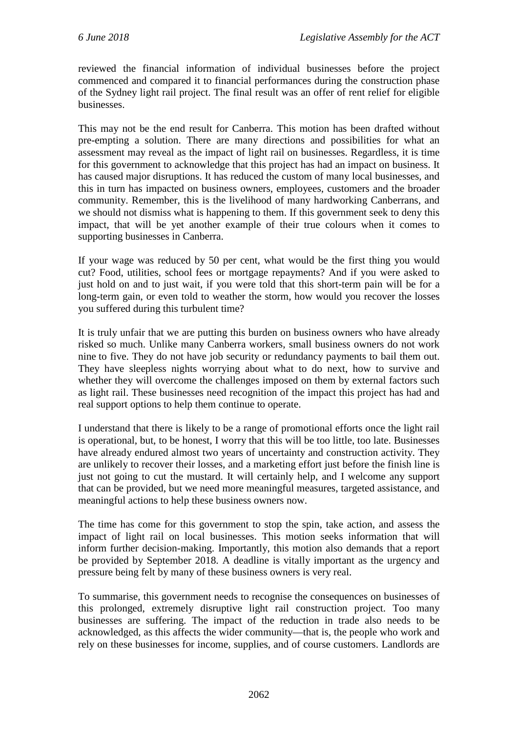reviewed the financial information of individual businesses before the project commenced and compared it to financial performances during the construction phase of the Sydney light rail project. The final result was an offer of rent relief for eligible businesses.

This may not be the end result for Canberra. This motion has been drafted without pre-empting a solution. There are many directions and possibilities for what an assessment may reveal as the impact of light rail on businesses. Regardless, it is time for this government to acknowledge that this project has had an impact on business. It has caused major disruptions. It has reduced the custom of many local businesses, and this in turn has impacted on business owners, employees, customers and the broader community. Remember, this is the livelihood of many hardworking Canberrans, and we should not dismiss what is happening to them. If this government seek to deny this impact, that will be yet another example of their true colours when it comes to supporting businesses in Canberra.

If your wage was reduced by 50 per cent, what would be the first thing you would cut? Food, utilities, school fees or mortgage repayments? And if you were asked to just hold on and to just wait, if you were told that this short-term pain will be for a long-term gain, or even told to weather the storm, how would you recover the losses you suffered during this turbulent time?

It is truly unfair that we are putting this burden on business owners who have already risked so much. Unlike many Canberra workers, small business owners do not work nine to five. They do not have job security or redundancy payments to bail them out. They have sleepless nights worrying about what to do next, how to survive and whether they will overcome the challenges imposed on them by external factors such as light rail. These businesses need recognition of the impact this project has had and real support options to help them continue to operate.

I understand that there is likely to be a range of promotional efforts once the light rail is operational, but, to be honest, I worry that this will be too little, too late. Businesses have already endured almost two years of uncertainty and construction activity. They are unlikely to recover their losses, and a marketing effort just before the finish line is just not going to cut the mustard. It will certainly help, and I welcome any support that can be provided, but we need more meaningful measures, targeted assistance, and meaningful actions to help these business owners now.

The time has come for this government to stop the spin, take action, and assess the impact of light rail on local businesses. This motion seeks information that will inform further decision-making. Importantly, this motion also demands that a report be provided by September 2018. A deadline is vitally important as the urgency and pressure being felt by many of these business owners is very real.

To summarise, this government needs to recognise the consequences on businesses of this prolonged, extremely disruptive light rail construction project. Too many businesses are suffering. The impact of the reduction in trade also needs to be acknowledged, as this affects the wider community—that is, the people who work and rely on these businesses for income, supplies, and of course customers. Landlords are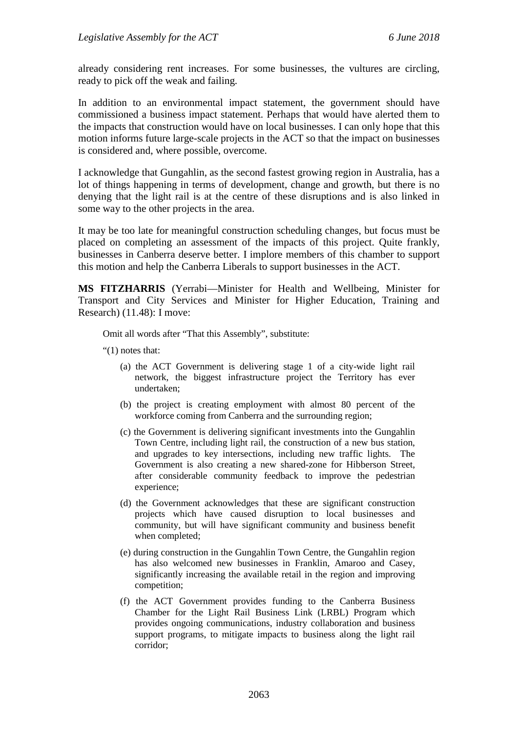already considering rent increases. For some businesses, the vultures are circling, ready to pick off the weak and failing.

In addition to an environmental impact statement, the government should have commissioned a business impact statement. Perhaps that would have alerted them to the impacts that construction would have on local businesses. I can only hope that this motion informs future large-scale projects in the ACT so that the impact on businesses is considered and, where possible, overcome.

I acknowledge that Gungahlin, as the second fastest growing region in Australia, has a lot of things happening in terms of development, change and growth, but there is no denying that the light rail is at the centre of these disruptions and is also linked in some way to the other projects in the area.

It may be too late for meaningful construction scheduling changes, but focus must be placed on completing an assessment of the impacts of this project. Quite frankly, businesses in Canberra deserve better. I implore members of this chamber to support this motion and help the Canberra Liberals to support businesses in the ACT.

**MS FITZHARRIS** (Yerrabi—Minister for Health and Wellbeing, Minister for Transport and City Services and Minister for Higher Education, Training and Research) (11.48): I move:

Omit all words after "That this Assembly", substitute:

"(1) notes that:

- (a) the ACT Government is delivering stage 1 of a city-wide light rail network, the biggest infrastructure project the Territory has ever undertaken;
- (b) the project is creating employment with almost 80 percent of the workforce coming from Canberra and the surrounding region;
- (c) the Government is delivering significant investments into the Gungahlin Town Centre, including light rail, the construction of a new bus station, and upgrades to key intersections, including new traffic lights. The Government is also creating a new shared-zone for Hibberson Street, after considerable community feedback to improve the pedestrian experience;
- (d) the Government acknowledges that these are significant construction projects which have caused disruption to local businesses and community, but will have significant community and business benefit when completed;
- (e) during construction in the Gungahlin Town Centre, the Gungahlin region has also welcomed new businesses in Franklin, Amaroo and Casey, significantly increasing the available retail in the region and improving competition;
- (f) the ACT Government provides funding to the Canberra Business Chamber for the Light Rail Business Link (LRBL) Program which provides ongoing communications, industry collaboration and business support programs, to mitigate impacts to business along the light rail corridor;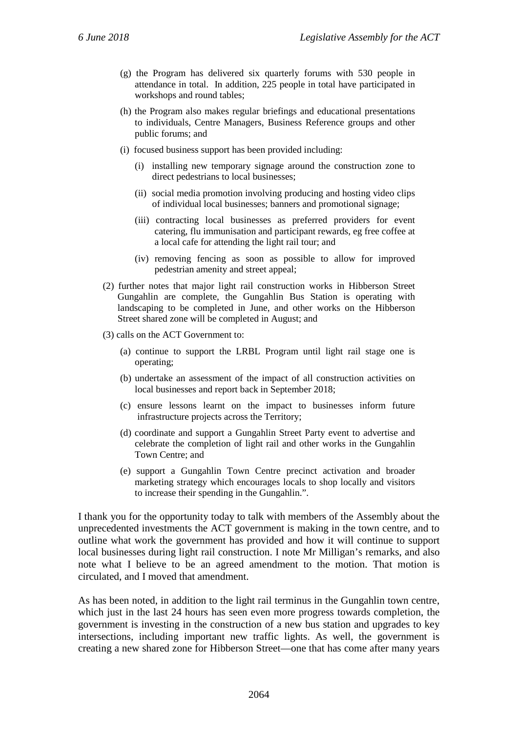- (g) the Program has delivered six quarterly forums with 530 people in attendance in total. In addition, 225 people in total have participated in workshops and round tables;
- (h) the Program also makes regular briefings and educational presentations to individuals, Centre Managers, Business Reference groups and other public forums; and
- (i) focused business support has been provided including:
	- (i) installing new temporary signage around the construction zone to direct pedestrians to local businesses;
	- (ii) social media promotion involving producing and hosting video clips of individual local businesses; banners and promotional signage;
	- (iii) contracting local businesses as preferred providers for event catering, flu immunisation and participant rewards, eg free coffee at a local cafe for attending the light rail tour; and
	- (iv) removing fencing as soon as possible to allow for improved pedestrian amenity and street appeal;
- (2) further notes that major light rail construction works in Hibberson Street Gungahlin are complete, the Gungahlin Bus Station is operating with landscaping to be completed in June, and other works on the Hibberson Street shared zone will be completed in August; and
- (3) calls on the ACT Government to:
	- (a) continue to support the LRBL Program until light rail stage one is operating;
	- (b) undertake an assessment of the impact of all construction activities on local businesses and report back in September 2018;
	- (c) ensure lessons learnt on the impact to businesses inform future infrastructure projects across the Territory;
	- (d) coordinate and support a Gungahlin Street Party event to advertise and celebrate the completion of light rail and other works in the Gungahlin Town Centre; and
	- (e) support a Gungahlin Town Centre precinct activation and broader marketing strategy which encourages locals to shop locally and visitors to increase their spending in the Gungahlin.".

I thank you for the opportunity today to talk with members of the Assembly about the unprecedented investments the ACT government is making in the town centre, and to outline what work the government has provided and how it will continue to support local businesses during light rail construction. I note Mr Milligan's remarks, and also note what I believe to be an agreed amendment to the motion. That motion is circulated, and I moved that amendment.

As has been noted, in addition to the light rail terminus in the Gungahlin town centre, which just in the last 24 hours has seen even more progress towards completion, the government is investing in the construction of a new bus station and upgrades to key intersections, including important new traffic lights. As well, the government is creating a new shared zone for Hibberson Street—one that has come after many years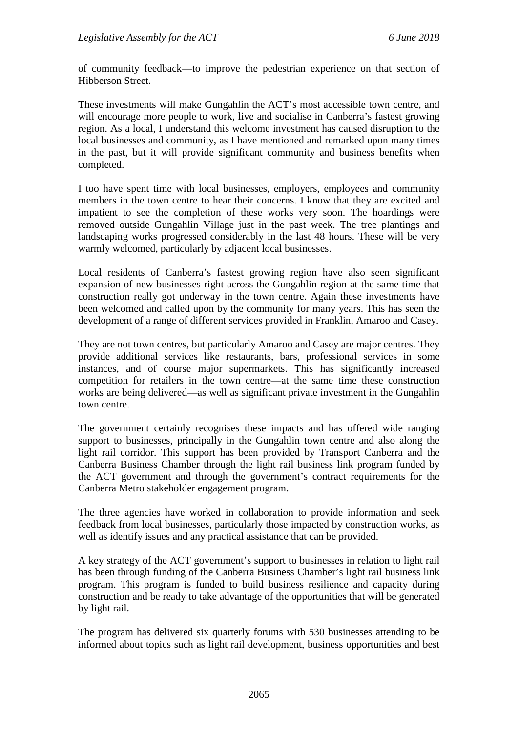of community feedback—to improve the pedestrian experience on that section of Hibberson Street.

These investments will make Gungahlin the ACT's most accessible town centre, and will encourage more people to work, live and socialise in Canberra's fastest growing region. As a local, I understand this welcome investment has caused disruption to the local businesses and community, as I have mentioned and remarked upon many times in the past, but it will provide significant community and business benefits when completed.

I too have spent time with local businesses, employers, employees and community members in the town centre to hear their concerns. I know that they are excited and impatient to see the completion of these works very soon. The hoardings were removed outside Gungahlin Village just in the past week. The tree plantings and landscaping works progressed considerably in the last 48 hours. These will be very warmly welcomed, particularly by adjacent local businesses.

Local residents of Canberra's fastest growing region have also seen significant expansion of new businesses right across the Gungahlin region at the same time that construction really got underway in the town centre. Again these investments have been welcomed and called upon by the community for many years. This has seen the development of a range of different services provided in Franklin, Amaroo and Casey.

They are not town centres, but particularly Amaroo and Casey are major centres. They provide additional services like restaurants, bars, professional services in some instances, and of course major supermarkets. This has significantly increased competition for retailers in the town centre—at the same time these construction works are being delivered—as well as significant private investment in the Gungahlin town centre.

The government certainly recognises these impacts and has offered wide ranging support to businesses, principally in the Gungahlin town centre and also along the light rail corridor. This support has been provided by Transport Canberra and the Canberra Business Chamber through the light rail business link program funded by the ACT government and through the government's contract requirements for the Canberra Metro stakeholder engagement program.

The three agencies have worked in collaboration to provide information and seek feedback from local businesses, particularly those impacted by construction works, as well as identify issues and any practical assistance that can be provided.

A key strategy of the ACT government's support to businesses in relation to light rail has been through funding of the Canberra Business Chamber's light rail business link program. This program is funded to build business resilience and capacity during construction and be ready to take advantage of the opportunities that will be generated by light rail.

The program has delivered six quarterly forums with 530 businesses attending to be informed about topics such as light rail development, business opportunities and best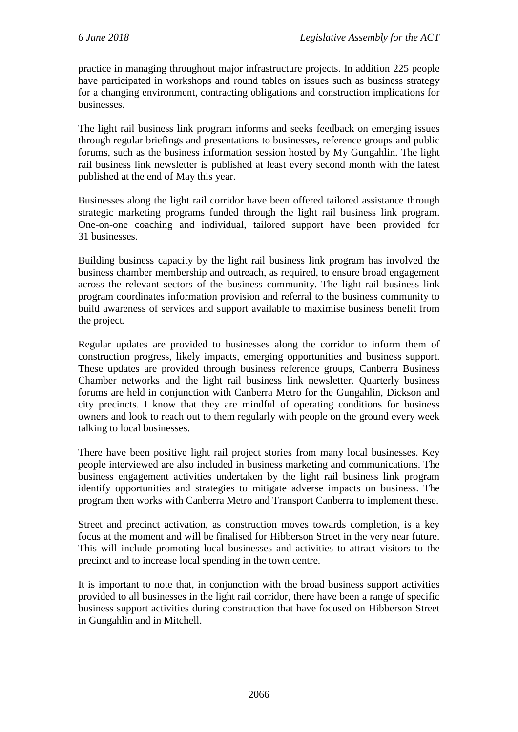practice in managing throughout major infrastructure projects. In addition 225 people have participated in workshops and round tables on issues such as business strategy for a changing environment, contracting obligations and construction implications for businesses.

The light rail business link program informs and seeks feedback on emerging issues through regular briefings and presentations to businesses, reference groups and public forums, such as the business information session hosted by My Gungahlin. The light rail business link newsletter is published at least every second month with the latest published at the end of May this year.

Businesses along the light rail corridor have been offered tailored assistance through strategic marketing programs funded through the light rail business link program. One-on-one coaching and individual, tailored support have been provided for 31 businesses.

Building business capacity by the light rail business link program has involved the business chamber membership and outreach, as required, to ensure broad engagement across the relevant sectors of the business community. The light rail business link program coordinates information provision and referral to the business community to build awareness of services and support available to maximise business benefit from the project.

Regular updates are provided to businesses along the corridor to inform them of construction progress, likely impacts, emerging opportunities and business support. These updates are provided through business reference groups, Canberra Business Chamber networks and the light rail business link newsletter. Quarterly business forums are held in conjunction with Canberra Metro for the Gungahlin, Dickson and city precincts. I know that they are mindful of operating conditions for business owners and look to reach out to them regularly with people on the ground every week talking to local businesses.

There have been positive light rail project stories from many local businesses. Key people interviewed are also included in business marketing and communications. The business engagement activities undertaken by the light rail business link program identify opportunities and strategies to mitigate adverse impacts on business. The program then works with Canberra Metro and Transport Canberra to implement these.

Street and precinct activation, as construction moves towards completion, is a key focus at the moment and will be finalised for Hibberson Street in the very near future. This will include promoting local businesses and activities to attract visitors to the precinct and to increase local spending in the town centre.

It is important to note that, in conjunction with the broad business support activities provided to all businesses in the light rail corridor, there have been a range of specific business support activities during construction that have focused on Hibberson Street in Gungahlin and in Mitchell.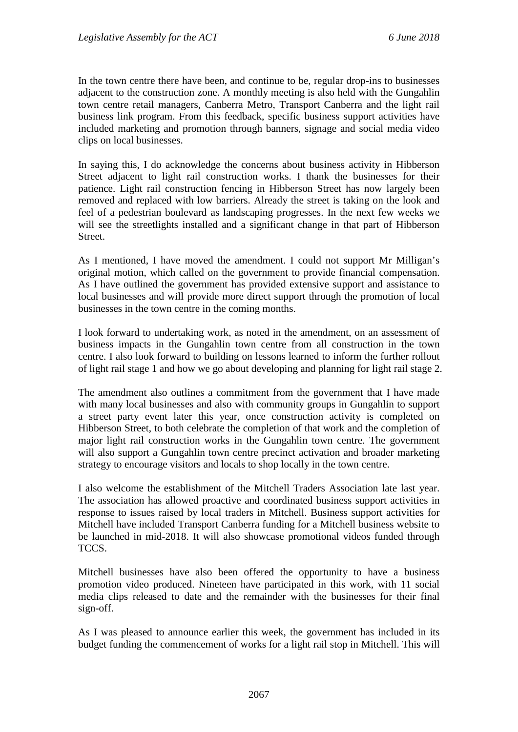In the town centre there have been, and continue to be, regular drop-ins to businesses adjacent to the construction zone. A monthly meeting is also held with the Gungahlin town centre retail managers, Canberra Metro, Transport Canberra and the light rail business link program. From this feedback, specific business support activities have included marketing and promotion through banners, signage and social media video clips on local businesses.

In saying this, I do acknowledge the concerns about business activity in Hibberson Street adjacent to light rail construction works. I thank the businesses for their patience. Light rail construction fencing in Hibberson Street has now largely been removed and replaced with low barriers. Already the street is taking on the look and feel of a pedestrian boulevard as landscaping progresses. In the next few weeks we will see the streetlights installed and a significant change in that part of Hibberson Street.

As I mentioned, I have moved the amendment. I could not support Mr Milligan's original motion, which called on the government to provide financial compensation. As I have outlined the government has provided extensive support and assistance to local businesses and will provide more direct support through the promotion of local businesses in the town centre in the coming months.

I look forward to undertaking work, as noted in the amendment, on an assessment of business impacts in the Gungahlin town centre from all construction in the town centre. I also look forward to building on lessons learned to inform the further rollout of light rail stage 1 and how we go about developing and planning for light rail stage 2.

The amendment also outlines a commitment from the government that I have made with many local businesses and also with community groups in Gungahlin to support a street party event later this year, once construction activity is completed on Hibberson Street, to both celebrate the completion of that work and the completion of major light rail construction works in the Gungahlin town centre. The government will also support a Gungahlin town centre precinct activation and broader marketing strategy to encourage visitors and locals to shop locally in the town centre.

I also welcome the establishment of the Mitchell Traders Association late last year. The association has allowed proactive and coordinated business support activities in response to issues raised by local traders in Mitchell. Business support activities for Mitchell have included Transport Canberra funding for a Mitchell business website to be launched in mid-2018. It will also showcase promotional videos funded through TCCS.

Mitchell businesses have also been offered the opportunity to have a business promotion video produced. Nineteen have participated in this work, with 11 social media clips released to date and the remainder with the businesses for their final sign-off.

As I was pleased to announce earlier this week, the government has included in its budget funding the commencement of works for a light rail stop in Mitchell. This will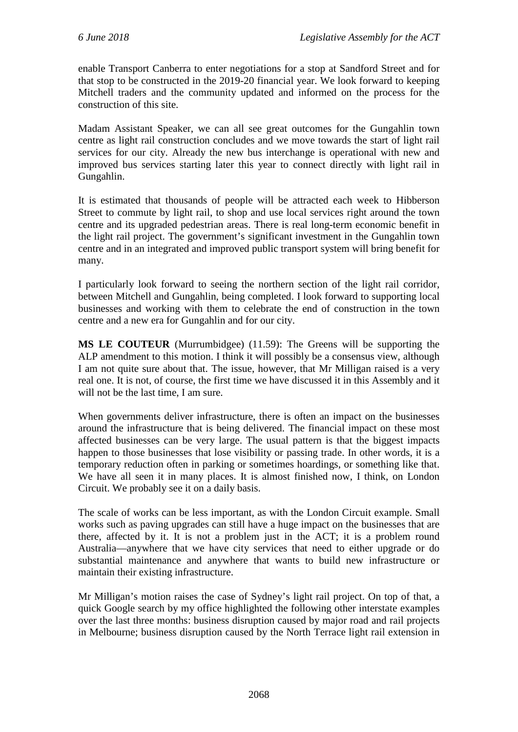enable Transport Canberra to enter negotiations for a stop at Sandford Street and for that stop to be constructed in the 2019-20 financial year. We look forward to keeping Mitchell traders and the community updated and informed on the process for the construction of this site.

Madam Assistant Speaker, we can all see great outcomes for the Gungahlin town centre as light rail construction concludes and we move towards the start of light rail services for our city. Already the new bus interchange is operational with new and improved bus services starting later this year to connect directly with light rail in Gungahlin.

It is estimated that thousands of people will be attracted each week to Hibberson Street to commute by light rail, to shop and use local services right around the town centre and its upgraded pedestrian areas. There is real long-term economic benefit in the light rail project. The government's significant investment in the Gungahlin town centre and in an integrated and improved public transport system will bring benefit for many.

I particularly look forward to seeing the northern section of the light rail corridor, between Mitchell and Gungahlin, being completed. I look forward to supporting local businesses and working with them to celebrate the end of construction in the town centre and a new era for Gungahlin and for our city.

**MS LE COUTEUR** (Murrumbidgee) (11.59): The Greens will be supporting the ALP amendment to this motion. I think it will possibly be a consensus view, although I am not quite sure about that. The issue, however, that Mr Milligan raised is a very real one. It is not, of course, the first time we have discussed it in this Assembly and it will not be the last time, I am sure.

When governments deliver infrastructure, there is often an impact on the businesses around the infrastructure that is being delivered. The financial impact on these most affected businesses can be very large. The usual pattern is that the biggest impacts happen to those businesses that lose visibility or passing trade. In other words, it is a temporary reduction often in parking or sometimes hoardings, or something like that. We have all seen it in many places. It is almost finished now, I think, on London Circuit. We probably see it on a daily basis.

The scale of works can be less important, as with the London Circuit example. Small works such as paving upgrades can still have a huge impact on the businesses that are there, affected by it. It is not a problem just in the ACT; it is a problem round Australia—anywhere that we have city services that need to either upgrade or do substantial maintenance and anywhere that wants to build new infrastructure or maintain their existing infrastructure.

Mr Milligan's motion raises the case of Sydney's light rail project. On top of that, a quick Google search by my office highlighted the following other interstate examples over the last three months: business disruption caused by major road and rail projects in Melbourne; business disruption caused by the North Terrace light rail extension in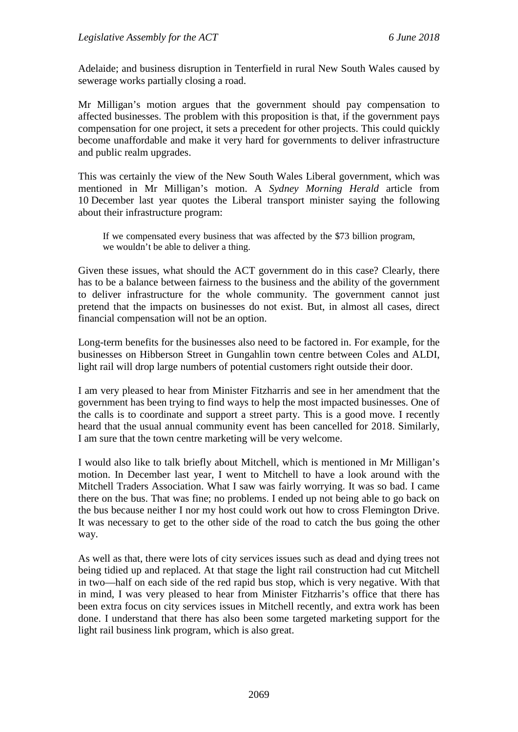Adelaide; and business disruption in Tenterfield in rural New South Wales caused by sewerage works partially closing a road.

Mr Milligan's motion argues that the government should pay compensation to affected businesses. The problem with this proposition is that, if the government pays compensation for one project, it sets a precedent for other projects. This could quickly become unaffordable and make it very hard for governments to deliver infrastructure and public realm upgrades.

This was certainly the view of the New South Wales Liberal government, which was mentioned in Mr Milligan's motion. A *Sydney Morning Herald* article from 10 December last year quotes the Liberal transport minister saying the following about their infrastructure program:

If we compensated every business that was affected by the \$73 billion program, we wouldn't be able to deliver a thing.

Given these issues, what should the ACT government do in this case? Clearly, there has to be a balance between fairness to the business and the ability of the government to deliver infrastructure for the whole community. The government cannot just pretend that the impacts on businesses do not exist. But, in almost all cases, direct financial compensation will not be an option.

Long-term benefits for the businesses also need to be factored in. For example, for the businesses on Hibberson Street in Gungahlin town centre between Coles and ALDI, light rail will drop large numbers of potential customers right outside their door.

I am very pleased to hear from Minister Fitzharris and see in her amendment that the government has been trying to find ways to help the most impacted businesses. One of the calls is to coordinate and support a street party. This is a good move. I recently heard that the usual annual community event has been cancelled for 2018. Similarly, I am sure that the town centre marketing will be very welcome.

I would also like to talk briefly about Mitchell, which is mentioned in Mr Milligan's motion. In December last year, I went to Mitchell to have a look around with the Mitchell Traders Association. What I saw was fairly worrying. It was so bad. I came there on the bus. That was fine; no problems. I ended up not being able to go back on the bus because neither I nor my host could work out how to cross Flemington Drive. It was necessary to get to the other side of the road to catch the bus going the other way.

As well as that, there were lots of city services issues such as dead and dying trees not being tidied up and replaced. At that stage the light rail construction had cut Mitchell in two—half on each side of the red rapid bus stop, which is very negative. With that in mind, I was very pleased to hear from Minister Fitzharris's office that there has been extra focus on city services issues in Mitchell recently, and extra work has been done. I understand that there has also been some targeted marketing support for the light rail business link program, which is also great.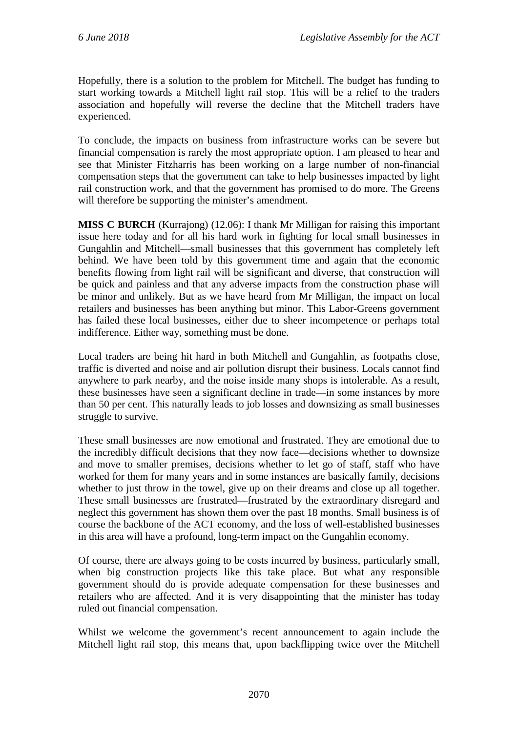Hopefully, there is a solution to the problem for Mitchell. The budget has funding to start working towards a Mitchell light rail stop. This will be a relief to the traders association and hopefully will reverse the decline that the Mitchell traders have experienced.

To conclude, the impacts on business from infrastructure works can be severe but financial compensation is rarely the most appropriate option. I am pleased to hear and see that Minister Fitzharris has been working on a large number of non-financial compensation steps that the government can take to help businesses impacted by light rail construction work, and that the government has promised to do more. The Greens will therefore be supporting the minister's amendment.

**MISS C BURCH** (Kurrajong) (12.06): I thank Mr Milligan for raising this important issue here today and for all his hard work in fighting for local small businesses in Gungahlin and Mitchell—small businesses that this government has completely left behind. We have been told by this government time and again that the economic benefits flowing from light rail will be significant and diverse, that construction will be quick and painless and that any adverse impacts from the construction phase will be minor and unlikely. But as we have heard from Mr Milligan, the impact on local retailers and businesses has been anything but minor. This Labor-Greens government has failed these local businesses, either due to sheer incompetence or perhaps total indifference. Either way, something must be done.

Local traders are being hit hard in both Mitchell and Gungahlin, as footpaths close, traffic is diverted and noise and air pollution disrupt their business. Locals cannot find anywhere to park nearby, and the noise inside many shops is intolerable. As a result, these businesses have seen a significant decline in trade—in some instances by more than 50 per cent. This naturally leads to job losses and downsizing as small businesses struggle to survive.

These small businesses are now emotional and frustrated. They are emotional due to the incredibly difficult decisions that they now face—decisions whether to downsize and move to smaller premises, decisions whether to let go of staff, staff who have worked for them for many years and in some instances are basically family, decisions whether to just throw in the towel, give up on their dreams and close up all together. These small businesses are frustrated—frustrated by the extraordinary disregard and neglect this government has shown them over the past 18 months. Small business is of course the backbone of the ACT economy, and the loss of well-established businesses in this area will have a profound, long-term impact on the Gungahlin economy.

Of course, there are always going to be costs incurred by business, particularly small, when big construction projects like this take place. But what any responsible government should do is provide adequate compensation for these businesses and retailers who are affected. And it is very disappointing that the minister has today ruled out financial compensation.

Whilst we welcome the government's recent announcement to again include the Mitchell light rail stop, this means that, upon backflipping twice over the Mitchell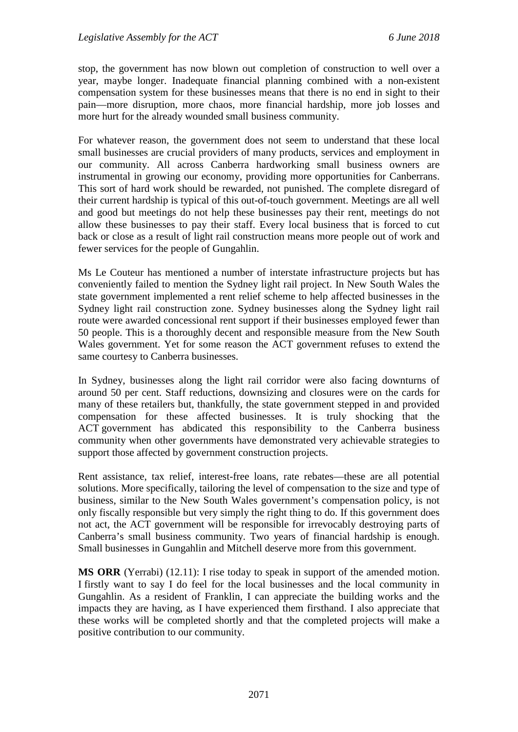stop, the government has now blown out completion of construction to well over a year, maybe longer. Inadequate financial planning combined with a non-existent compensation system for these businesses means that there is no end in sight to their pain—more disruption, more chaos, more financial hardship, more job losses and more hurt for the already wounded small business community.

For whatever reason, the government does not seem to understand that these local small businesses are crucial providers of many products, services and employment in our community. All across Canberra hardworking small business owners are instrumental in growing our economy, providing more opportunities for Canberrans. This sort of hard work should be rewarded, not punished. The complete disregard of their current hardship is typical of this out-of-touch government. Meetings are all well and good but meetings do not help these businesses pay their rent, meetings do not allow these businesses to pay their staff. Every local business that is forced to cut back or close as a result of light rail construction means more people out of work and fewer services for the people of Gungahlin.

Ms Le Couteur has mentioned a number of interstate infrastructure projects but has conveniently failed to mention the Sydney light rail project. In New South Wales the state government implemented a rent relief scheme to help affected businesses in the Sydney light rail construction zone. Sydney businesses along the Sydney light rail route were awarded concessional rent support if their businesses employed fewer than 50 people. This is a thoroughly decent and responsible measure from the New South Wales government. Yet for some reason the ACT government refuses to extend the same courtesy to Canberra businesses.

In Sydney, businesses along the light rail corridor were also facing downturns of around 50 per cent. Staff reductions, downsizing and closures were on the cards for many of these retailers but, thankfully, the state government stepped in and provided compensation for these affected businesses. It is truly shocking that the ACT government has abdicated this responsibility to the Canberra business community when other governments have demonstrated very achievable strategies to support those affected by government construction projects.

Rent assistance, tax relief, interest-free loans, rate rebates—these are all potential solutions. More specifically, tailoring the level of compensation to the size and type of business, similar to the New South Wales government's compensation policy, is not only fiscally responsible but very simply the right thing to do. If this government does not act, the ACT government will be responsible for irrevocably destroying parts of Canberra's small business community. Two years of financial hardship is enough. Small businesses in Gungahlin and Mitchell deserve more from this government.

**MS ORR** (Yerrabi) (12.11): I rise today to speak in support of the amended motion. I firstly want to say I do feel for the local businesses and the local community in Gungahlin. As a resident of Franklin, I can appreciate the building works and the impacts they are having, as I have experienced them firsthand. I also appreciate that these works will be completed shortly and that the completed projects will make a positive contribution to our community.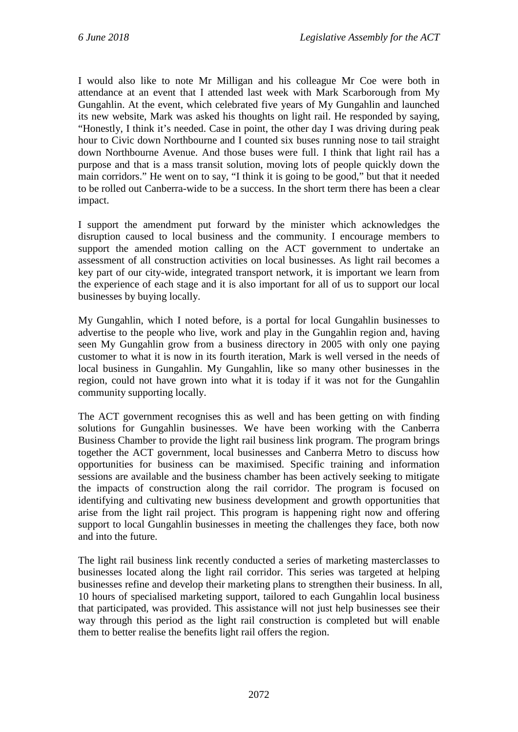I would also like to note Mr Milligan and his colleague Mr Coe were both in attendance at an event that I attended last week with Mark Scarborough from My Gungahlin. At the event, which celebrated five years of My Gungahlin and launched its new website, Mark was asked his thoughts on light rail. He responded by saying, "Honestly, I think it's needed. Case in point, the other day I was driving during peak hour to Civic down Northbourne and I counted six buses running nose to tail straight down Northbourne Avenue. And those buses were full. I think that light rail has a purpose and that is a mass transit solution, moving lots of people quickly down the main corridors." He went on to say, "I think it is going to be good," but that it needed to be rolled out Canberra-wide to be a success. In the short term there has been a clear impact.

I support the amendment put forward by the minister which acknowledges the disruption caused to local business and the community. I encourage members to support the amended motion calling on the ACT government to undertake an assessment of all construction activities on local businesses. As light rail becomes a key part of our city-wide, integrated transport network, it is important we learn from the experience of each stage and it is also important for all of us to support our local businesses by buying locally.

My Gungahlin, which I noted before, is a portal for local Gungahlin businesses to advertise to the people who live, work and play in the Gungahlin region and, having seen My Gungahlin grow from a business directory in 2005 with only one paying customer to what it is now in its fourth iteration, Mark is well versed in the needs of local business in Gungahlin. My Gungahlin, like so many other businesses in the region, could not have grown into what it is today if it was not for the Gungahlin community supporting locally.

The ACT government recognises this as well and has been getting on with finding solutions for Gungahlin businesses. We have been working with the Canberra Business Chamber to provide the light rail business link program. The program brings together the ACT government, local businesses and Canberra Metro to discuss how opportunities for business can be maximised. Specific training and information sessions are available and the business chamber has been actively seeking to mitigate the impacts of construction along the rail corridor. The program is focused on identifying and cultivating new business development and growth opportunities that arise from the light rail project. This program is happening right now and offering support to local Gungahlin businesses in meeting the challenges they face, both now and into the future.

The light rail business link recently conducted a series of marketing masterclasses to businesses located along the light rail corridor. This series was targeted at helping businesses refine and develop their marketing plans to strengthen their business. In all, 10 hours of specialised marketing support, tailored to each Gungahlin local business that participated, was provided. This assistance will not just help businesses see their way through this period as the light rail construction is completed but will enable them to better realise the benefits light rail offers the region.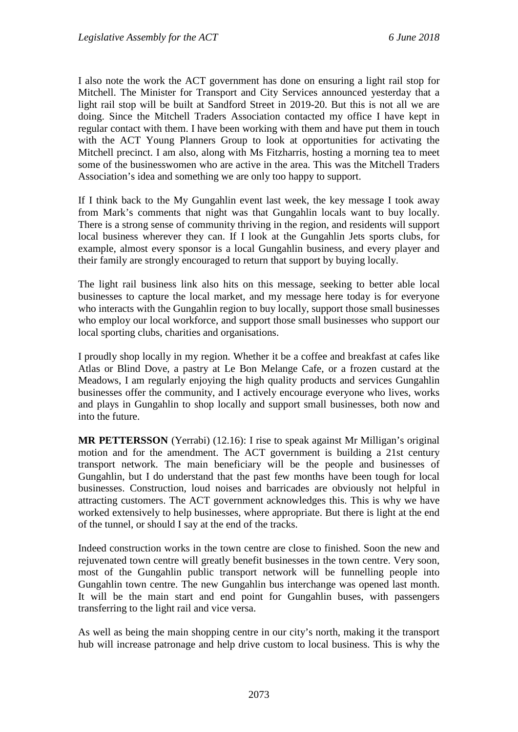I also note the work the ACT government has done on ensuring a light rail stop for Mitchell. The Minister for Transport and City Services announced yesterday that a light rail stop will be built at Sandford Street in 2019-20. But this is not all we are doing. Since the Mitchell Traders Association contacted my office I have kept in regular contact with them. I have been working with them and have put them in touch with the ACT Young Planners Group to look at opportunities for activating the Mitchell precinct. I am also, along with Ms Fitzharris, hosting a morning tea to meet some of the businesswomen who are active in the area. This was the Mitchell Traders Association's idea and something we are only too happy to support.

If I think back to the My Gungahlin event last week, the key message I took away from Mark's comments that night was that Gungahlin locals want to buy locally. There is a strong sense of community thriving in the region, and residents will support local business wherever they can. If I look at the Gungahlin Jets sports clubs, for example, almost every sponsor is a local Gungahlin business, and every player and their family are strongly encouraged to return that support by buying locally.

The light rail business link also hits on this message, seeking to better able local businesses to capture the local market, and my message here today is for everyone who interacts with the Gungahlin region to buy locally, support those small businesses who employ our local workforce, and support those small businesses who support our local sporting clubs, charities and organisations.

I proudly shop locally in my region. Whether it be a coffee and breakfast at cafes like Atlas or Blind Dove, a pastry at Le Bon Melange Cafe, or a frozen custard at the Meadows, I am regularly enjoying the high quality products and services Gungahlin businesses offer the community, and I actively encourage everyone who lives, works and plays in Gungahlin to shop locally and support small businesses, both now and into the future.

**MR PETTERSSON** (Yerrabi) (12.16): I rise to speak against Mr Milligan's original motion and for the amendment. The ACT government is building a 21st century transport network. The main beneficiary will be the people and businesses of Gungahlin, but I do understand that the past few months have been tough for local businesses. Construction, loud noises and barricades are obviously not helpful in attracting customers. The ACT government acknowledges this. This is why we have worked extensively to help businesses, where appropriate. But there is light at the end of the tunnel, or should I say at the end of the tracks.

Indeed construction works in the town centre are close to finished. Soon the new and rejuvenated town centre will greatly benefit businesses in the town centre. Very soon, most of the Gungahlin public transport network will be funnelling people into Gungahlin town centre. The new Gungahlin bus interchange was opened last month. It will be the main start and end point for Gungahlin buses, with passengers transferring to the light rail and vice versa.

As well as being the main shopping centre in our city's north, making it the transport hub will increase patronage and help drive custom to local business. This is why the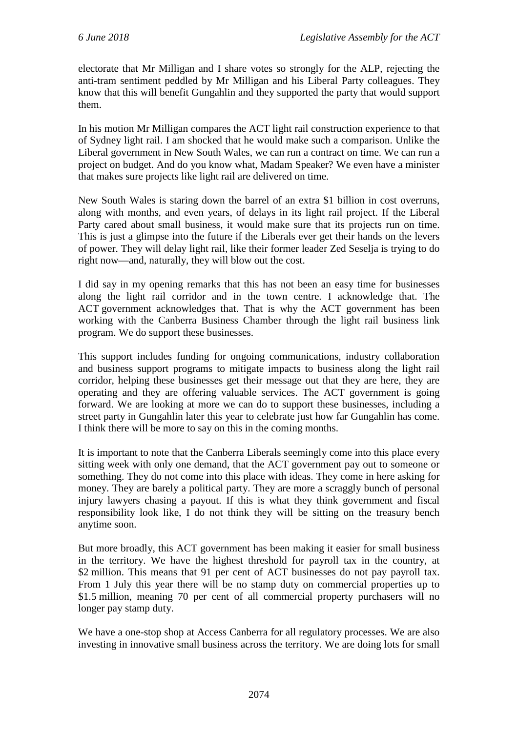electorate that Mr Milligan and I share votes so strongly for the ALP, rejecting the anti-tram sentiment peddled by Mr Milligan and his Liberal Party colleagues. They know that this will benefit Gungahlin and they supported the party that would support them.

In his motion Mr Milligan compares the ACT light rail construction experience to that of Sydney light rail. I am shocked that he would make such a comparison. Unlike the Liberal government in New South Wales, we can run a contract on time. We can run a project on budget. And do you know what, Madam Speaker? We even have a minister that makes sure projects like light rail are delivered on time.

New South Wales is staring down the barrel of an extra \$1 billion in cost overruns, along with months, and even years, of delays in its light rail project. If the Liberal Party cared about small business, it would make sure that its projects run on time. This is just a glimpse into the future if the Liberals ever get their hands on the levers of power. They will delay light rail, like their former leader Zed Seselja is trying to do right now—and, naturally, they will blow out the cost.

I did say in my opening remarks that this has not been an easy time for businesses along the light rail corridor and in the town centre. I acknowledge that. The ACT government acknowledges that. That is why the ACT government has been working with the Canberra Business Chamber through the light rail business link program. We do support these businesses.

This support includes funding for ongoing communications, industry collaboration and business support programs to mitigate impacts to business along the light rail corridor, helping these businesses get their message out that they are here, they are operating and they are offering valuable services. The ACT government is going forward. We are looking at more we can do to support these businesses, including a street party in Gungahlin later this year to celebrate just how far Gungahlin has come. I think there will be more to say on this in the coming months.

It is important to note that the Canberra Liberals seemingly come into this place every sitting week with only one demand, that the ACT government pay out to someone or something. They do not come into this place with ideas. They come in here asking for money. They are barely a political party. They are more a scraggly bunch of personal injury lawyers chasing a payout. If this is what they think government and fiscal responsibility look like, I do not think they will be sitting on the treasury bench anytime soon.

But more broadly, this ACT government has been making it easier for small business in the territory. We have the highest threshold for payroll tax in the country, at \$2 million. This means that 91 per cent of ACT businesses do not pay payroll tax. From 1 July this year there will be no stamp duty on commercial properties up to \$1.5 million, meaning 70 per cent of all commercial property purchasers will no longer pay stamp duty.

We have a one-stop shop at Access Canberra for all regulatory processes. We are also investing in innovative small business across the territory. We are doing lots for small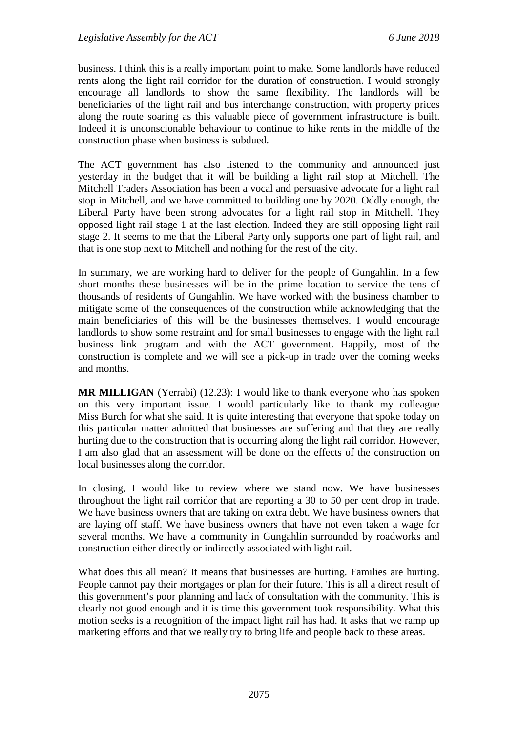business. I think this is a really important point to make. Some landlords have reduced rents along the light rail corridor for the duration of construction. I would strongly encourage all landlords to show the same flexibility. The landlords will be beneficiaries of the light rail and bus interchange construction, with property prices along the route soaring as this valuable piece of government infrastructure is built. Indeed it is unconscionable behaviour to continue to hike rents in the middle of the construction phase when business is subdued.

The ACT government has also listened to the community and announced just yesterday in the budget that it will be building a light rail stop at Mitchell. The Mitchell Traders Association has been a vocal and persuasive advocate for a light rail stop in Mitchell, and we have committed to building one by 2020. Oddly enough, the Liberal Party have been strong advocates for a light rail stop in Mitchell. They opposed light rail stage 1 at the last election. Indeed they are still opposing light rail stage 2. It seems to me that the Liberal Party only supports one part of light rail, and that is one stop next to Mitchell and nothing for the rest of the city.

In summary, we are working hard to deliver for the people of Gungahlin. In a few short months these businesses will be in the prime location to service the tens of thousands of residents of Gungahlin. We have worked with the business chamber to mitigate some of the consequences of the construction while acknowledging that the main beneficiaries of this will be the businesses themselves. I would encourage landlords to show some restraint and for small businesses to engage with the light rail business link program and with the ACT government. Happily, most of the construction is complete and we will see a pick-up in trade over the coming weeks and months.

**MR MILLIGAN** (Yerrabi) (12.23): I would like to thank everyone who has spoken on this very important issue. I would particularly like to thank my colleague Miss Burch for what she said. It is quite interesting that everyone that spoke today on this particular matter admitted that businesses are suffering and that they are really hurting due to the construction that is occurring along the light rail corridor. However, I am also glad that an assessment will be done on the effects of the construction on local businesses along the corridor.

In closing, I would like to review where we stand now. We have businesses throughout the light rail corridor that are reporting a 30 to 50 per cent drop in trade. We have business owners that are taking on extra debt. We have business owners that are laying off staff. We have business owners that have not even taken a wage for several months. We have a community in Gungahlin surrounded by roadworks and construction either directly or indirectly associated with light rail.

What does this all mean? It means that businesses are hurting. Families are hurting. People cannot pay their mortgages or plan for their future. This is all a direct result of this government's poor planning and lack of consultation with the community. This is clearly not good enough and it is time this government took responsibility. What this motion seeks is a recognition of the impact light rail has had. It asks that we ramp up marketing efforts and that we really try to bring life and people back to these areas.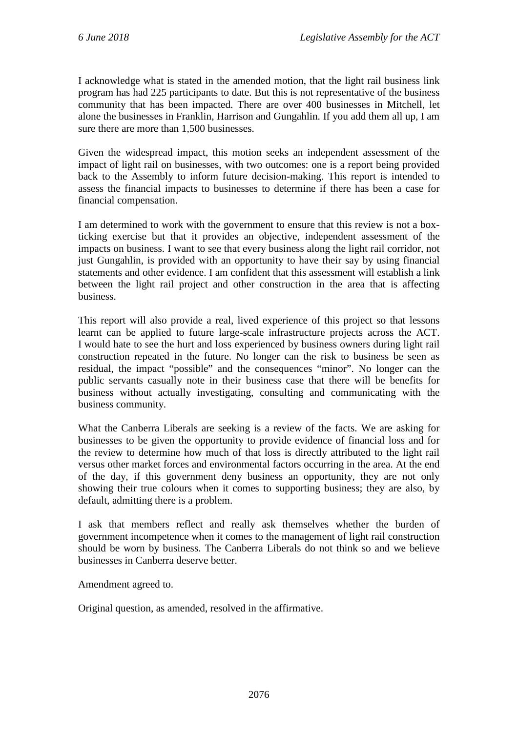I acknowledge what is stated in the amended motion, that the light rail business link program has had 225 participants to date. But this is not representative of the business community that has been impacted. There are over 400 businesses in Mitchell, let alone the businesses in Franklin, Harrison and Gungahlin. If you add them all up, I am sure there are more than 1,500 businesses.

Given the widespread impact, this motion seeks an independent assessment of the impact of light rail on businesses, with two outcomes: one is a report being provided back to the Assembly to inform future decision-making. This report is intended to assess the financial impacts to businesses to determine if there has been a case for financial compensation.

I am determined to work with the government to ensure that this review is not a boxticking exercise but that it provides an objective, independent assessment of the impacts on business. I want to see that every business along the light rail corridor, not just Gungahlin, is provided with an opportunity to have their say by using financial statements and other evidence. I am confident that this assessment will establish a link between the light rail project and other construction in the area that is affecting business.

This report will also provide a real, lived experience of this project so that lessons learnt can be applied to future large-scale infrastructure projects across the ACT. I would hate to see the hurt and loss experienced by business owners during light rail construction repeated in the future. No longer can the risk to business be seen as residual, the impact "possible" and the consequences "minor". No longer can the public servants casually note in their business case that there will be benefits for business without actually investigating, consulting and communicating with the business community.

What the Canberra Liberals are seeking is a review of the facts. We are asking for businesses to be given the opportunity to provide evidence of financial loss and for the review to determine how much of that loss is directly attributed to the light rail versus other market forces and environmental factors occurring in the area. At the end of the day, if this government deny business an opportunity, they are not only showing their true colours when it comes to supporting business; they are also, by default, admitting there is a problem.

I ask that members reflect and really ask themselves whether the burden of government incompetence when it comes to the management of light rail construction should be worn by business. The Canberra Liberals do not think so and we believe businesses in Canberra deserve better.

Amendment agreed to.

Original question, as amended, resolved in the affirmative.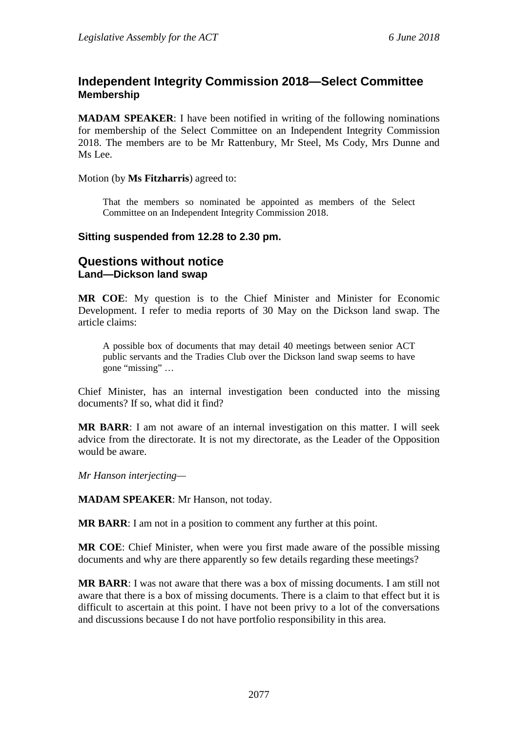# **Independent Integrity Commission 2018—Select Committee Membership**

**MADAM SPEAKER**: I have been notified in writing of the following nominations for membership of the Select Committee on an Independent Integrity Commission 2018. The members are to be Mr Rattenbury, Mr Steel, Ms Cody, Mrs Dunne and Ms Lee.

Motion (by **Ms Fitzharris**) agreed to:

That the members so nominated be appointed as members of the Select Committee on an Independent Integrity Commission 2018.

#### **Sitting suspended from 12.28 to 2.30 pm.**

# **Questions without notice Land—Dickson land swap**

**MR COE**: My question is to the Chief Minister and Minister for Economic Development. I refer to media reports of 30 May on the Dickson land swap. The article claims:

A possible box of documents that may detail 40 meetings between senior ACT public servants and the Tradies Club over the Dickson land swap seems to have gone "missing" …

Chief Minister, has an internal investigation been conducted into the missing documents? If so, what did it find?

**MR BARR**: I am not aware of an internal investigation on this matter. I will seek advice from the directorate. It is not my directorate, as the Leader of the Opposition would be aware.

*Mr Hanson interjecting—*

**MADAM SPEAKER**: Mr Hanson, not today.

**MR BARR**: I am not in a position to comment any further at this point.

**MR COE**: Chief Minister, when were you first made aware of the possible missing documents and why are there apparently so few details regarding these meetings?

**MR BARR**: I was not aware that there was a box of missing documents. I am still not aware that there is a box of missing documents. There is a claim to that effect but it is difficult to ascertain at this point. I have not been privy to a lot of the conversations and discussions because I do not have portfolio responsibility in this area.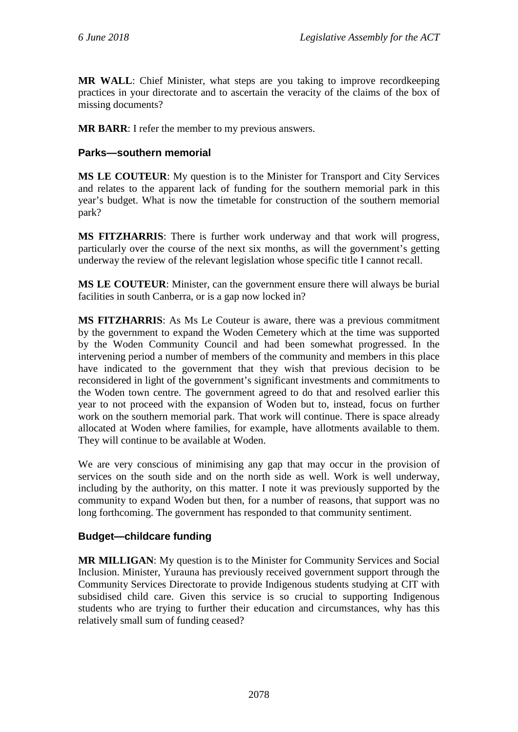**MR WALL**: Chief Minister, what steps are you taking to improve recordkeeping practices in your directorate and to ascertain the veracity of the claims of the box of missing documents?

**MR BARR**: I refer the member to my previous answers.

#### **Parks—southern memorial**

**MS LE COUTEUR**: My question is to the Minister for Transport and City Services and relates to the apparent lack of funding for the southern memorial park in this year's budget. What is now the timetable for construction of the southern memorial park?

**MS FITZHARRIS**: There is further work underway and that work will progress, particularly over the course of the next six months, as will the government's getting underway the review of the relevant legislation whose specific title I cannot recall.

**MS LE COUTEUR**: Minister, can the government ensure there will always be burial facilities in south Canberra, or is a gap now locked in?

**MS FITZHARRIS**: As Ms Le Couteur is aware, there was a previous commitment by the government to expand the Woden Cemetery which at the time was supported by the Woden Community Council and had been somewhat progressed. In the intervening period a number of members of the community and members in this place have indicated to the government that they wish that previous decision to be reconsidered in light of the government's significant investments and commitments to the Woden town centre. The government agreed to do that and resolved earlier this year to not proceed with the expansion of Woden but to, instead, focus on further work on the southern memorial park. That work will continue. There is space already allocated at Woden where families, for example, have allotments available to them. They will continue to be available at Woden.

We are very conscious of minimising any gap that may occur in the provision of services on the south side and on the north side as well. Work is well underway, including by the authority, on this matter. I note it was previously supported by the community to expand Woden but then, for a number of reasons, that support was no long forthcoming. The government has responded to that community sentiment.

#### **Budget—childcare funding**

**MR MILLIGAN**: My question is to the Minister for Community Services and Social Inclusion. Minister, Yurauna has previously received government support through the Community Services Directorate to provide Indigenous students studying at CIT with subsidised child care. Given this service is so crucial to supporting Indigenous students who are trying to further their education and circumstances, why has this relatively small sum of funding ceased?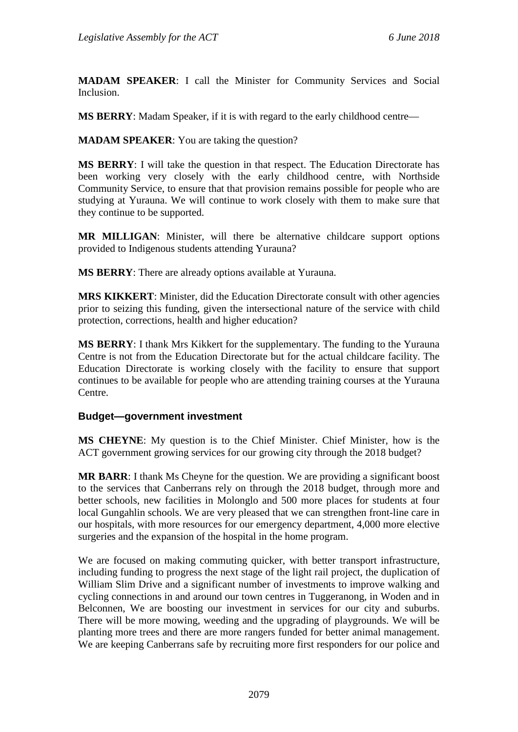**MADAM SPEAKER**: I call the Minister for Community Services and Social Inclusion.

**MS BERRY**: Madam Speaker, if it is with regard to the early childhood centre—

**MADAM SPEAKER**: You are taking the question?

**MS BERRY**: I will take the question in that respect. The Education Directorate has been working very closely with the early childhood centre, with Northside Community Service, to ensure that that provision remains possible for people who are studying at Yurauna. We will continue to work closely with them to make sure that they continue to be supported.

**MR MILLIGAN**: Minister, will there be alternative childcare support options provided to Indigenous students attending Yurauna?

**MS BERRY**: There are already options available at Yurauna.

**MRS KIKKERT**: Minister, did the Education Directorate consult with other agencies prior to seizing this funding, given the intersectional nature of the service with child protection, corrections, health and higher education?

**MS BERRY**: I thank Mrs Kikkert for the supplementary. The funding to the Yurauna Centre is not from the Education Directorate but for the actual childcare facility. The Education Directorate is working closely with the facility to ensure that support continues to be available for people who are attending training courses at the Yurauna Centre.

#### **Budget—government investment**

**MS CHEYNE**: My question is to the Chief Minister. Chief Minister, how is the ACT government growing services for our growing city through the 2018 budget?

**MR BARR**: I thank Ms Cheyne for the question. We are providing a significant boost to the services that Canberrans rely on through the 2018 budget, through more and better schools, new facilities in Molonglo and 500 more places for students at four local Gungahlin schools. We are very pleased that we can strengthen front-line care in our hospitals, with more resources for our emergency department, 4,000 more elective surgeries and the expansion of the hospital in the home program.

We are focused on making commuting quicker, with better transport infrastructure, including funding to progress the next stage of the light rail project, the duplication of William Slim Drive and a significant number of investments to improve walking and cycling connections in and around our town centres in Tuggeranong, in Woden and in Belconnen, We are boosting our investment in services for our city and suburbs. There will be more mowing, weeding and the upgrading of playgrounds. We will be planting more trees and there are more rangers funded for better animal management. We are keeping Canberrans safe by recruiting more first responders for our police and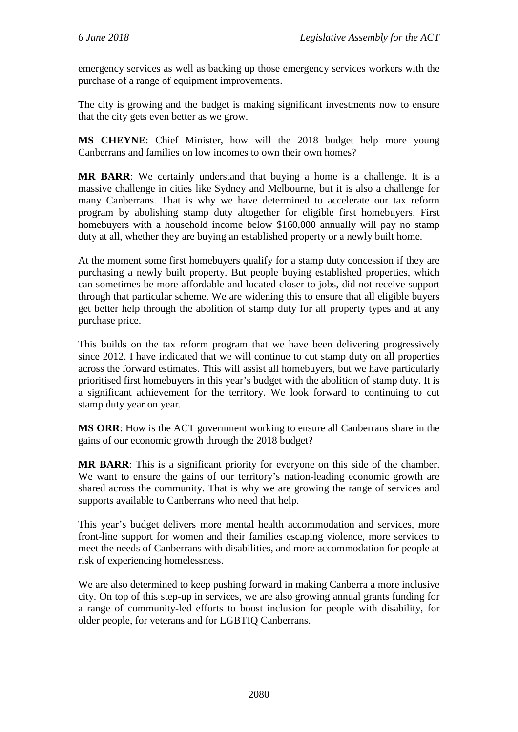emergency services as well as backing up those emergency services workers with the purchase of a range of equipment improvements.

The city is growing and the budget is making significant investments now to ensure that the city gets even better as we grow.

**MS CHEYNE**: Chief Minister, how will the 2018 budget help more young Canberrans and families on low incomes to own their own homes?

**MR BARR**: We certainly understand that buying a home is a challenge. It is a massive challenge in cities like Sydney and Melbourne, but it is also a challenge for many Canberrans. That is why we have determined to accelerate our tax reform program by abolishing stamp duty altogether for eligible first homebuyers. First homebuyers with a household income below \$160,000 annually will pay no stamp duty at all, whether they are buying an established property or a newly built home.

At the moment some first homebuyers qualify for a stamp duty concession if they are purchasing a newly built property. But people buying established properties, which can sometimes be more affordable and located closer to jobs, did not receive support through that particular scheme. We are widening this to ensure that all eligible buyers get better help through the abolition of stamp duty for all property types and at any purchase price.

This builds on the tax reform program that we have been delivering progressively since 2012. I have indicated that we will continue to cut stamp duty on all properties across the forward estimates. This will assist all homebuyers, but we have particularly prioritised first homebuyers in this year's budget with the abolition of stamp duty. It is a significant achievement for the territory. We look forward to continuing to cut stamp duty year on year.

**MS ORR**: How is the ACT government working to ensure all Canberrans share in the gains of our economic growth through the 2018 budget?

**MR BARR**: This is a significant priority for everyone on this side of the chamber. We want to ensure the gains of our territory's nation-leading economic growth are shared across the community. That is why we are growing the range of services and supports available to Canberrans who need that help.

This year's budget delivers more mental health accommodation and services, more front-line support for women and their families escaping violence, more services to meet the needs of Canberrans with disabilities, and more accommodation for people at risk of experiencing homelessness.

We are also determined to keep pushing forward in making Canberra a more inclusive city. On top of this step-up in services, we are also growing annual grants funding for a range of community-led efforts to boost inclusion for people with disability, for older people, for veterans and for LGBTIQ Canberrans.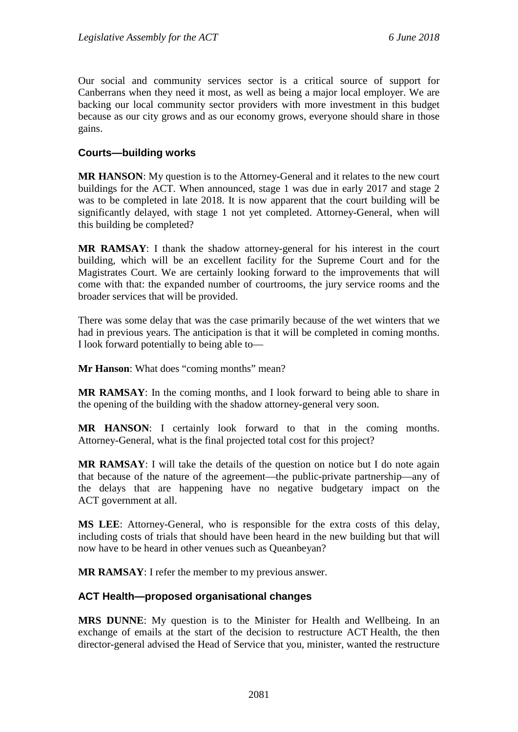Our social and community services sector is a critical source of support for Canberrans when they need it most, as well as being a major local employer. We are backing our local community sector providers with more investment in this budget because as our city grows and as our economy grows, everyone should share in those gains.

#### **Courts—building works**

**MR HANSON**: My question is to the Attorney-General and it relates to the new court buildings for the ACT. When announced, stage 1 was due in early 2017 and stage 2 was to be completed in late 2018. It is now apparent that the court building will be significantly delayed, with stage 1 not yet completed. Attorney-General, when will this building be completed?

**MR RAMSAY**: I thank the shadow attorney-general for his interest in the court building, which will be an excellent facility for the Supreme Court and for the Magistrates Court. We are certainly looking forward to the improvements that will come with that: the expanded number of courtrooms, the jury service rooms and the broader services that will be provided.

There was some delay that was the case primarily because of the wet winters that we had in previous years. The anticipation is that it will be completed in coming months. I look forward potentially to being able to—

**Mr Hanson:** What does "coming months" mean?

**MR RAMSAY**: In the coming months, and I look forward to being able to share in the opening of the building with the shadow attorney-general very soon.

**MR HANSON**: I certainly look forward to that in the coming months. Attorney-General, what is the final projected total cost for this project?

**MR RAMSAY**: I will take the details of the question on notice but I do note again that because of the nature of the agreement—the public-private partnership—any of the delays that are happening have no negative budgetary impact on the ACT government at all.

**MS LEE**: Attorney-General, who is responsible for the extra costs of this delay, including costs of trials that should have been heard in the new building but that will now have to be heard in other venues such as Queanbeyan?

**MR RAMSAY**: I refer the member to my previous answer.

#### **ACT Health—proposed organisational changes**

**MRS DUNNE**: My question is to the Minister for Health and Wellbeing. In an exchange of emails at the start of the decision to restructure ACT Health, the then director-general advised the Head of Service that you, minister, wanted the restructure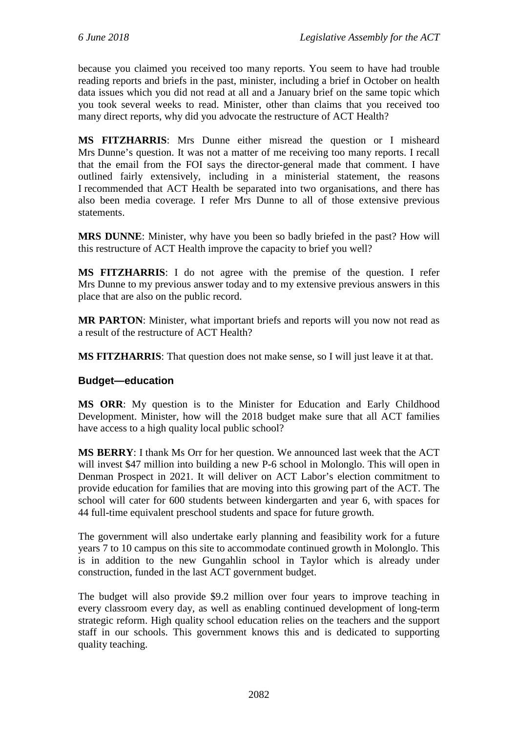because you claimed you received too many reports. You seem to have had trouble reading reports and briefs in the past, minister, including a brief in October on health data issues which you did not read at all and a January brief on the same topic which you took several weeks to read. Minister, other than claims that you received too many direct reports, why did you advocate the restructure of ACT Health?

**MS FITZHARRIS**: Mrs Dunne either misread the question or I misheard Mrs Dunne's question. It was not a matter of me receiving too many reports. I recall that the email from the FOI says the director-general made that comment. I have outlined fairly extensively, including in a ministerial statement, the reasons I recommended that ACT Health be separated into two organisations, and there has also been media coverage. I refer Mrs Dunne to all of those extensive previous statements.

**MRS DUNNE**: Minister, why have you been so badly briefed in the past? How will this restructure of ACT Health improve the capacity to brief you well?

**MS FITZHARRIS**: I do not agree with the premise of the question. I refer Mrs Dunne to my previous answer today and to my extensive previous answers in this place that are also on the public record.

**MR PARTON**: Minister, what important briefs and reports will you now not read as a result of the restructure of ACT Health?

**MS FITZHARRIS**: That question does not make sense, so I will just leave it at that.

#### **Budget—education**

**MS ORR**: My question is to the Minister for Education and Early Childhood Development. Minister, how will the 2018 budget make sure that all ACT families have access to a high quality local public school?

**MS BERRY**: I thank Ms Orr for her question. We announced last week that the ACT will invest \$47 million into building a new P-6 school in Molonglo. This will open in Denman Prospect in 2021. It will deliver on ACT Labor's election commitment to provide education for families that are moving into this growing part of the ACT. The school will cater for 600 students between kindergarten and year 6, with spaces for 44 full-time equivalent preschool students and space for future growth.

The government will also undertake early planning and feasibility work for a future years 7 to 10 campus on this site to accommodate continued growth in Molonglo. This is in addition to the new Gungahlin school in Taylor which is already under construction, funded in the last ACT government budget.

The budget will also provide \$9.2 million over four years to improve teaching in every classroom every day, as well as enabling continued development of long-term strategic reform. High quality school education relies on the teachers and the support staff in our schools. This government knows this and is dedicated to supporting quality teaching.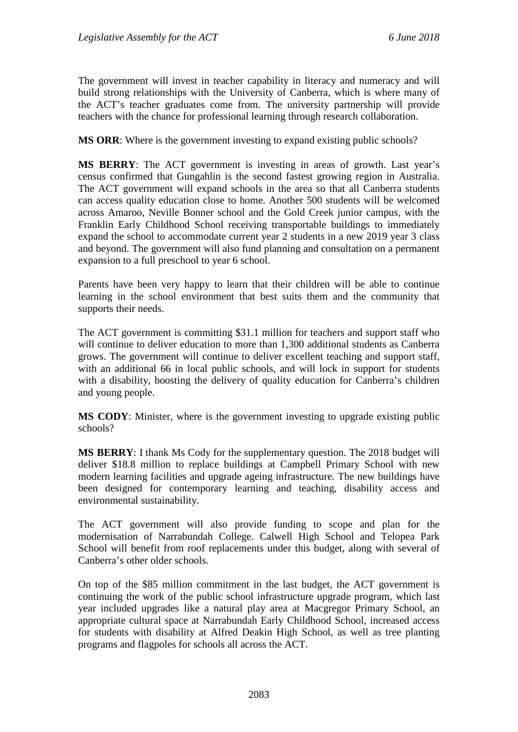The government will invest in teacher capability in literacy and numeracy and will build strong relationships with the University of Canberra, which is where many of the ACT's teacher graduates come from. The university partnership will provide teachers with the chance for professional learning through research collaboration.

**MS ORR**: Where is the government investing to expand existing public schools?

**MS BERRY**: The ACT government is investing in areas of growth. Last year's census confirmed that Gungahlin is the second fastest growing region in Australia. The ACT government will expand schools in the area so that all Canberra students can access quality education close to home. Another 500 students will be welcomed across Amaroo, Neville Bonner school and the Gold Creek junior campus, with the Franklin Early Childhood School receiving transportable buildings to immediately expand the school to accommodate current year 2 students in a new 2019 year 3 class and beyond. The government will also fund planning and consultation on a permanent expansion to a full preschool to year 6 school.

Parents have been very happy to learn that their children will be able to continue learning in the school environment that best suits them and the community that supports their needs.

The ACT government is committing \$31.1 million for teachers and support staff who will continue to deliver education to more than 1,300 additional students as Canberra grows. The government will continue to deliver excellent teaching and support staff, with an additional 66 in local public schools, and will lock in support for students with a disability, boosting the delivery of quality education for Canberra's children and young people.

**MS CODY**: Minister, where is the government investing to upgrade existing public schools?

**MS BERRY**: I thank Ms Cody for the supplementary question. The 2018 budget will deliver \$18.8 million to replace buildings at Campbell Primary School with new modern learning facilities and upgrade ageing infrastructure. The new buildings have been designed for contemporary learning and teaching, disability access and environmental sustainability.

The ACT government will also provide funding to scope and plan for the modernisation of Narrabundah College. Calwell High School and Telopea Park School will benefit from roof replacements under this budget, along with several of Canberra's other older schools.

On top of the \$85 million commitment in the last budget, the ACT government is continuing the work of the public school infrastructure upgrade program, which last year included upgrades like a natural play area at Macgregor Primary School, an appropriate cultural space at Narrabundah Early Childhood School, increased access for students with disability at Alfred Deakin High School, as well as tree planting programs and flagpoles for schools all across the ACT.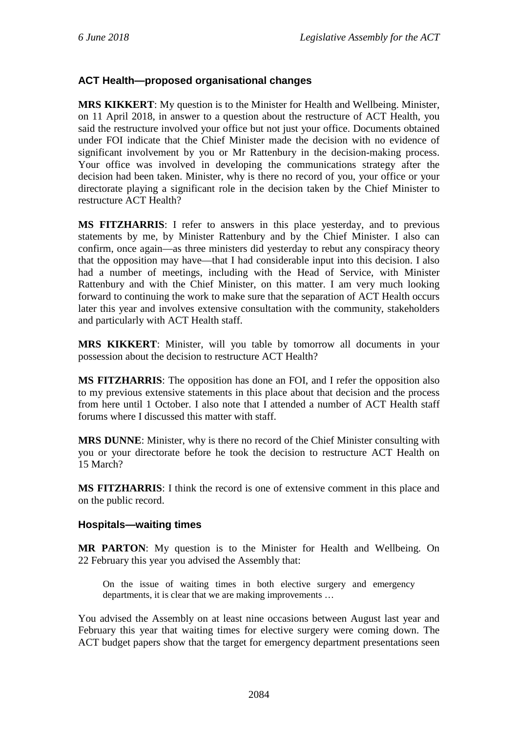## **ACT Health—proposed organisational changes**

**MRS KIKKERT**: My question is to the Minister for Health and Wellbeing. Minister, on 11 April 2018, in answer to a question about the restructure of ACT Health, you said the restructure involved your office but not just your office. Documents obtained under FOI indicate that the Chief Minister made the decision with no evidence of significant involvement by you or Mr Rattenbury in the decision-making process. Your office was involved in developing the communications strategy after the decision had been taken. Minister, why is there no record of you, your office or your directorate playing a significant role in the decision taken by the Chief Minister to restructure ACT Health?

**MS FITZHARRIS**: I refer to answers in this place yesterday, and to previous statements by me, by Minister Rattenbury and by the Chief Minister. I also can confirm, once again—as three ministers did yesterday to rebut any conspiracy theory that the opposition may have—that I had considerable input into this decision. I also had a number of meetings, including with the Head of Service, with Minister Rattenbury and with the Chief Minister, on this matter. I am very much looking forward to continuing the work to make sure that the separation of ACT Health occurs later this year and involves extensive consultation with the community, stakeholders and particularly with ACT Health staff.

**MRS KIKKERT**: Minister, will you table by tomorrow all documents in your possession about the decision to restructure ACT Health?

**MS FITZHARRIS**: The opposition has done an FOI, and I refer the opposition also to my previous extensive statements in this place about that decision and the process from here until 1 October. I also note that I attended a number of ACT Health staff forums where I discussed this matter with staff.

**MRS DUNNE**: Minister, why is there no record of the Chief Minister consulting with you or your directorate before he took the decision to restructure ACT Health on 15 March?

**MS FITZHARRIS**: I think the record is one of extensive comment in this place and on the public record.

#### **Hospitals—waiting times**

**MR PARTON**: My question is to the Minister for Health and Wellbeing. On 22 February this year you advised the Assembly that:

On the issue of waiting times in both elective surgery and emergency departments, it is clear that we are making improvements …

You advised the Assembly on at least nine occasions between August last year and February this year that waiting times for elective surgery were coming down. The ACT budget papers show that the target for emergency department presentations seen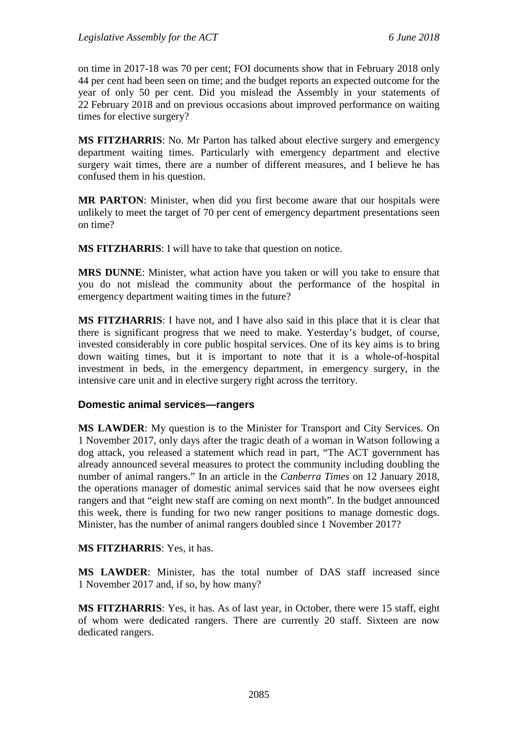on time in 2017-18 was 70 per cent; FOI documents show that in February 2018 only 44 per cent had been seen on time; and the budget reports an expected outcome for the year of only 50 per cent. Did you mislead the Assembly in your statements of 22 February 2018 and on previous occasions about improved performance on waiting times for elective surgery?

**MS FITZHARRIS**: No. Mr Parton has talked about elective surgery and emergency department waiting times. Particularly with emergency department and elective surgery wait times, there are a number of different measures, and I believe he has confused them in his question.

**MR PARTON**: Minister, when did you first become aware that our hospitals were unlikely to meet the target of 70 per cent of emergency department presentations seen on time?

**MS FITZHARRIS**: I will have to take that question on notice.

**MRS DUNNE**: Minister, what action have you taken or will you take to ensure that you do not mislead the community about the performance of the hospital in emergency department waiting times in the future?

**MS FITZHARRIS**: I have not, and I have also said in this place that it is clear that there is significant progress that we need to make. Yesterday's budget, of course, invested considerably in core public hospital services. One of its key aims is to bring down waiting times, but it is important to note that it is a whole-of-hospital investment in beds, in the emergency department, in emergency surgery, in the intensive care unit and in elective surgery right across the territory.

#### **Domestic animal services—rangers**

**MS LAWDER:** My question is to the Minister for Transport and City Services. On 1 November 2017, only days after the tragic death of a woman in Watson following a dog attack, you released a statement which read in part, "The ACT government has already announced several measures to protect the community including doubling the number of animal rangers." In an article in the *Canberra Times* on 12 January 2018, the operations manager of domestic animal services said that he now oversees eight rangers and that "eight new staff are coming on next month". In the budget announced this week, there is funding for two new ranger positions to manage domestic dogs. Minister, has the number of animal rangers doubled since 1 November 2017?

**MS FITZHARRIS**: Yes, it has.

**MS LAWDER**: Minister, has the total number of DAS staff increased since 1 November 2017 and, if so, by how many?

**MS FITZHARRIS**: Yes, it has. As of last year, in October, there were 15 staff, eight of whom were dedicated rangers. There are currently 20 staff. Sixteen are now dedicated rangers.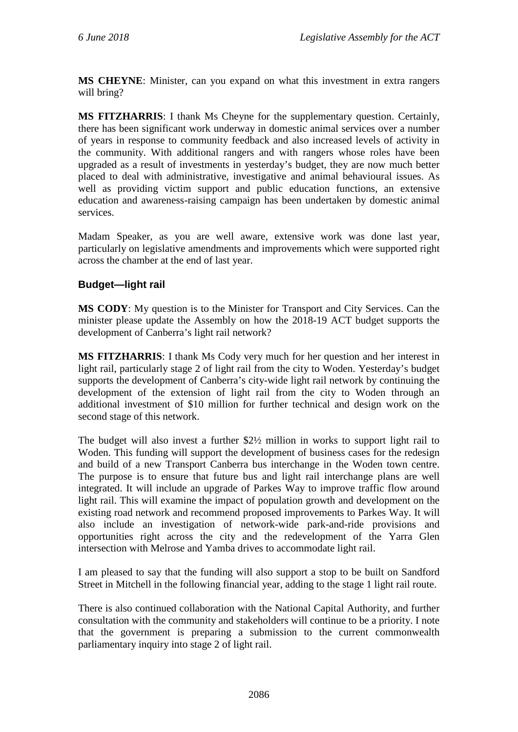**MS CHEYNE**: Minister, can you expand on what this investment in extra rangers will bring?

**MS FITZHARRIS**: I thank Ms Cheyne for the supplementary question. Certainly, there has been significant work underway in domestic animal services over a number of years in response to community feedback and also increased levels of activity in the community. With additional rangers and with rangers whose roles have been upgraded as a result of investments in yesterday's budget, they are now much better placed to deal with administrative, investigative and animal behavioural issues. As well as providing victim support and public education functions, an extensive education and awareness-raising campaign has been undertaken by domestic animal services.

Madam Speaker, as you are well aware, extensive work was done last year, particularly on legislative amendments and improvements which were supported right across the chamber at the end of last year.

## **Budget—light rail**

**MS CODY**: My question is to the Minister for Transport and City Services. Can the minister please update the Assembly on how the 2018-19 ACT budget supports the development of Canberra's light rail network?

**MS FITZHARRIS**: I thank Ms Cody very much for her question and her interest in light rail, particularly stage 2 of light rail from the city to Woden. Yesterday's budget supports the development of Canberra's city-wide light rail network by continuing the development of the extension of light rail from the city to Woden through an additional investment of \$10 million for further technical and design work on the second stage of this network.

The budget will also invest a further \$2½ million in works to support light rail to Woden. This funding will support the development of business cases for the redesign and build of a new Transport Canberra bus interchange in the Woden town centre. The purpose is to ensure that future bus and light rail interchange plans are well integrated. It will include an upgrade of Parkes Way to improve traffic flow around light rail. This will examine the impact of population growth and development on the existing road network and recommend proposed improvements to Parkes Way. It will also include an investigation of network-wide park-and-ride provisions and opportunities right across the city and the redevelopment of the Yarra Glen intersection with Melrose and Yamba drives to accommodate light rail.

I am pleased to say that the funding will also support a stop to be built on Sandford Street in Mitchell in the following financial year, adding to the stage 1 light rail route.

There is also continued collaboration with the National Capital Authority, and further consultation with the community and stakeholders will continue to be a priority. I note that the government is preparing a submission to the current commonwealth parliamentary inquiry into stage 2 of light rail.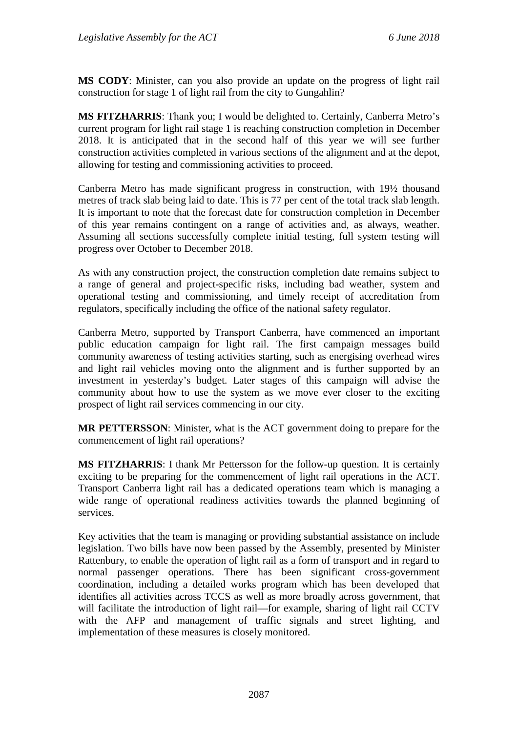**MS CODY**: Minister, can you also provide an update on the progress of light rail construction for stage 1 of light rail from the city to Gungahlin?

**MS FITZHARRIS**: Thank you; I would be delighted to. Certainly, Canberra Metro's current program for light rail stage 1 is reaching construction completion in December 2018. It is anticipated that in the second half of this year we will see further construction activities completed in various sections of the alignment and at the depot, allowing for testing and commissioning activities to proceed.

Canberra Metro has made significant progress in construction, with 19½ thousand metres of track slab being laid to date. This is 77 per cent of the total track slab length. It is important to note that the forecast date for construction completion in December of this year remains contingent on a range of activities and, as always, weather. Assuming all sections successfully complete initial testing, full system testing will progress over October to December 2018.

As with any construction project, the construction completion date remains subject to a range of general and project-specific risks, including bad weather, system and operational testing and commissioning, and timely receipt of accreditation from regulators, specifically including the office of the national safety regulator.

Canberra Metro, supported by Transport Canberra, have commenced an important public education campaign for light rail. The first campaign messages build community awareness of testing activities starting, such as energising overhead wires and light rail vehicles moving onto the alignment and is further supported by an investment in yesterday's budget. Later stages of this campaign will advise the community about how to use the system as we move ever closer to the exciting prospect of light rail services commencing in our city.

**MR PETTERSSON**: Minister, what is the ACT government doing to prepare for the commencement of light rail operations?

**MS FITZHARRIS**: I thank Mr Pettersson for the follow-up question. It is certainly exciting to be preparing for the commencement of light rail operations in the ACT. Transport Canberra light rail has a dedicated operations team which is managing a wide range of operational readiness activities towards the planned beginning of services.

Key activities that the team is managing or providing substantial assistance on include legislation. Two bills have now been passed by the Assembly, presented by Minister Rattenbury, to enable the operation of light rail as a form of transport and in regard to normal passenger operations. There has been significant cross-government coordination, including a detailed works program which has been developed that identifies all activities across TCCS as well as more broadly across government, that will facilitate the introduction of light rail—for example, sharing of light rail CCTV with the AFP and management of traffic signals and street lighting, and implementation of these measures is closely monitored.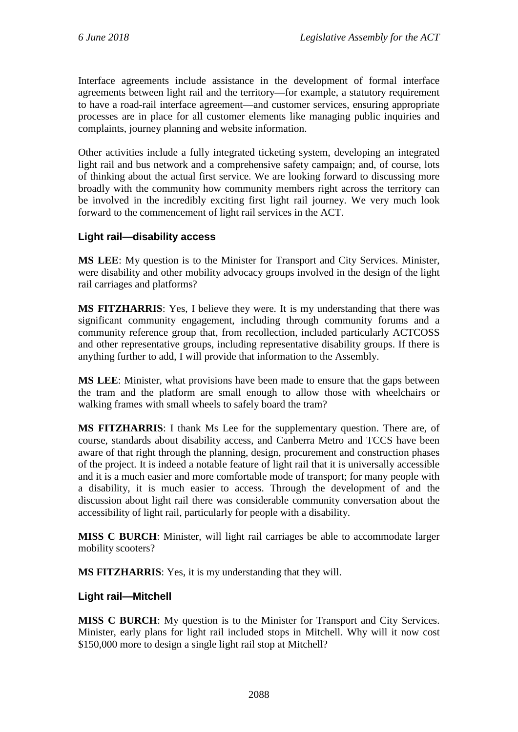Interface agreements include assistance in the development of formal interface agreements between light rail and the territory—for example, a statutory requirement to have a road-rail interface agreement—and customer services, ensuring appropriate processes are in place for all customer elements like managing public inquiries and complaints, journey planning and website information.

Other activities include a fully integrated ticketing system, developing an integrated light rail and bus network and a comprehensive safety campaign; and, of course, lots of thinking about the actual first service. We are looking forward to discussing more broadly with the community how community members right across the territory can be involved in the incredibly exciting first light rail journey. We very much look forward to the commencement of light rail services in the ACT.

## **Light rail—disability access**

**MS LEE**: My question is to the Minister for Transport and City Services. Minister, were disability and other mobility advocacy groups involved in the design of the light rail carriages and platforms?

**MS FITZHARRIS**: Yes, I believe they were. It is my understanding that there was significant community engagement, including through community forums and a community reference group that, from recollection, included particularly ACTCOSS and other representative groups, including representative disability groups. If there is anything further to add, I will provide that information to the Assembly.

**MS LEE**: Minister, what provisions have been made to ensure that the gaps between the tram and the platform are small enough to allow those with wheelchairs or walking frames with small wheels to safely board the tram?

**MS FITZHARRIS**: I thank Ms Lee for the supplementary question. There are, of course, standards about disability access, and Canberra Metro and TCCS have been aware of that right through the planning, design, procurement and construction phases of the project. It is indeed a notable feature of light rail that it is universally accessible and it is a much easier and more comfortable mode of transport; for many people with a disability, it is much easier to access. Through the development of and the discussion about light rail there was considerable community conversation about the accessibility of light rail, particularly for people with a disability.

**MISS C BURCH**: Minister, will light rail carriages be able to accommodate larger mobility scooters?

**MS FITZHARRIS**: Yes, it is my understanding that they will.

#### **Light rail—Mitchell**

**MISS C BURCH**: My question is to the Minister for Transport and City Services. Minister, early plans for light rail included stops in Mitchell. Why will it now cost \$150,000 more to design a single light rail stop at Mitchell?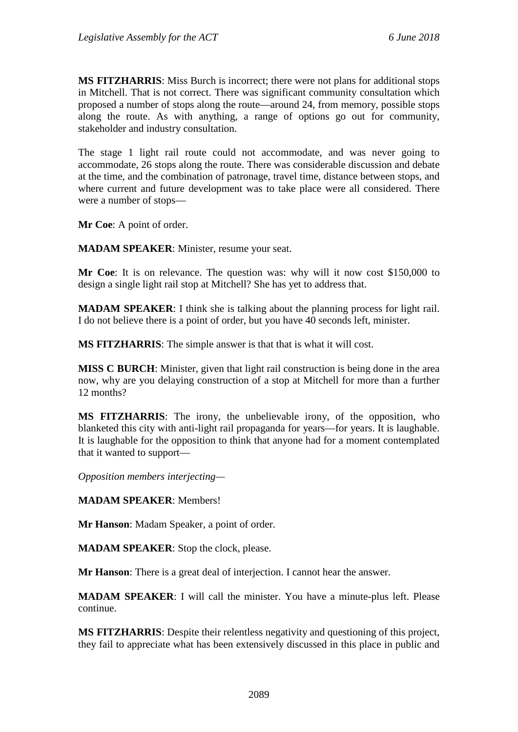**MS FITZHARRIS**: Miss Burch is incorrect; there were not plans for additional stops in Mitchell. That is not correct. There was significant community consultation which proposed a number of stops along the route—around 24, from memory, possible stops along the route. As with anything, a range of options go out for community, stakeholder and industry consultation.

The stage 1 light rail route could not accommodate, and was never going to accommodate, 26 stops along the route. There was considerable discussion and debate at the time, and the combination of patronage, travel time, distance between stops, and where current and future development was to take place were all considered. There were a number of stops—

**Mr Coe**: A point of order.

**MADAM SPEAKER**: Minister, resume your seat.

**Mr Coe**: It is on relevance. The question was: why will it now cost \$150,000 to design a single light rail stop at Mitchell? She has yet to address that.

**MADAM SPEAKER**: I think she is talking about the planning process for light rail. I do not believe there is a point of order, but you have 40 seconds left, minister.

**MS FITZHARRIS**: The simple answer is that that is what it will cost.

**MISS C BURCH**: Minister, given that light rail construction is being done in the area now, why are you delaying construction of a stop at Mitchell for more than a further 12 months?

**MS FITZHARRIS**: The irony, the unbelievable irony, of the opposition, who blanketed this city with anti-light rail propaganda for years—for years. It is laughable. It is laughable for the opposition to think that anyone had for a moment contemplated that it wanted to support—

*Opposition members interjecting—*

**MADAM SPEAKER**: Members!

**Mr Hanson**: Madam Speaker, a point of order.

**MADAM SPEAKER**: Stop the clock, please.

**Mr Hanson**: There is a great deal of interjection. I cannot hear the answer.

**MADAM SPEAKER**: I will call the minister. You have a minute-plus left. Please continue.

**MS FITZHARRIS**: Despite their relentless negativity and questioning of this project, they fail to appreciate what has been extensively discussed in this place in public and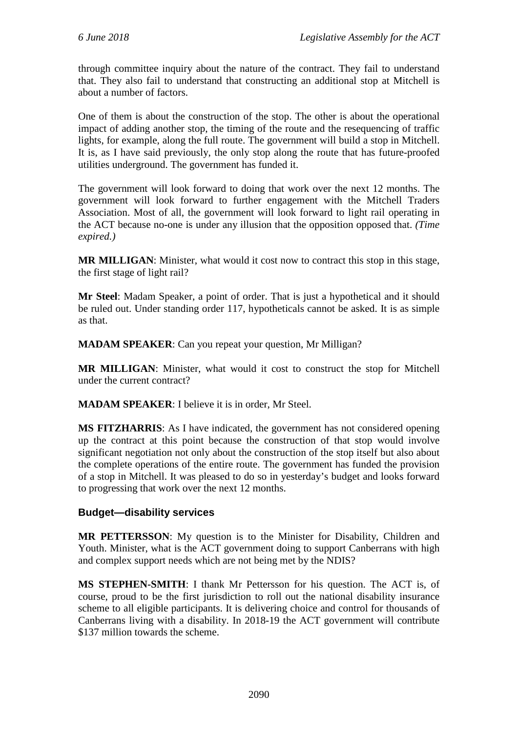through committee inquiry about the nature of the contract. They fail to understand that. They also fail to understand that constructing an additional stop at Mitchell is about a number of factors.

One of them is about the construction of the stop. The other is about the operational impact of adding another stop, the timing of the route and the resequencing of traffic lights, for example, along the full route. The government will build a stop in Mitchell. It is, as I have said previously, the only stop along the route that has future-proofed utilities underground. The government has funded it.

The government will look forward to doing that work over the next 12 months. The government will look forward to further engagement with the Mitchell Traders Association. Most of all, the government will look forward to light rail operating in the ACT because no-one is under any illusion that the opposition opposed that. *(Time expired.)*

**MR MILLIGAN**: Minister, what would it cost now to contract this stop in this stage, the first stage of light rail?

**Mr Steel**: Madam Speaker, a point of order. That is just a hypothetical and it should be ruled out. Under standing order 117, hypotheticals cannot be asked. It is as simple as that.

**MADAM SPEAKER**: Can you repeat your question, Mr Milligan?

**MR MILLIGAN**: Minister, what would it cost to construct the stop for Mitchell under the current contract?

**MADAM SPEAKER**: I believe it is in order, Mr Steel.

**MS FITZHARRIS**: As I have indicated, the government has not considered opening up the contract at this point because the construction of that stop would involve significant negotiation not only about the construction of the stop itself but also about the complete operations of the entire route. The government has funded the provision of a stop in Mitchell. It was pleased to do so in yesterday's budget and looks forward to progressing that work over the next 12 months.

#### **Budget—disability services**

**MR PETTERSSON**: My question is to the Minister for Disability, Children and Youth. Minister, what is the ACT government doing to support Canberrans with high and complex support needs which are not being met by the NDIS?

**MS STEPHEN-SMITH**: I thank Mr Pettersson for his question. The ACT is, of course, proud to be the first jurisdiction to roll out the national disability insurance scheme to all eligible participants. It is delivering choice and control for thousands of Canberrans living with a disability. In 2018-19 the ACT government will contribute \$137 million towards the scheme.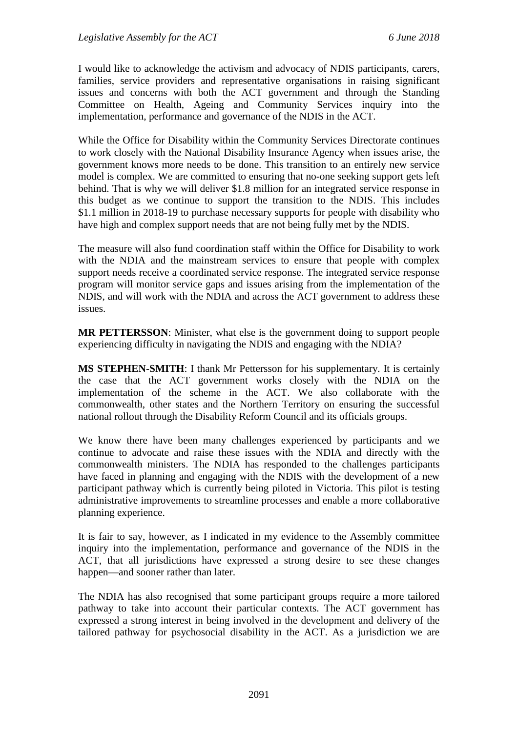I would like to acknowledge the activism and advocacy of NDIS participants, carers, families, service providers and representative organisations in raising significant issues and concerns with both the ACT government and through the Standing Committee on Health, Ageing and Community Services inquiry into the implementation, performance and governance of the NDIS in the ACT.

While the Office for Disability within the Community Services Directorate continues to work closely with the National Disability Insurance Agency when issues arise, the government knows more needs to be done. This transition to an entirely new service model is complex. We are committed to ensuring that no-one seeking support gets left behind. That is why we will deliver \$1.8 million for an integrated service response in this budget as we continue to support the transition to the NDIS. This includes \$1.1 million in 2018-19 to purchase necessary supports for people with disability who have high and complex support needs that are not being fully met by the NDIS.

The measure will also fund coordination staff within the Office for Disability to work with the NDIA and the mainstream services to ensure that people with complex support needs receive a coordinated service response. The integrated service response program will monitor service gaps and issues arising from the implementation of the NDIS, and will work with the NDIA and across the ACT government to address these issues.

**MR PETTERSSON**: Minister, what else is the government doing to support people experiencing difficulty in navigating the NDIS and engaging with the NDIA?

**MS STEPHEN-SMITH**: I thank Mr Pettersson for his supplementary. It is certainly the case that the ACT government works closely with the NDIA on the implementation of the scheme in the ACT. We also collaborate with the commonwealth, other states and the Northern Territory on ensuring the successful national rollout through the Disability Reform Council and its officials groups.

We know there have been many challenges experienced by participants and we continue to advocate and raise these issues with the NDIA and directly with the commonwealth ministers. The NDIA has responded to the challenges participants have faced in planning and engaging with the NDIS with the development of a new participant pathway which is currently being piloted in Victoria. This pilot is testing administrative improvements to streamline processes and enable a more collaborative planning experience.

It is fair to say, however, as I indicated in my evidence to the Assembly committee inquiry into the implementation, performance and governance of the NDIS in the ACT, that all jurisdictions have expressed a strong desire to see these changes happen—and sooner rather than later.

The NDIA has also recognised that some participant groups require a more tailored pathway to take into account their particular contexts. The ACT government has expressed a strong interest in being involved in the development and delivery of the tailored pathway for psychosocial disability in the ACT. As a jurisdiction we are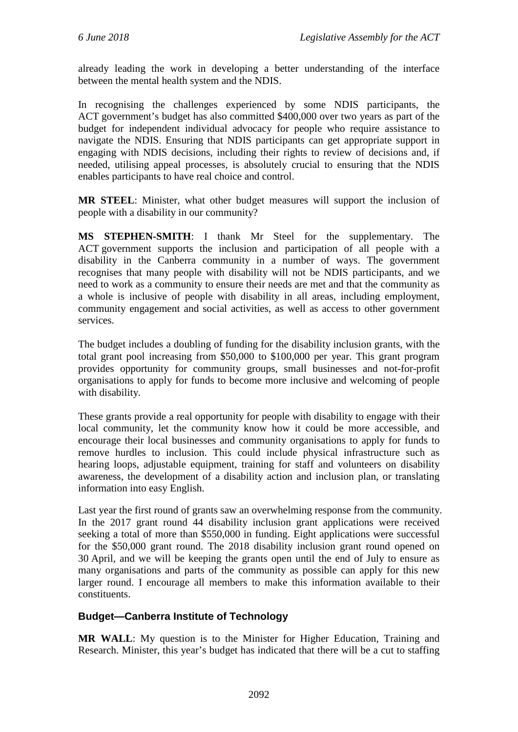already leading the work in developing a better understanding of the interface between the mental health system and the NDIS.

In recognising the challenges experienced by some NDIS participants, the ACT government's budget has also committed \$400,000 over two years as part of the budget for independent individual advocacy for people who require assistance to navigate the NDIS. Ensuring that NDIS participants can get appropriate support in engaging with NDIS decisions, including their rights to review of decisions and, if needed, utilising appeal processes, is absolutely crucial to ensuring that the NDIS enables participants to have real choice and control.

**MR STEEL**: Minister, what other budget measures will support the inclusion of people with a disability in our community?

**MS STEPHEN-SMITH**: I thank Mr Steel for the supplementary. The ACT government supports the inclusion and participation of all people with a disability in the Canberra community in a number of ways. The government recognises that many people with disability will not be NDIS participants, and we need to work as a community to ensure their needs are met and that the community as a whole is inclusive of people with disability in all areas, including employment, community engagement and social activities, as well as access to other government services.

The budget includes a doubling of funding for the disability inclusion grants, with the total grant pool increasing from \$50,000 to \$100,000 per year. This grant program provides opportunity for community groups, small businesses and not-for-profit organisations to apply for funds to become more inclusive and welcoming of people with disability.

These grants provide a real opportunity for people with disability to engage with their local community, let the community know how it could be more accessible, and encourage their local businesses and community organisations to apply for funds to remove hurdles to inclusion. This could include physical infrastructure such as hearing loops, adjustable equipment, training for staff and volunteers on disability awareness, the development of a disability action and inclusion plan, or translating information into easy English.

Last year the first round of grants saw an overwhelming response from the community. In the 2017 grant round 44 disability inclusion grant applications were received seeking a total of more than \$550,000 in funding. Eight applications were successful for the \$50,000 grant round. The 2018 disability inclusion grant round opened on 30 April, and we will be keeping the grants open until the end of July to ensure as many organisations and parts of the community as possible can apply for this new larger round. I encourage all members to make this information available to their constituents.

## **Budget—Canberra Institute of Technology**

**MR WALL**: My question is to the Minister for Higher Education, Training and Research. Minister, this year's budget has indicated that there will be a cut to staffing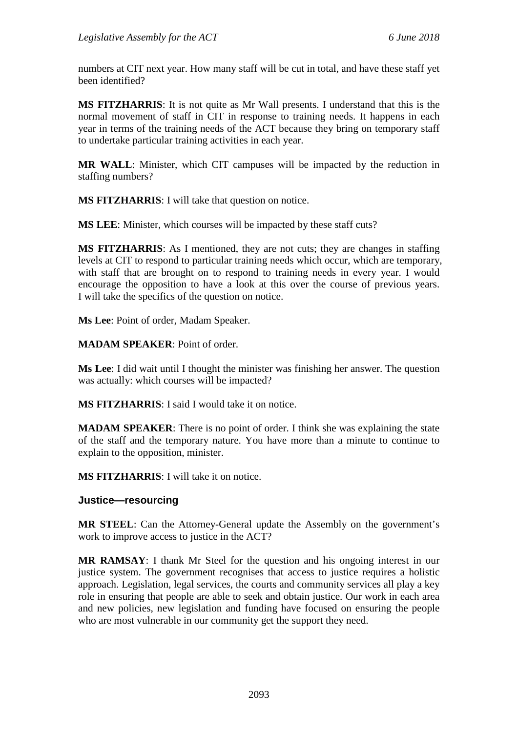numbers at CIT next year. How many staff will be cut in total, and have these staff yet been identified?

**MS FITZHARRIS**: It is not quite as Mr Wall presents. I understand that this is the normal movement of staff in CIT in response to training needs. It happens in each year in terms of the training needs of the ACT because they bring on temporary staff to undertake particular training activities in each year.

**MR WALL**: Minister, which CIT campuses will be impacted by the reduction in staffing numbers?

**MS FITZHARRIS**: I will take that question on notice.

**MS LEE**: Minister, which courses will be impacted by these staff cuts?

**MS FITZHARRIS**: As I mentioned, they are not cuts; they are changes in staffing levels at CIT to respond to particular training needs which occur, which are temporary, with staff that are brought on to respond to training needs in every year. I would encourage the opposition to have a look at this over the course of previous years. I will take the specifics of the question on notice.

**Ms Lee**: Point of order, Madam Speaker.

**MADAM SPEAKER**: Point of order.

**Ms Lee**: I did wait until I thought the minister was finishing her answer. The question was actually: which courses will be impacted?

**MS FITZHARRIS**: I said I would take it on notice.

**MADAM SPEAKER**: There is no point of order. I think she was explaining the state of the staff and the temporary nature. You have more than a minute to continue to explain to the opposition, minister.

**MS FITZHARRIS**: I will take it on notice.

#### **Justice—resourcing**

**MR STEEL**: Can the Attorney-General update the Assembly on the government's work to improve access to justice in the ACT?

**MR RAMSAY**: I thank Mr Steel for the question and his ongoing interest in our justice system. The government recognises that access to justice requires a holistic approach. Legislation, legal services, the courts and community services all play a key role in ensuring that people are able to seek and obtain justice. Our work in each area and new policies, new legislation and funding have focused on ensuring the people who are most vulnerable in our community get the support they need.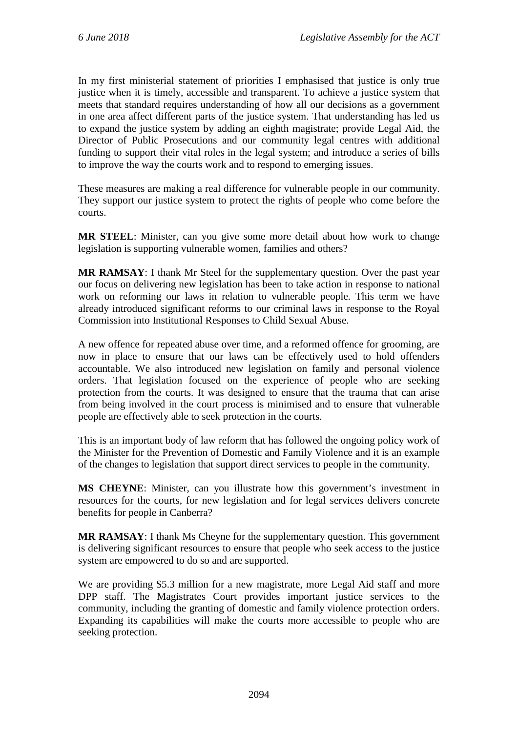In my first ministerial statement of priorities I emphasised that justice is only true justice when it is timely, accessible and transparent. To achieve a justice system that meets that standard requires understanding of how all our decisions as a government in one area affect different parts of the justice system. That understanding has led us to expand the justice system by adding an eighth magistrate; provide Legal Aid, the Director of Public Prosecutions and our community legal centres with additional funding to support their vital roles in the legal system; and introduce a series of bills to improve the way the courts work and to respond to emerging issues.

These measures are making a real difference for vulnerable people in our community. They support our justice system to protect the rights of people who come before the courts.

**MR STEEL**: Minister, can you give some more detail about how work to change legislation is supporting vulnerable women, families and others?

**MR RAMSAY**: I thank Mr Steel for the supplementary question. Over the past year our focus on delivering new legislation has been to take action in response to national work on reforming our laws in relation to vulnerable people. This term we have already introduced significant reforms to our criminal laws in response to the Royal Commission into Institutional Responses to Child Sexual Abuse.

A new offence for repeated abuse over time, and a reformed offence for grooming, are now in place to ensure that our laws can be effectively used to hold offenders accountable. We also introduced new legislation on family and personal violence orders. That legislation focused on the experience of people who are seeking protection from the courts. It was designed to ensure that the trauma that can arise from being involved in the court process is minimised and to ensure that vulnerable people are effectively able to seek protection in the courts.

This is an important body of law reform that has followed the ongoing policy work of the Minister for the Prevention of Domestic and Family Violence and it is an example of the changes to legislation that support direct services to people in the community.

**MS CHEYNE**: Minister, can you illustrate how this government's investment in resources for the courts, for new legislation and for legal services delivers concrete benefits for people in Canberra?

**MR RAMSAY**: I thank Ms Cheyne for the supplementary question. This government is delivering significant resources to ensure that people who seek access to the justice system are empowered to do so and are supported.

We are providing \$5.3 million for a new magistrate, more Legal Aid staff and more DPP staff. The Magistrates Court provides important justice services to the community, including the granting of domestic and family violence protection orders. Expanding its capabilities will make the courts more accessible to people who are seeking protection.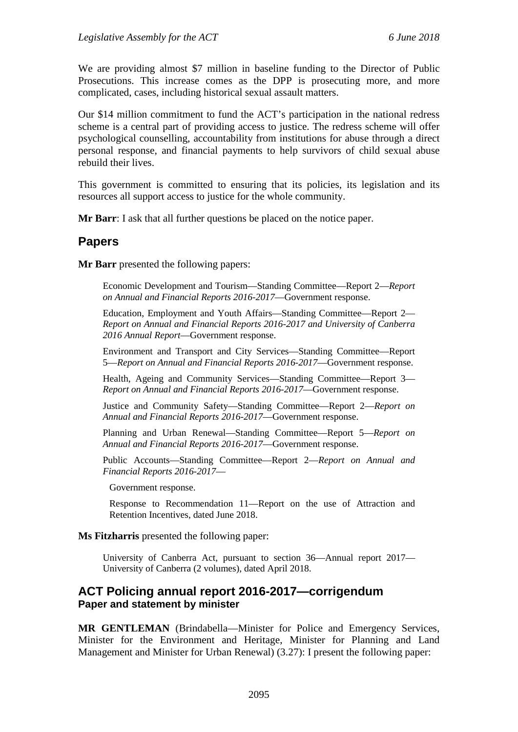We are providing almost \$7 million in baseline funding to the Director of Public Prosecutions. This increase comes as the DPP is prosecuting more, and more complicated, cases, including historical sexual assault matters.

Our \$14 million commitment to fund the ACT's participation in the national redress scheme is a central part of providing access to justice. The redress scheme will offer psychological counselling, accountability from institutions for abuse through a direct personal response, and financial payments to help survivors of child sexual abuse rebuild their lives.

This government is committed to ensuring that its policies, its legislation and its resources all support access to justice for the whole community.

**Mr Barr**: I ask that all further questions be placed on the notice paper.

# **Papers**

**Mr Barr** presented the following papers:

Economic Development and Tourism—Standing Committee—Report 2—*Report on Annual and Financial Reports 2016-2017*—Government response.

Education, Employment and Youth Affairs—Standing Committee—Report 2— *Report on Annual and Financial Reports 2016-2017 and University of Canberra 2016 Annual Report*—Government response.

Environment and Transport and City Services—Standing Committee—Report 5—*Report on Annual and Financial Reports 2016-2017*—Government response.

Health, Ageing and Community Services—Standing Committee—Report 3— *Report on Annual and Financial Reports 2016-2017*—Government response.

Justice and Community Safety—Standing Committee—Report 2—*Report on Annual and Financial Reports 2016-2017*—Government response.

Planning and Urban Renewal—Standing Committee—Report 5—*Report on Annual and Financial Reports 2016-2017*—Government response.

Public Accounts—Standing Committee—Report 2—*Report on Annual and Financial Reports 2016-2017*—

Government response.

Response to Recommendation 11—Report on the use of Attraction and Retention Incentives, dated June 2018.

#### **Ms Fitzharris** presented the following paper:

University of Canberra Act, pursuant to section 36—Annual report 2017— University of Canberra (2 volumes), dated April 2018.

## **ACT Policing annual report 2016-2017—corrigendum Paper and statement by minister**

**MR GENTLEMAN** (Brindabella—Minister for Police and Emergency Services, Minister for the Environment and Heritage, Minister for Planning and Land Management and Minister for Urban Renewal) (3.27): I present the following paper: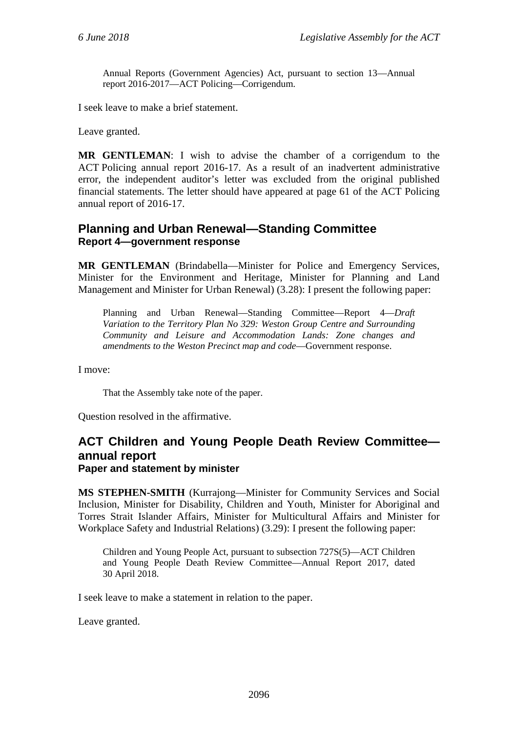Annual Reports (Government Agencies) Act, pursuant to section 13—Annual report 2016-2017—ACT Policing—Corrigendum.

I seek leave to make a brief statement.

Leave granted.

**MR GENTLEMAN**: I wish to advise the chamber of a corrigendum to the ACT Policing annual report 2016-17. As a result of an inadvertent administrative error, the independent auditor's letter was excluded from the original published financial statements. The letter should have appeared at page 61 of the ACT Policing annual report of 2016-17.

## **Planning and Urban Renewal—Standing Committee Report 4—government response**

**MR GENTLEMAN** (Brindabella—Minister for Police and Emergency Services, Minister for the Environment and Heritage, Minister for Planning and Land Management and Minister for Urban Renewal) (3.28): I present the following paper:

Planning and Urban Renewal—Standing Committee—Report 4—*Draft Variation to the Territory Plan No 329: Weston Group Centre and Surrounding Community and Leisure and Accommodation Lands: Zone changes and amendments to the Weston Precinct map and code*—Government response.

I move:

That the Assembly take note of the paper.

Question resolved in the affirmative.

# **ACT Children and Young People Death Review Committee annual report**

#### **Paper and statement by minister**

**MS STEPHEN-SMITH** (Kurrajong—Minister for Community Services and Social Inclusion, Minister for Disability, Children and Youth, Minister for Aboriginal and Torres Strait Islander Affairs, Minister for Multicultural Affairs and Minister for Workplace Safety and Industrial Relations) (3.29): I present the following paper:

Children and Young People Act, pursuant to subsection 727S(5)—ACT Children and Young People Death Review Committee—Annual Report 2017, dated 30 April 2018.

I seek leave to make a statement in relation to the paper.

Leave granted.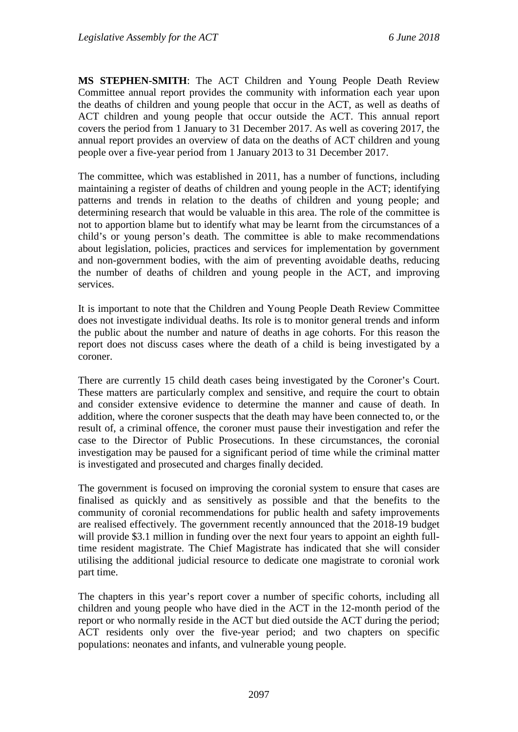**MS STEPHEN-SMITH**: The ACT Children and Young People Death Review Committee annual report provides the community with information each year upon the deaths of children and young people that occur in the ACT, as well as deaths of ACT children and young people that occur outside the ACT. This annual report covers the period from 1 January to 31 December 2017. As well as covering 2017, the annual report provides an overview of data on the deaths of ACT children and young people over a five-year period from 1 January 2013 to 31 December 2017.

The committee, which was established in 2011, has a number of functions, including maintaining a register of deaths of children and young people in the ACT; identifying patterns and trends in relation to the deaths of children and young people; and determining research that would be valuable in this area. The role of the committee is not to apportion blame but to identify what may be learnt from the circumstances of a child's or young person's death. The committee is able to make recommendations about legislation, policies, practices and services for implementation by government and non-government bodies, with the aim of preventing avoidable deaths, reducing the number of deaths of children and young people in the ACT, and improving services.

It is important to note that the Children and Young People Death Review Committee does not investigate individual deaths. Its role is to monitor general trends and inform the public about the number and nature of deaths in age cohorts. For this reason the report does not discuss cases where the death of a child is being investigated by a coroner.

There are currently 15 child death cases being investigated by the Coroner's Court. These matters are particularly complex and sensitive, and require the court to obtain and consider extensive evidence to determine the manner and cause of death. In addition, where the coroner suspects that the death may have been connected to, or the result of, a criminal offence, the coroner must pause their investigation and refer the case to the Director of Public Prosecutions. In these circumstances, the coronial investigation may be paused for a significant period of time while the criminal matter is investigated and prosecuted and charges finally decided.

The government is focused on improving the coronial system to ensure that cases are finalised as quickly and as sensitively as possible and that the benefits to the community of coronial recommendations for public health and safety improvements are realised effectively. The government recently announced that the 2018-19 budget will provide \$3.1 million in funding over the next four years to appoint an eighth fulltime resident magistrate. The Chief Magistrate has indicated that she will consider utilising the additional judicial resource to dedicate one magistrate to coronial work part time.

The chapters in this year's report cover a number of specific cohorts, including all children and young people who have died in the ACT in the 12-month period of the report or who normally reside in the ACT but died outside the ACT during the period; ACT residents only over the five-year period; and two chapters on specific populations: neonates and infants, and vulnerable young people.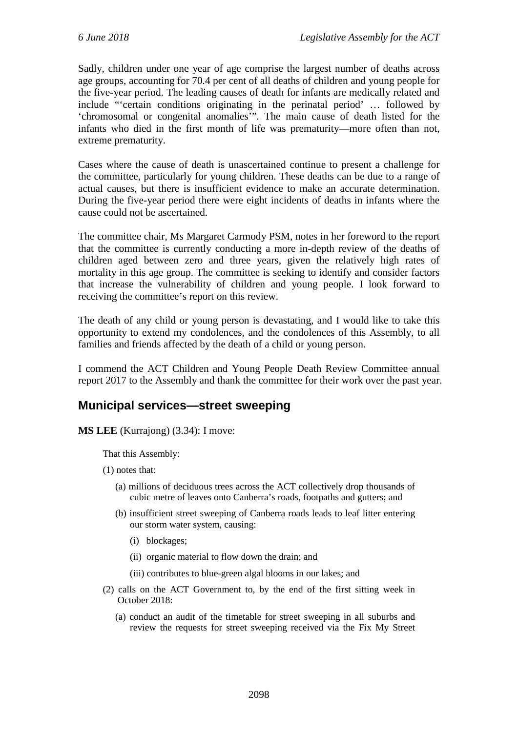Sadly, children under one year of age comprise the largest number of deaths across age groups, accounting for 70.4 per cent of all deaths of children and young people for the five-year period. The leading causes of death for infants are medically related and include "'certain conditions originating in the perinatal period' … followed by 'chromosomal or congenital anomalies'". The main cause of death listed for the infants who died in the first month of life was prematurity—more often than not, extreme prematurity.

Cases where the cause of death is unascertained continue to present a challenge for the committee, particularly for young children. These deaths can be due to a range of actual causes, but there is insufficient evidence to make an accurate determination. During the five-year period there were eight incidents of deaths in infants where the cause could not be ascertained.

The committee chair, Ms Margaret Carmody PSM, notes in her foreword to the report that the committee is currently conducting a more in-depth review of the deaths of children aged between zero and three years, given the relatively high rates of mortality in this age group. The committee is seeking to identify and consider factors that increase the vulnerability of children and young people. I look forward to receiving the committee's report on this review.

The death of any child or young person is devastating, and I would like to take this opportunity to extend my condolences, and the condolences of this Assembly, to all families and friends affected by the death of a child or young person.

I commend the ACT Children and Young People Death Review Committee annual report 2017 to the Assembly and thank the committee for their work over the past year.

# **Municipal services—street sweeping**

**MS LEE** (Kurrajong) (3.34): I move:

That this Assembly:

- (1) notes that:
	- (a) millions of deciduous trees across the ACT collectively drop thousands of cubic metre of leaves onto Canberra's roads, footpaths and gutters; and
	- (b) insufficient street sweeping of Canberra roads leads to leaf litter entering our storm water system, causing:
		- (i) blockages;
		- (ii) organic material to flow down the drain; and
		- (iii) contributes to blue-green algal blooms in our lakes; and
- (2) calls on the ACT Government to, by the end of the first sitting week in October 2018:
	- (a) conduct an audit of the timetable for street sweeping in all suburbs and review the requests for street sweeping received via the Fix My Street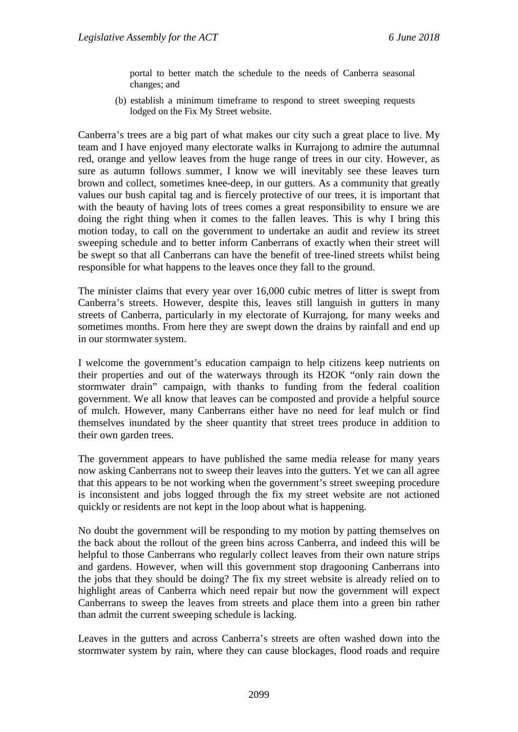portal to better match the schedule to the needs of Canberra seasonal changes; and

(b) establish a minimum timeframe to respond to street sweeping requests lodged on the Fix My Street website.

Canberra's trees are a big part of what makes our city such a great place to live. My team and I have enjoyed many electorate walks in Kurrajong to admire the autumnal red, orange and yellow leaves from the huge range of trees in our city. However, as sure as autumn follows summer, I know we will inevitably see these leaves turn brown and collect, sometimes knee-deep, in our gutters. As a community that greatly values our bush capital tag and is fiercely protective of our trees, it is important that with the beauty of having lots of trees comes a great responsibility to ensure we are doing the right thing when it comes to the fallen leaves. This is why I bring this motion today, to call on the government to undertake an audit and review its street sweeping schedule and to better inform Canberrans of exactly when their street will be swept so that all Canberrans can have the benefit of tree-lined streets whilst being responsible for what happens to the leaves once they fall to the ground.

The minister claims that every year over 16,000 cubic metres of litter is swept from Canberra's streets. However, despite this, leaves still languish in gutters in many streets of Canberra, particularly in my electorate of Kurrajong, for many weeks and sometimes months. From here they are swept down the drains by rainfall and end up in our stormwater system.

I welcome the government's education campaign to help citizens keep nutrients on their properties and out of the waterways through its H2OK "only rain down the stormwater drain" campaign, with thanks to funding from the federal coalition government. We all know that leaves can be composted and provide a helpful source of mulch. However, many Canberrans either have no need for leaf mulch or find themselves inundated by the sheer quantity that street trees produce in addition to their own garden trees.

The government appears to have published the same media release for many years now asking Canberrans not to sweep their leaves into the gutters. Yet we can all agree that this appears to be not working when the government's street sweeping procedure is inconsistent and jobs logged through the fix my street website are not actioned quickly or residents are not kept in the loop about what is happening.

No doubt the government will be responding to my motion by patting themselves on the back about the rollout of the green bins across Canberra, and indeed this will be helpful to those Canberrans who regularly collect leaves from their own nature strips and gardens. However, when will this government stop dragooning Canberrans into the jobs that they should be doing? The fix my street website is already relied on to highlight areas of Canberra which need repair but now the government will expect Canberrans to sweep the leaves from streets and place them into a green bin rather than admit the current sweeping schedule is lacking.

Leaves in the gutters and across Canberra's streets are often washed down into the stormwater system by rain, where they can cause blockages, flood roads and require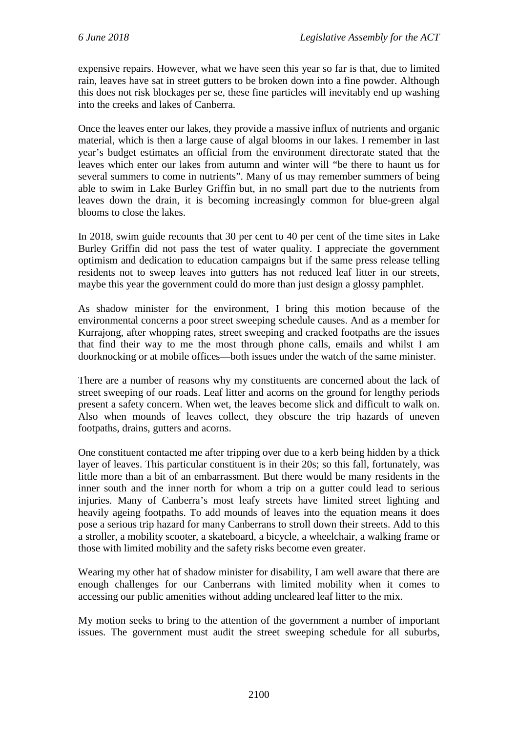expensive repairs. However, what we have seen this year so far is that, due to limited rain, leaves have sat in street gutters to be broken down into a fine powder. Although this does not risk blockages per se, these fine particles will inevitably end up washing into the creeks and lakes of Canberra.

Once the leaves enter our lakes, they provide a massive influx of nutrients and organic material, which is then a large cause of algal blooms in our lakes. I remember in last year's budget estimates an official from the environment directorate stated that the leaves which enter our lakes from autumn and winter will "be there to haunt us for several summers to come in nutrients". Many of us may remember summers of being able to swim in Lake Burley Griffin but, in no small part due to the nutrients from leaves down the drain, it is becoming increasingly common for blue-green algal blooms to close the lakes.

In 2018, swim guide recounts that 30 per cent to 40 per cent of the time sites in Lake Burley Griffin did not pass the test of water quality. I appreciate the government optimism and dedication to education campaigns but if the same press release telling residents not to sweep leaves into gutters has not reduced leaf litter in our streets, maybe this year the government could do more than just design a glossy pamphlet.

As shadow minister for the environment, I bring this motion because of the environmental concerns a poor street sweeping schedule causes. And as a member for Kurrajong, after whopping rates, street sweeping and cracked footpaths are the issues that find their way to me the most through phone calls, emails and whilst I am doorknocking or at mobile offices—both issues under the watch of the same minister.

There are a number of reasons why my constituents are concerned about the lack of street sweeping of our roads. Leaf litter and acorns on the ground for lengthy periods present a safety concern. When wet, the leaves become slick and difficult to walk on. Also when mounds of leaves collect, they obscure the trip hazards of uneven footpaths, drains, gutters and acorns.

One constituent contacted me after tripping over due to a kerb being hidden by a thick layer of leaves. This particular constituent is in their 20s; so this fall, fortunately, was little more than a bit of an embarrassment. But there would be many residents in the inner south and the inner north for whom a trip on a gutter could lead to serious injuries. Many of Canberra's most leafy streets have limited street lighting and heavily ageing footpaths. To add mounds of leaves into the equation means it does pose a serious trip hazard for many Canberrans to stroll down their streets. Add to this a stroller, a mobility scooter, a skateboard, a bicycle, a wheelchair, a walking frame or those with limited mobility and the safety risks become even greater.

Wearing my other hat of shadow minister for disability, I am well aware that there are enough challenges for our Canberrans with limited mobility when it comes to accessing our public amenities without adding uncleared leaf litter to the mix.

My motion seeks to bring to the attention of the government a number of important issues. The government must audit the street sweeping schedule for all suburbs,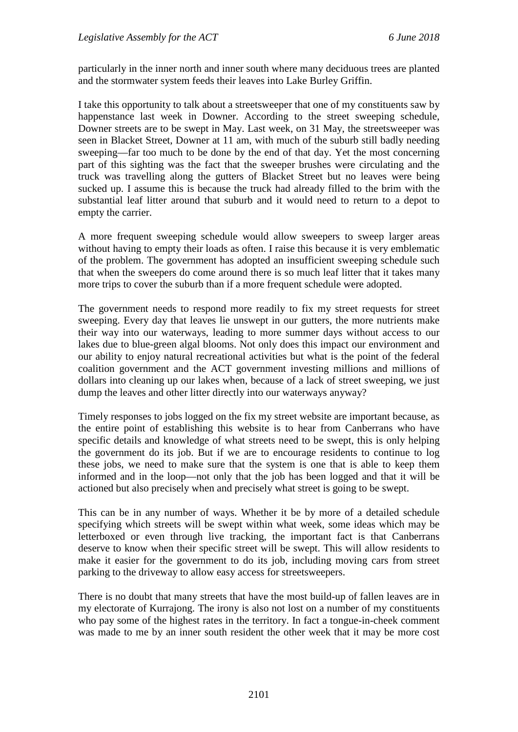particularly in the inner north and inner south where many deciduous trees are planted and the stormwater system feeds their leaves into Lake Burley Griffin.

I take this opportunity to talk about a streetsweeper that one of my constituents saw by happenstance last week in Downer. According to the street sweeping schedule, Downer streets are to be swept in May. Last week, on 31 May, the streetsweeper was seen in Blacket Street, Downer at 11 am, with much of the suburb still badly needing sweeping—far too much to be done by the end of that day. Yet the most concerning part of this sighting was the fact that the sweeper brushes were circulating and the truck was travelling along the gutters of Blacket Street but no leaves were being sucked up. I assume this is because the truck had already filled to the brim with the substantial leaf litter around that suburb and it would need to return to a depot to empty the carrier.

A more frequent sweeping schedule would allow sweepers to sweep larger areas without having to empty their loads as often. I raise this because it is very emblematic of the problem. The government has adopted an insufficient sweeping schedule such that when the sweepers do come around there is so much leaf litter that it takes many more trips to cover the suburb than if a more frequent schedule were adopted.

The government needs to respond more readily to fix my street requests for street sweeping. Every day that leaves lie unswept in our gutters, the more nutrients make their way into our waterways, leading to more summer days without access to our lakes due to blue-green algal blooms. Not only does this impact our environment and our ability to enjoy natural recreational activities but what is the point of the federal coalition government and the ACT government investing millions and millions of dollars into cleaning up our lakes when, because of a lack of street sweeping, we just dump the leaves and other litter directly into our waterways anyway?

Timely responses to jobs logged on the fix my street website are important because, as the entire point of establishing this website is to hear from Canberrans who have specific details and knowledge of what streets need to be swept, this is only helping the government do its job. But if we are to encourage residents to continue to log these jobs, we need to make sure that the system is one that is able to keep them informed and in the loop—not only that the job has been logged and that it will be actioned but also precisely when and precisely what street is going to be swept.

This can be in any number of ways. Whether it be by more of a detailed schedule specifying which streets will be swept within what week, some ideas which may be letterboxed or even through live tracking, the important fact is that Canberrans deserve to know when their specific street will be swept. This will allow residents to make it easier for the government to do its job, including moving cars from street parking to the driveway to allow easy access for streetsweepers.

There is no doubt that many streets that have the most build-up of fallen leaves are in my electorate of Kurrajong. The irony is also not lost on a number of my constituents who pay some of the highest rates in the territory. In fact a tongue-in-cheek comment was made to me by an inner south resident the other week that it may be more cost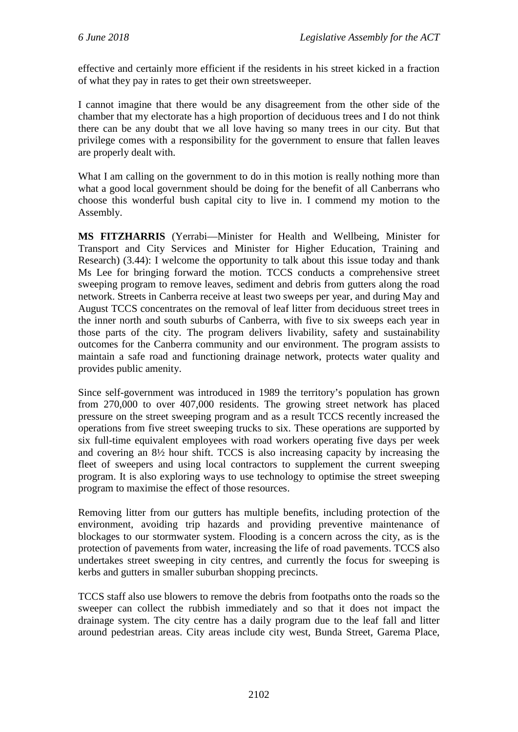effective and certainly more efficient if the residents in his street kicked in a fraction of what they pay in rates to get their own streetsweeper.

I cannot imagine that there would be any disagreement from the other side of the chamber that my electorate has a high proportion of deciduous trees and I do not think there can be any doubt that we all love having so many trees in our city. But that privilege comes with a responsibility for the government to ensure that fallen leaves are properly dealt with.

What I am calling on the government to do in this motion is really nothing more than what a good local government should be doing for the benefit of all Canberrans who choose this wonderful bush capital city to live in. I commend my motion to the Assembly.

**MS FITZHARRIS** (Yerrabi—Minister for Health and Wellbeing, Minister for Transport and City Services and Minister for Higher Education, Training and Research) (3.44): I welcome the opportunity to talk about this issue today and thank Ms Lee for bringing forward the motion. TCCS conducts a comprehensive street sweeping program to remove leaves, sediment and debris from gutters along the road network. Streets in Canberra receive at least two sweeps per year, and during May and August TCCS concentrates on the removal of leaf litter from deciduous street trees in the inner north and south suburbs of Canberra, with five to six sweeps each year in those parts of the city. The program delivers livability, safety and sustainability outcomes for the Canberra community and our environment. The program assists to maintain a safe road and functioning drainage network, protects water quality and provides public amenity.

Since self-government was introduced in 1989 the territory's population has grown from 270,000 to over 407,000 residents. The growing street network has placed pressure on the street sweeping program and as a result TCCS recently increased the operations from five street sweeping trucks to six. These operations are supported by six full-time equivalent employees with road workers operating five days per week and covering an 8½ hour shift. TCCS is also increasing capacity by increasing the fleet of sweepers and using local contractors to supplement the current sweeping program. It is also exploring ways to use technology to optimise the street sweeping program to maximise the effect of those resources.

Removing litter from our gutters has multiple benefits, including protection of the environment, avoiding trip hazards and providing preventive maintenance of blockages to our stormwater system. Flooding is a concern across the city, as is the protection of pavements from water, increasing the life of road pavements. TCCS also undertakes street sweeping in city centres, and currently the focus for sweeping is kerbs and gutters in smaller suburban shopping precincts.

TCCS staff also use blowers to remove the debris from footpaths onto the roads so the sweeper can collect the rubbish immediately and so that it does not impact the drainage system. The city centre has a daily program due to the leaf fall and litter around pedestrian areas. City areas include city west, Bunda Street, Garema Place,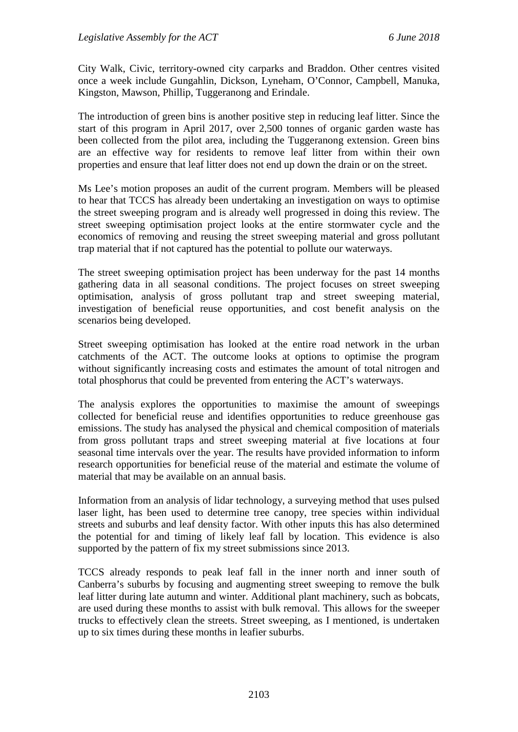City Walk, Civic, territory-owned city carparks and Braddon. Other centres visited once a week include Gungahlin, Dickson, Lyneham, O'Connor, Campbell, Manuka, Kingston, Mawson, Phillip, Tuggeranong and Erindale.

The introduction of green bins is another positive step in reducing leaf litter. Since the start of this program in April 2017, over 2,500 tonnes of organic garden waste has been collected from the pilot area, including the Tuggeranong extension. Green bins are an effective way for residents to remove leaf litter from within their own properties and ensure that leaf litter does not end up down the drain or on the street.

Ms Lee's motion proposes an audit of the current program. Members will be pleased to hear that TCCS has already been undertaking an investigation on ways to optimise the street sweeping program and is already well progressed in doing this review. The street sweeping optimisation project looks at the entire stormwater cycle and the economics of removing and reusing the street sweeping material and gross pollutant trap material that if not captured has the potential to pollute our waterways.

The street sweeping optimisation project has been underway for the past 14 months gathering data in all seasonal conditions. The project focuses on street sweeping optimisation, analysis of gross pollutant trap and street sweeping material, investigation of beneficial reuse opportunities, and cost benefit analysis on the scenarios being developed.

Street sweeping optimisation has looked at the entire road network in the urban catchments of the ACT. The outcome looks at options to optimise the program without significantly increasing costs and estimates the amount of total nitrogen and total phosphorus that could be prevented from entering the ACT's waterways.

The analysis explores the opportunities to maximise the amount of sweepings collected for beneficial reuse and identifies opportunities to reduce greenhouse gas emissions. The study has analysed the physical and chemical composition of materials from gross pollutant traps and street sweeping material at five locations at four seasonal time intervals over the year. The results have provided information to inform research opportunities for beneficial reuse of the material and estimate the volume of material that may be available on an annual basis.

Information from an analysis of lidar technology, a surveying method that uses pulsed laser light, has been used to determine tree canopy, tree species within individual streets and suburbs and leaf density factor. With other inputs this has also determined the potential for and timing of likely leaf fall by location. This evidence is also supported by the pattern of fix my street submissions since 2013.

TCCS already responds to peak leaf fall in the inner north and inner south of Canberra's suburbs by focusing and augmenting street sweeping to remove the bulk leaf litter during late autumn and winter. Additional plant machinery, such as bobcats, are used during these months to assist with bulk removal. This allows for the sweeper trucks to effectively clean the streets. Street sweeping, as I mentioned, is undertaken up to six times during these months in leafier suburbs.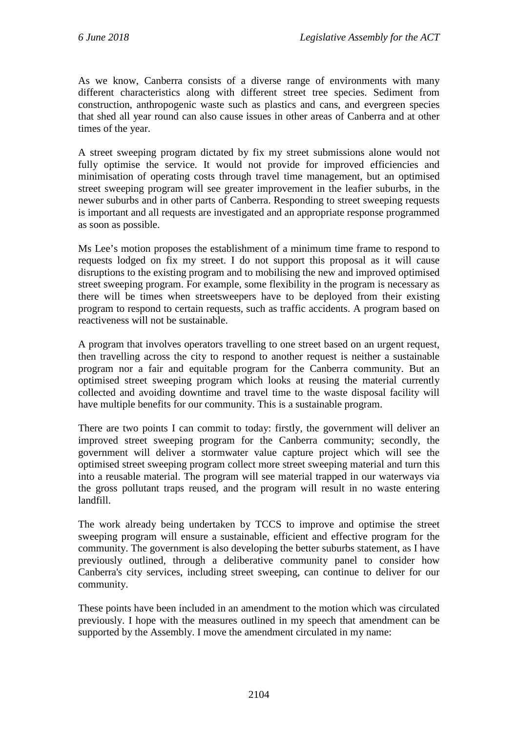As we know, Canberra consists of a diverse range of environments with many different characteristics along with different street tree species. Sediment from construction, anthropogenic waste such as plastics and cans, and evergreen species that shed all year round can also cause issues in other areas of Canberra and at other times of the year.

A street sweeping program dictated by fix my street submissions alone would not fully optimise the service. It would not provide for improved efficiencies and minimisation of operating costs through travel time management, but an optimised street sweeping program will see greater improvement in the leafier suburbs, in the newer suburbs and in other parts of Canberra. Responding to street sweeping requests is important and all requests are investigated and an appropriate response programmed as soon as possible.

Ms Lee's motion proposes the establishment of a minimum time frame to respond to requests lodged on fix my street. I do not support this proposal as it will cause disruptions to the existing program and to mobilising the new and improved optimised street sweeping program. For example, some flexibility in the program is necessary as there will be times when streetsweepers have to be deployed from their existing program to respond to certain requests, such as traffic accidents. A program based on reactiveness will not be sustainable.

A program that involves operators travelling to one street based on an urgent request, then travelling across the city to respond to another request is neither a sustainable program nor a fair and equitable program for the Canberra community. But an optimised street sweeping program which looks at reusing the material currently collected and avoiding downtime and travel time to the waste disposal facility will have multiple benefits for our community. This is a sustainable program.

There are two points I can commit to today: firstly, the government will deliver an improved street sweeping program for the Canberra community; secondly, the government will deliver a stormwater value capture project which will see the optimised street sweeping program collect more street sweeping material and turn this into a reusable material. The program will see material trapped in our waterways via the gross pollutant traps reused, and the program will result in no waste entering landfill.

The work already being undertaken by TCCS to improve and optimise the street sweeping program will ensure a sustainable, efficient and effective program for the community. The government is also developing the better suburbs statement, as I have previously outlined, through a deliberative community panel to consider how Canberra's city services, including street sweeping, can continue to deliver for our community.

These points have been included in an amendment to the motion which was circulated previously. I hope with the measures outlined in my speech that amendment can be supported by the Assembly. I move the amendment circulated in my name: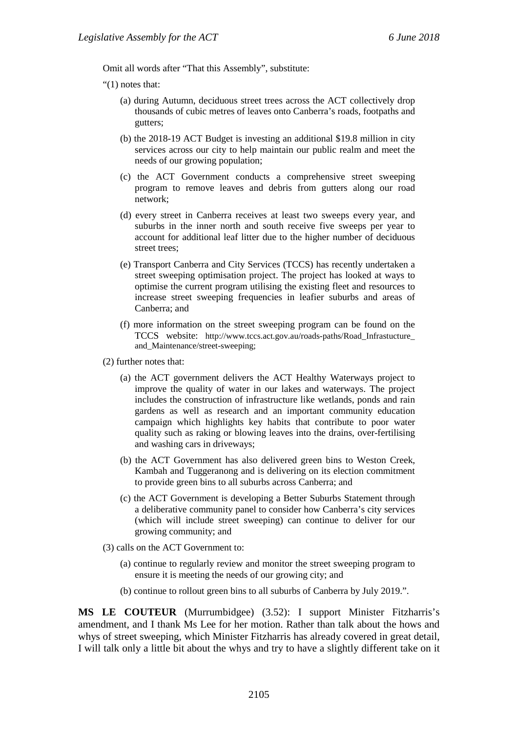Omit all words after "That this Assembly", substitute:

"(1) notes that:

- (a) during Autumn, deciduous street trees across the ACT collectively drop thousands of cubic metres of leaves onto Canberra's roads, footpaths and gutters;
- (b) the 2018-19 ACT Budget is investing an additional \$19.8 million in city services across our city to help maintain our public realm and meet the needs of our growing population;
- (c) the ACT Government conducts a comprehensive street sweeping program to remove leaves and debris from gutters along our road network;
- (d) every street in Canberra receives at least two sweeps every year, and suburbs in the inner north and south receive five sweeps per year to account for additional leaf litter due to the higher number of deciduous street trees;
- (e) Transport Canberra and City Services (TCCS) has recently undertaken a street sweeping optimisation project. The project has looked at ways to optimise the current program utilising the existing fleet and resources to increase street sweeping frequencies in leafier suburbs and areas of Canberra; and
- (f) more information on the street sweeping program can be found on the TCCS website: http://www.tccs.act.gov.au/roads-paths/Road\_Infrastucture\_ and\_Maintenance/street-sweeping;
- (2) further notes that:
	- (a) the ACT government delivers the ACT Healthy Waterways project to improve the quality of water in our lakes and waterways. The project includes the construction of infrastructure like wetlands, ponds and rain gardens as well as research and an important community education campaign which highlights key habits that contribute to poor water quality such as raking or blowing leaves into the drains, over-fertilising and washing cars in driveways;
	- (b) the ACT Government has also delivered green bins to Weston Creek, Kambah and Tuggeranong and is delivering on its election commitment to provide green bins to all suburbs across Canberra; and
	- (c) the ACT Government is developing a Better Suburbs Statement through a deliberative community panel to consider how Canberra's city services (which will include street sweeping) can continue to deliver for our growing community; and
- (3) calls on the ACT Government to:
	- (a) continue to regularly review and monitor the street sweeping program to ensure it is meeting the needs of our growing city; and
	- (b) continue to rollout green bins to all suburbs of Canberra by July 2019.".

**MS LE COUTEUR** (Murrumbidgee) (3.52): I support Minister Fitzharris's amendment, and I thank Ms Lee for her motion. Rather than talk about the hows and whys of street sweeping, which Minister Fitzharris has already covered in great detail, I will talk only a little bit about the whys and try to have a slightly different take on it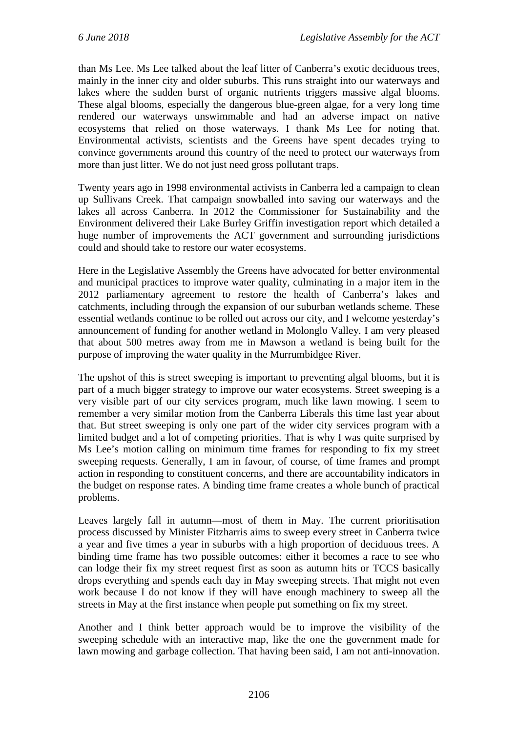than Ms Lee. Ms Lee talked about the leaf litter of Canberra's exotic deciduous trees, mainly in the inner city and older suburbs. This runs straight into our waterways and lakes where the sudden burst of organic nutrients triggers massive algal blooms. These algal blooms, especially the dangerous blue-green algae, for a very long time rendered our waterways unswimmable and had an adverse impact on native ecosystems that relied on those waterways. I thank Ms Lee for noting that. Environmental activists, scientists and the Greens have spent decades trying to convince governments around this country of the need to protect our waterways from more than just litter. We do not just need gross pollutant traps.

Twenty years ago in 1998 environmental activists in Canberra led a campaign to clean up Sullivans Creek. That campaign snowballed into saving our waterways and the lakes all across Canberra. In 2012 the Commissioner for Sustainability and the Environment delivered their Lake Burley Griffin investigation report which detailed a huge number of improvements the ACT government and surrounding jurisdictions could and should take to restore our water ecosystems.

Here in the Legislative Assembly the Greens have advocated for better environmental and municipal practices to improve water quality, culminating in a major item in the 2012 parliamentary agreement to restore the health of Canberra's lakes and catchments, including through the expansion of our suburban wetlands scheme. These essential wetlands continue to be rolled out across our city, and I welcome yesterday's announcement of funding for another wetland in Molonglo Valley. I am very pleased that about 500 metres away from me in Mawson a wetland is being built for the purpose of improving the water quality in the Murrumbidgee River.

The upshot of this is street sweeping is important to preventing algal blooms, but it is part of a much bigger strategy to improve our water ecosystems. Street sweeping is a very visible part of our city services program, much like lawn mowing. I seem to remember a very similar motion from the Canberra Liberals this time last year about that. But street sweeping is only one part of the wider city services program with a limited budget and a lot of competing priorities. That is why I was quite surprised by Ms Lee's motion calling on minimum time frames for responding to fix my street sweeping requests. Generally, I am in favour, of course, of time frames and prompt action in responding to constituent concerns, and there are accountability indicators in the budget on response rates. A binding time frame creates a whole bunch of practical problems.

Leaves largely fall in autumn—most of them in May. The current prioritisation process discussed by Minister Fitzharris aims to sweep every street in Canberra twice a year and five times a year in suburbs with a high proportion of deciduous trees. A binding time frame has two possible outcomes: either it becomes a race to see who can lodge their fix my street request first as soon as autumn hits or TCCS basically drops everything and spends each day in May sweeping streets. That might not even work because I do not know if they will have enough machinery to sweep all the streets in May at the first instance when people put something on fix my street.

Another and I think better approach would be to improve the visibility of the sweeping schedule with an interactive map, like the one the government made for lawn mowing and garbage collection. That having been said, I am not anti-innovation.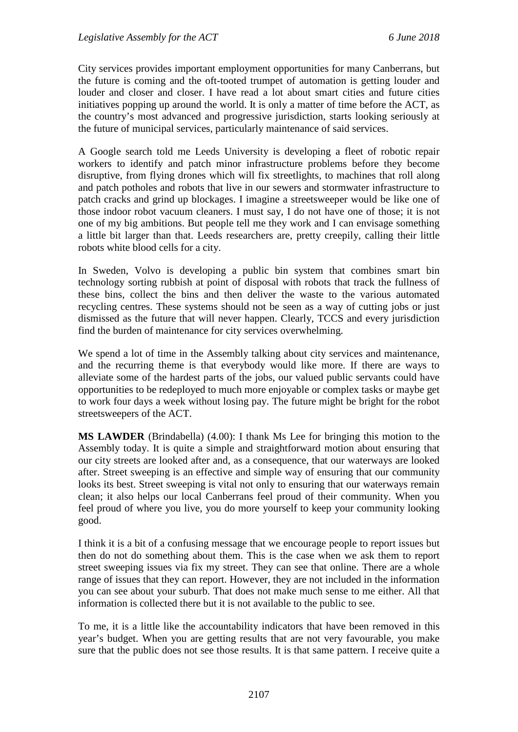City services provides important employment opportunities for many Canberrans, but the future is coming and the oft-tooted trumpet of automation is getting louder and louder and closer and closer. I have read a lot about smart cities and future cities initiatives popping up around the world. It is only a matter of time before the ACT, as the country's most advanced and progressive jurisdiction, starts looking seriously at the future of municipal services, particularly maintenance of said services.

A Google search told me Leeds University is developing a fleet of robotic repair workers to identify and patch minor infrastructure problems before they become disruptive, from flying drones which will fix streetlights, to machines that roll along and patch potholes and robots that live in our sewers and stormwater infrastructure to patch cracks and grind up blockages. I imagine a streetsweeper would be like one of those indoor robot vacuum cleaners. I must say, I do not have one of those; it is not one of my big ambitions. But people tell me they work and I can envisage something a little bit larger than that. Leeds researchers are, pretty creepily, calling their little robots white blood cells for a city.

In Sweden, Volvo is developing a public bin system that combines smart bin technology sorting rubbish at point of disposal with robots that track the fullness of these bins, collect the bins and then deliver the waste to the various automated recycling centres. These systems should not be seen as a way of cutting jobs or just dismissed as the future that will never happen. Clearly, TCCS and every jurisdiction find the burden of maintenance for city services overwhelming.

We spend a lot of time in the Assembly talking about city services and maintenance, and the recurring theme is that everybody would like more. If there are ways to alleviate some of the hardest parts of the jobs, our valued public servants could have opportunities to be redeployed to much more enjoyable or complex tasks or maybe get to work four days a week without losing pay. The future might be bright for the robot streetsweepers of the ACT.

**MS LAWDER** (Brindabella) (4.00): I thank Ms Lee for bringing this motion to the Assembly today. It is quite a simple and straightforward motion about ensuring that our city streets are looked after and, as a consequence, that our waterways are looked after. Street sweeping is an effective and simple way of ensuring that our community looks its best. Street sweeping is vital not only to ensuring that our waterways remain clean; it also helps our local Canberrans feel proud of their community. When you feel proud of where you live, you do more yourself to keep your community looking good.

I think it is a bit of a confusing message that we encourage people to report issues but then do not do something about them. This is the case when we ask them to report street sweeping issues via fix my street. They can see that online. There are a whole range of issues that they can report. However, they are not included in the information you can see about your suburb. That does not make much sense to me either. All that information is collected there but it is not available to the public to see.

To me, it is a little like the accountability indicators that have been removed in this year's budget. When you are getting results that are not very favourable, you make sure that the public does not see those results. It is that same pattern. I receive quite a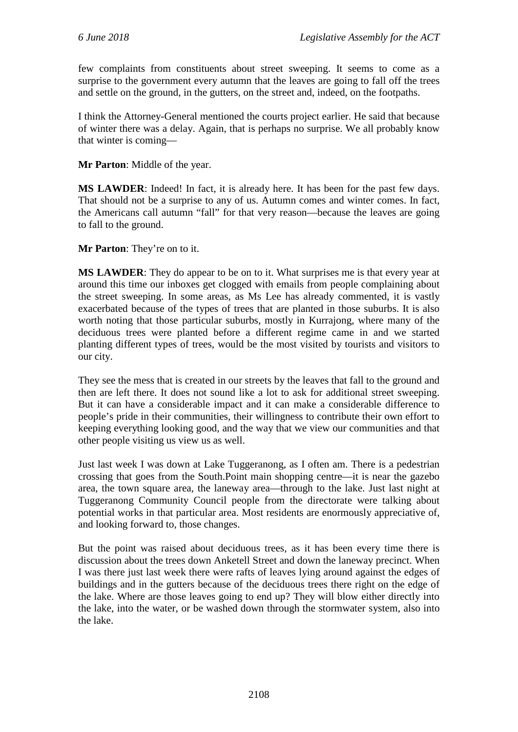few complaints from constituents about street sweeping. It seems to come as a surprise to the government every autumn that the leaves are going to fall off the trees and settle on the ground, in the gutters, on the street and, indeed, on the footpaths.

I think the Attorney-General mentioned the courts project earlier. He said that because of winter there was a delay. Again, that is perhaps no surprise. We all probably know that winter is coming—

**Mr Parton**: Middle of the year.

**MS LAWDER**: Indeed! In fact, it is already here. It has been for the past few days. That should not be a surprise to any of us. Autumn comes and winter comes. In fact, the Americans call autumn "fall" for that very reason—because the leaves are going to fall to the ground.

**Mr Parton**: They're on to it.

**MS LAWDER**: They do appear to be on to it. What surprises me is that every year at around this time our inboxes get clogged with emails from people complaining about the street sweeping. In some areas, as Ms Lee has already commented, it is vastly exacerbated because of the types of trees that are planted in those suburbs. It is also worth noting that those particular suburbs, mostly in Kurrajong, where many of the deciduous trees were planted before a different regime came in and we started planting different types of trees, would be the most visited by tourists and visitors to our city.

They see the mess that is created in our streets by the leaves that fall to the ground and then are left there. It does not sound like a lot to ask for additional street sweeping. But it can have a considerable impact and it can make a considerable difference to people's pride in their communities, their willingness to contribute their own effort to keeping everything looking good, and the way that we view our communities and that other people visiting us view us as well.

Just last week I was down at Lake Tuggeranong, as I often am. There is a pedestrian crossing that goes from the South.Point main shopping centre—it is near the gazebo area, the town square area, the laneway area—through to the lake. Just last night at Tuggeranong Community Council people from the directorate were talking about potential works in that particular area. Most residents are enormously appreciative of, and looking forward to, those changes.

But the point was raised about deciduous trees, as it has been every time there is discussion about the trees down Anketell Street and down the laneway precinct. When I was there just last week there were rafts of leaves lying around against the edges of buildings and in the gutters because of the deciduous trees there right on the edge of the lake. Where are those leaves going to end up? They will blow either directly into the lake, into the water, or be washed down through the stormwater system, also into the lake.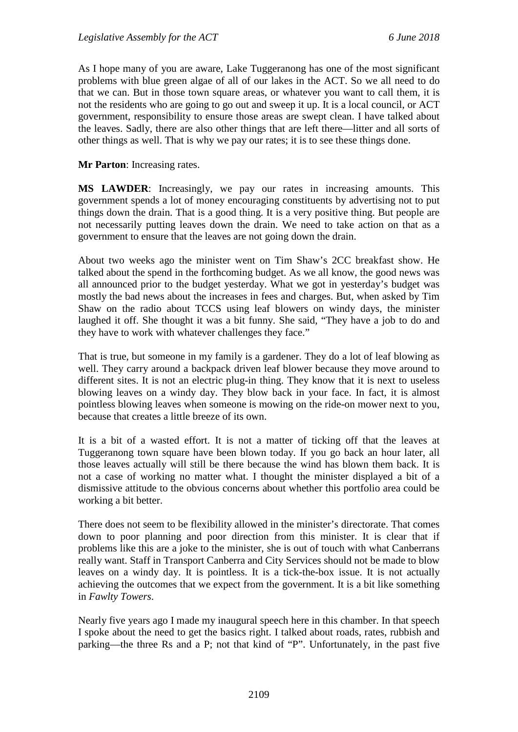As I hope many of you are aware, Lake Tuggeranong has one of the most significant problems with blue green algae of all of our lakes in the ACT. So we all need to do that we can. But in those town square areas, or whatever you want to call them, it is not the residents who are going to go out and sweep it up. It is a local council, or ACT government, responsibility to ensure those areas are swept clean. I have talked about the leaves. Sadly, there are also other things that are left there—litter and all sorts of other things as well. That is why we pay our rates; it is to see these things done.

**Mr Parton**: Increasing rates.

**MS LAWDER**: Increasingly, we pay our rates in increasing amounts. This government spends a lot of money encouraging constituents by advertising not to put things down the drain. That is a good thing. It is a very positive thing. But people are not necessarily putting leaves down the drain. We need to take action on that as a government to ensure that the leaves are not going down the drain.

About two weeks ago the minister went on Tim Shaw's 2CC breakfast show. He talked about the spend in the forthcoming budget. As we all know, the good news was all announced prior to the budget yesterday. What we got in yesterday's budget was mostly the bad news about the increases in fees and charges. But, when asked by Tim Shaw on the radio about TCCS using leaf blowers on windy days, the minister laughed it off. She thought it was a bit funny. She said, "They have a job to do and they have to work with whatever challenges they face."

That is true, but someone in my family is a gardener. They do a lot of leaf blowing as well. They carry around a backpack driven leaf blower because they move around to different sites. It is not an electric plug-in thing. They know that it is next to useless blowing leaves on a windy day. They blow back in your face. In fact, it is almost pointless blowing leaves when someone is mowing on the ride-on mower next to you, because that creates a little breeze of its own.

It is a bit of a wasted effort. It is not a matter of ticking off that the leaves at Tuggeranong town square have been blown today. If you go back an hour later, all those leaves actually will still be there because the wind has blown them back. It is not a case of working no matter what. I thought the minister displayed a bit of a dismissive attitude to the obvious concerns about whether this portfolio area could be working a bit better.

There does not seem to be flexibility allowed in the minister's directorate. That comes down to poor planning and poor direction from this minister. It is clear that if problems like this are a joke to the minister, she is out of touch with what Canberrans really want. Staff in Transport Canberra and City Services should not be made to blow leaves on a windy day. It is pointless. It is a tick-the-box issue. It is not actually achieving the outcomes that we expect from the government. It is a bit like something in *Fawlty Towers*.

Nearly five years ago I made my inaugural speech here in this chamber. In that speech I spoke about the need to get the basics right. I talked about roads, rates, rubbish and parking—the three Rs and a P; not that kind of "P". Unfortunately, in the past five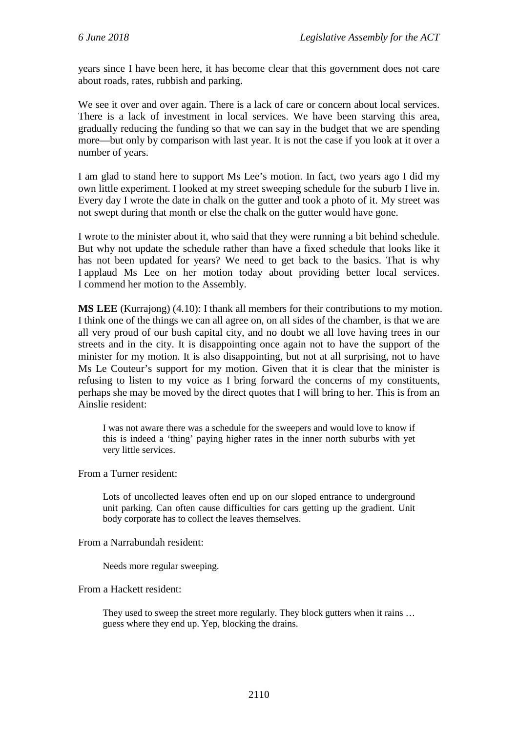years since I have been here, it has become clear that this government does not care about roads, rates, rubbish and parking.

We see it over and over again. There is a lack of care or concern about local services. There is a lack of investment in local services. We have been starving this area, gradually reducing the funding so that we can say in the budget that we are spending more—but only by comparison with last year. It is not the case if you look at it over a number of years.

I am glad to stand here to support Ms Lee's motion. In fact, two years ago I did my own little experiment. I looked at my street sweeping schedule for the suburb I live in. Every day I wrote the date in chalk on the gutter and took a photo of it. My street was not swept during that month or else the chalk on the gutter would have gone.

I wrote to the minister about it, who said that they were running a bit behind schedule. But why not update the schedule rather than have a fixed schedule that looks like it has not been updated for years? We need to get back to the basics. That is why I applaud Ms Lee on her motion today about providing better local services. I commend her motion to the Assembly.

**MS LEE** (Kurrajong) (4.10): I thank all members for their contributions to my motion. I think one of the things we can all agree on, on all sides of the chamber, is that we are all very proud of our bush capital city, and no doubt we all love having trees in our streets and in the city. It is disappointing once again not to have the support of the minister for my motion. It is also disappointing, but not at all surprising, not to have Ms Le Couteur's support for my motion. Given that it is clear that the minister is refusing to listen to my voice as I bring forward the concerns of my constituents, perhaps she may be moved by the direct quotes that I will bring to her. This is from an Ainslie resident:

I was not aware there was a schedule for the sweepers and would love to know if this is indeed a 'thing' paying higher rates in the inner north suburbs with yet very little services.

From a Turner resident:

Lots of uncollected leaves often end up on our sloped entrance to underground unit parking. Can often cause difficulties for cars getting up the gradient. Unit body corporate has to collect the leaves themselves.

From a Narrabundah resident:

Needs more regular sweeping.

## From a Hackett resident:

They used to sweep the street more regularly. They block gutters when it rains ... guess where they end up. Yep, blocking the drains.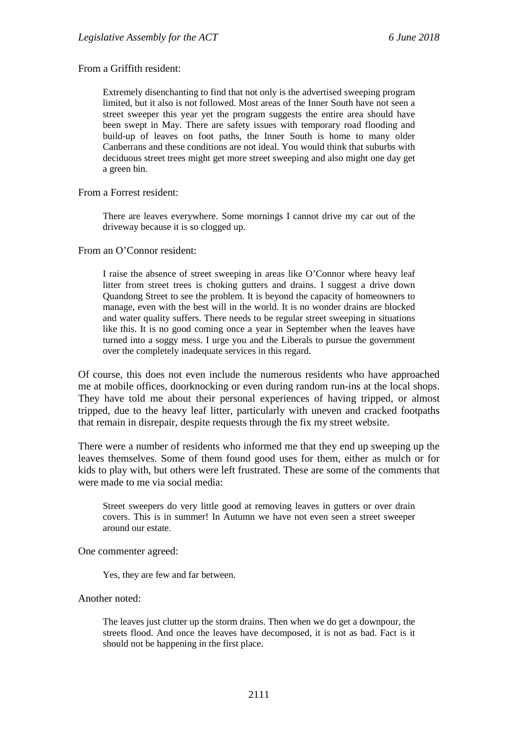## From a Griffith resident:

Extremely disenchanting to find that not only is the advertised sweeping program limited, but it also is not followed. Most areas of the Inner South have not seen a street sweeper this year yet the program suggests the entire area should have been swept in May. There are safety issues with temporary road flooding and build-up of leaves on foot paths, the Inner South is home to many older Canberrans and these conditions are not ideal. You would think that suburbs with deciduous street trees might get more street sweeping and also might one day get a green bin.

From a Forrest resident:

There are leaves everywhere. Some mornings I cannot drive my car out of the driveway because it is so clogged up.

From an O'Connor resident:

I raise the absence of street sweeping in areas like O'Connor where heavy leaf litter from street trees is choking gutters and drains. I suggest a drive down Quandong Street to see the problem. It is beyond the capacity of homeowners to manage, even with the best will in the world. It is no wonder drains are blocked and water quality suffers. There needs to be regular street sweeping in situations like this. It is no good coming once a year in September when the leaves have turned into a soggy mess. I urge you and the Liberals to pursue the government over the completely inadequate services in this regard.

Of course, this does not even include the numerous residents who have approached me at mobile offices, doorknocking or even during random run-ins at the local shops. They have told me about their personal experiences of having tripped, or almost tripped, due to the heavy leaf litter, particularly with uneven and cracked footpaths that remain in disrepair, despite requests through the fix my street website.

There were a number of residents who informed me that they end up sweeping up the leaves themselves. Some of them found good uses for them, either as mulch or for kids to play with, but others were left frustrated. These are some of the comments that were made to me via social media:

Street sweepers do very little good at removing leaves in gutters or over drain covers. This is in summer! In Autumn we have not even seen a street sweeper around our estate.

One commenter agreed:

Yes, they are few and far between.

Another noted:

The leaves just clutter up the storm drains. Then when we do get a downpour, the streets flood. And once the leaves have decomposed, it is not as bad. Fact is it should not be happening in the first place.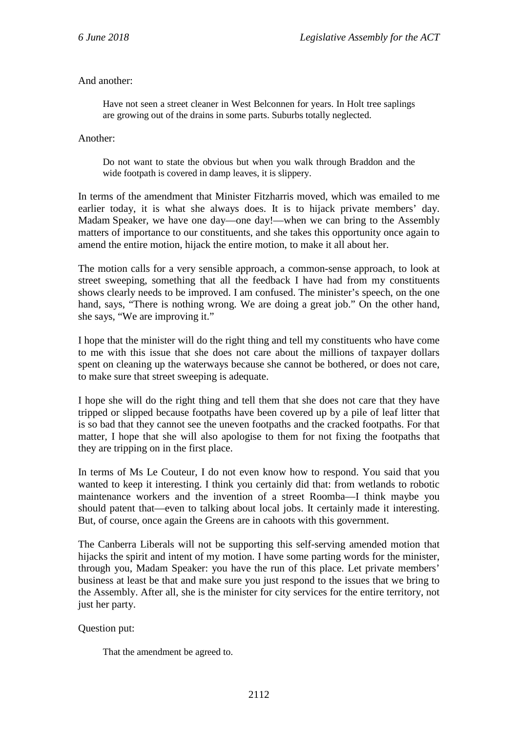And another:

Have not seen a street cleaner in West Belconnen for years. In Holt tree saplings are growing out of the drains in some parts. Suburbs totally neglected.

Another:

Do not want to state the obvious but when you walk through Braddon and the wide footpath is covered in damp leaves, it is slippery.

In terms of the amendment that Minister Fitzharris moved, which was emailed to me earlier today, it is what she always does. It is to hijack private members' day. Madam Speaker, we have one day—one day!—when we can bring to the Assembly matters of importance to our constituents, and she takes this opportunity once again to amend the entire motion, hijack the entire motion, to make it all about her.

The motion calls for a very sensible approach, a common-sense approach, to look at street sweeping, something that all the feedback I have had from my constituents shows clearly needs to be improved. I am confused. The minister's speech, on the one hand, says, "There is nothing wrong. We are doing a great job." On the other hand, she says, "We are improving it."

I hope that the minister will do the right thing and tell my constituents who have come to me with this issue that she does not care about the millions of taxpayer dollars spent on cleaning up the waterways because she cannot be bothered, or does not care, to make sure that street sweeping is adequate.

I hope she will do the right thing and tell them that she does not care that they have tripped or slipped because footpaths have been covered up by a pile of leaf litter that is so bad that they cannot see the uneven footpaths and the cracked footpaths. For that matter, I hope that she will also apologise to them for not fixing the footpaths that they are tripping on in the first place.

In terms of Ms Le Couteur, I do not even know how to respond. You said that you wanted to keep it interesting. I think you certainly did that: from wetlands to robotic maintenance workers and the invention of a street Roomba—I think maybe you should patent that—even to talking about local jobs. It certainly made it interesting. But, of course, once again the Greens are in cahoots with this government.

The Canberra Liberals will not be supporting this self-serving amended motion that hijacks the spirit and intent of my motion. I have some parting words for the minister, through you, Madam Speaker: you have the run of this place. Let private members' business at least be that and make sure you just respond to the issues that we bring to the Assembly. After all, she is the minister for city services for the entire territory, not just her party.

## Question put:

That the amendment be agreed to.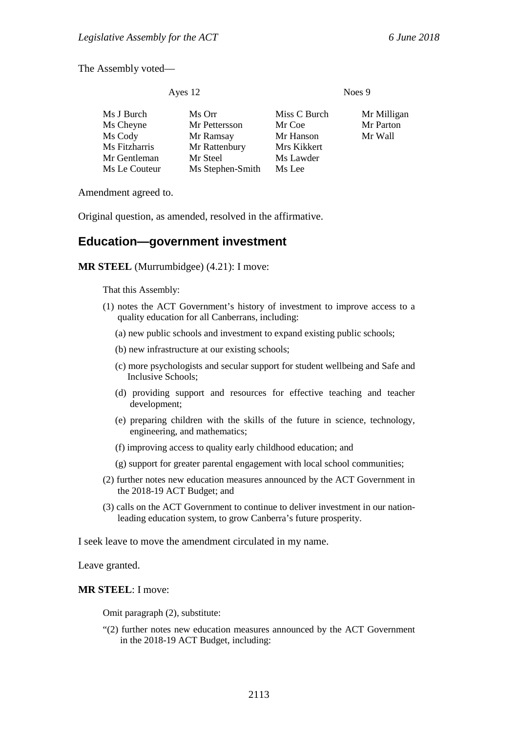The Assembly voted—

| Ayes 12 | Noes 9 |
|---------|--------|
|---------|--------|

| Ms J Burch    | Ms Orr           | Miss C Burch | Mr Milligan |
|---------------|------------------|--------------|-------------|
| Ms Cheyne     | Mr Pettersson    | Mr Coe       | Mr Parton   |
| Ms Cody       | Mr Ramsay        | Mr Hanson    | Mr Wall     |
| Ms Fitzharris | Mr Rattenbury    | Mrs Kikkert  |             |
| Mr Gentleman  | Mr Steel         | Ms Lawder    |             |
| Ms Le Couteur | Ms Stephen-Smith | Ms Lee       |             |
|               |                  |              |             |

Amendment agreed to.

Original question, as amended, resolved in the affirmative.

## **Education—government investment**

**MR STEEL** (Murrumbidgee) (4.21): I move:

That this Assembly:

- (1) notes the ACT Government's history of investment to improve access to a quality education for all Canberrans, including:
	- (a) new public schools and investment to expand existing public schools;
	- (b) new infrastructure at our existing schools;
	- (c) more psychologists and secular support for student wellbeing and Safe and Inclusive Schools;
	- (d) providing support and resources for effective teaching and teacher development;
	- (e) preparing children with the skills of the future in science, technology, engineering, and mathematics;
	- (f) improving access to quality early childhood education; and
	- (g) support for greater parental engagement with local school communities;
- (2) further notes new education measures announced by the ACT Government in the 2018-19 ACT Budget; and
- (3) calls on the ACT Government to continue to deliver investment in our nationleading education system, to grow Canberra's future prosperity.

I seek leave to move the amendment circulated in my name.

Leave granted.

**MR STEEL**: I move:

Omit paragraph (2), substitute:

"(2) further notes new education measures announced by the ACT Government in the 2018-19 ACT Budget, including: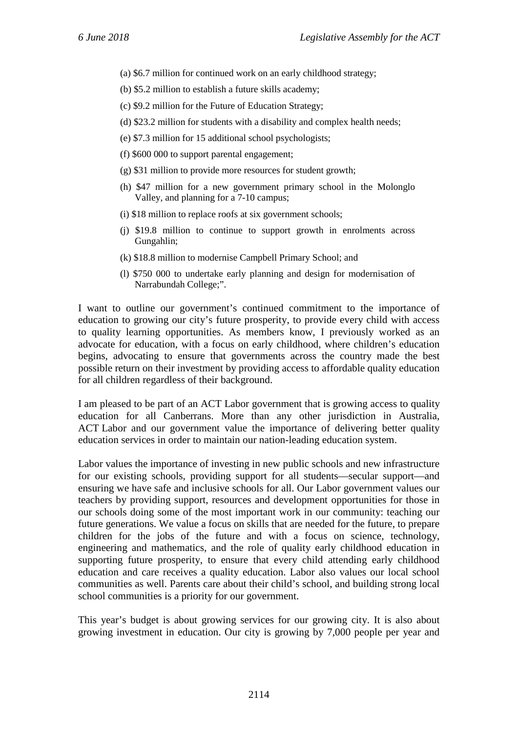- (a) \$6.7 million for continued work on an early childhood strategy;
- (b) \$5.2 million to establish a future skills academy;
- (c) \$9.2 million for the Future of Education Strategy;
- (d) \$23.2 million for students with a disability and complex health needs;
- (e) \$7.3 million for 15 additional school psychologists;
- (f) \$600 000 to support parental engagement;
- (g) \$31 million to provide more resources for student growth;
- (h) \$47 million for a new government primary school in the Molonglo Valley, and planning for a 7-10 campus;
- (i) \$18 million to replace roofs at six government schools;
- (j) \$19.8 million to continue to support growth in enrolments across Gungahlin;
- (k) \$18.8 million to modernise Campbell Primary School; and
- (l) \$750 000 to undertake early planning and design for modernisation of Narrabundah College;".

I want to outline our government's continued commitment to the importance of education to growing our city's future prosperity, to provide every child with access to quality learning opportunities. As members know, I previously worked as an advocate for education, with a focus on early childhood, where children's education begins, advocating to ensure that governments across the country made the best possible return on their investment by providing access to affordable quality education for all children regardless of their background.

I am pleased to be part of an ACT Labor government that is growing access to quality education for all Canberrans. More than any other jurisdiction in Australia, ACT Labor and our government value the importance of delivering better quality education services in order to maintain our nation-leading education system.

Labor values the importance of investing in new public schools and new infrastructure for our existing schools, providing support for all students—secular support—and ensuring we have safe and inclusive schools for all. Our Labor government values our teachers by providing support, resources and development opportunities for those in our schools doing some of the most important work in our community: teaching our future generations. We value a focus on skills that are needed for the future, to prepare children for the jobs of the future and with a focus on science, technology, engineering and mathematics, and the role of quality early childhood education in supporting future prosperity, to ensure that every child attending early childhood education and care receives a quality education. Labor also values our local school communities as well. Parents care about their child's school, and building strong local school communities is a priority for our government.

This year's budget is about growing services for our growing city. It is also about growing investment in education. Our city is growing by 7,000 people per year and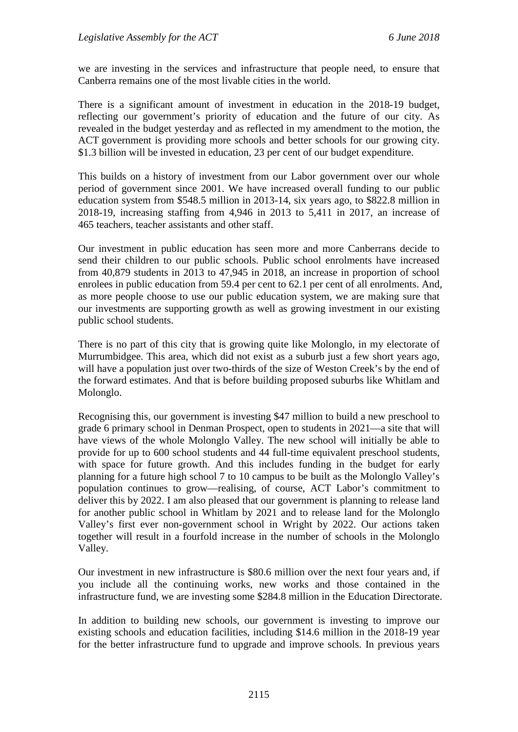we are investing in the services and infrastructure that people need, to ensure that Canberra remains one of the most livable cities in the world.

There is a significant amount of investment in education in the 2018-19 budget, reflecting our government's priority of education and the future of our city. As revealed in the budget yesterday and as reflected in my amendment to the motion, the ACT government is providing more schools and better schools for our growing city. \$1.3 billion will be invested in education, 23 per cent of our budget expenditure.

This builds on a history of investment from our Labor government over our whole period of government since 2001. We have increased overall funding to our public education system from \$548.5 million in 2013-14, six years ago, to \$822.8 million in 2018-19, increasing staffing from 4,946 in 2013 to 5,411 in 2017, an increase of 465 teachers, teacher assistants and other staff.

Our investment in public education has seen more and more Canberrans decide to send their children to our public schools. Public school enrolments have increased from 40,879 students in 2013 to 47,945 in 2018, an increase in proportion of school enrolees in public education from 59.4 per cent to 62.1 per cent of all enrolments. And, as more people choose to use our public education system, we are making sure that our investments are supporting growth as well as growing investment in our existing public school students.

There is no part of this city that is growing quite like Molonglo, in my electorate of Murrumbidgee. This area, which did not exist as a suburb just a few short years ago, will have a population just over two-thirds of the size of Weston Creek's by the end of the forward estimates. And that is before building proposed suburbs like Whitlam and Molonglo.

Recognising this, our government is investing \$47 million to build a new preschool to grade 6 primary school in Denman Prospect, open to students in 2021—a site that will have views of the whole Molonglo Valley. The new school will initially be able to provide for up to 600 school students and 44 full-time equivalent preschool students, with space for future growth. And this includes funding in the budget for early planning for a future high school 7 to 10 campus to be built as the Molonglo Valley's population continues to grow—realising, of course, ACT Labor's commitment to deliver this by 2022. I am also pleased that our government is planning to release land for another public school in Whitlam by 2021 and to release land for the Molonglo Valley's first ever non-government school in Wright by 2022. Our actions taken together will result in a fourfold increase in the number of schools in the Molonglo Valley.

Our investment in new infrastructure is \$80.6 million over the next four years and, if you include all the continuing works, new works and those contained in the infrastructure fund, we are investing some \$284.8 million in the Education Directorate.

In addition to building new schools, our government is investing to improve our existing schools and education facilities, including \$14.6 million in the 2018-19 year for the better infrastructure fund to upgrade and improve schools. In previous years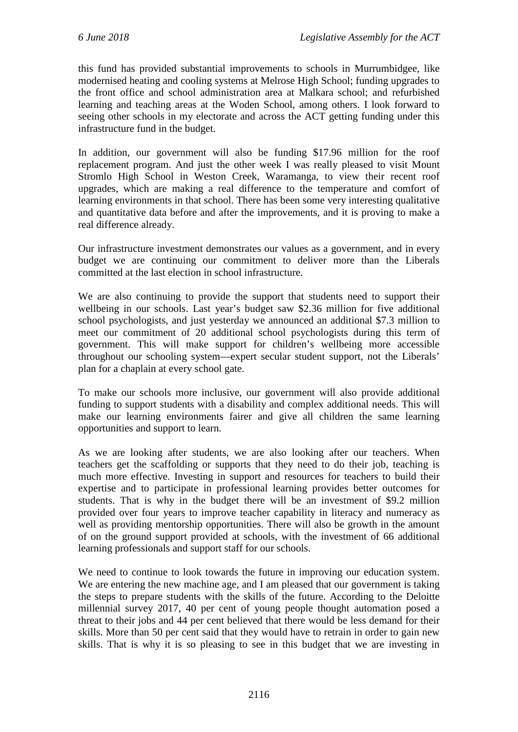this fund has provided substantial improvements to schools in Murrumbidgee, like modernised heating and cooling systems at Melrose High School; funding upgrades to the front office and school administration area at Malkara school; and refurbished learning and teaching areas at the Woden School, among others. I look forward to seeing other schools in my electorate and across the ACT getting funding under this infrastructure fund in the budget.

In addition, our government will also be funding \$17.96 million for the roof replacement program. And just the other week I was really pleased to visit Mount Stromlo High School in Weston Creek, Waramanga, to view their recent roof upgrades, which are making a real difference to the temperature and comfort of learning environments in that school. There has been some very interesting qualitative and quantitative data before and after the improvements, and it is proving to make a real difference already.

Our infrastructure investment demonstrates our values as a government, and in every budget we are continuing our commitment to deliver more than the Liberals committed at the last election in school infrastructure.

We are also continuing to provide the support that students need to support their wellbeing in our schools. Last year's budget saw \$2.36 million for five additional school psychologists, and just yesterday we announced an additional \$7.3 million to meet our commitment of 20 additional school psychologists during this term of government. This will make support for children's wellbeing more accessible throughout our schooling system—expert secular student support, not the Liberals' plan for a chaplain at every school gate.

To make our schools more inclusive, our government will also provide additional funding to support students with a disability and complex additional needs. This will make our learning environments fairer and give all children the same learning opportunities and support to learn.

As we are looking after students, we are also looking after our teachers. When teachers get the scaffolding or supports that they need to do their job, teaching is much more effective. Investing in support and resources for teachers to build their expertise and to participate in professional learning provides better outcomes for students. That is why in the budget there will be an investment of \$9.2 million provided over four years to improve teacher capability in literacy and numeracy as well as providing mentorship opportunities. There will also be growth in the amount of on the ground support provided at schools, with the investment of 66 additional learning professionals and support staff for our schools.

We need to continue to look towards the future in improving our education system. We are entering the new machine age, and I am pleased that our government is taking the steps to prepare students with the skills of the future. According to the Deloitte millennial survey 2017, 40 per cent of young people thought automation posed a threat to their jobs and 44 per cent believed that there would be less demand for their skills. More than 50 per cent said that they would have to retrain in order to gain new skills. That is why it is so pleasing to see in this budget that we are investing in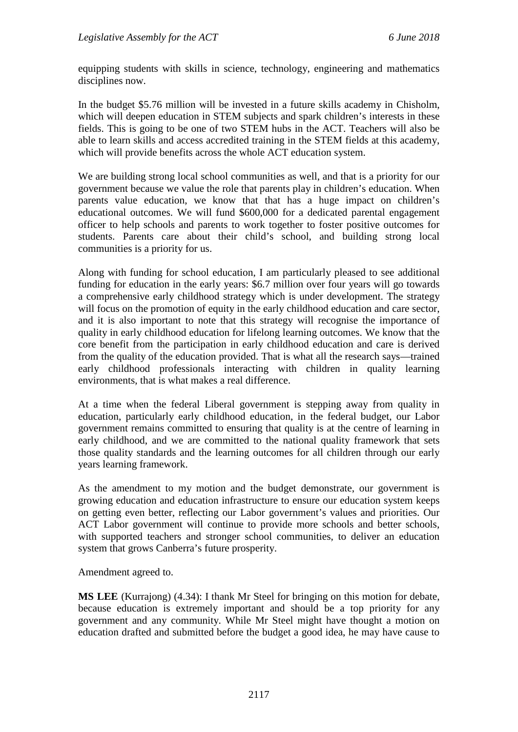equipping students with skills in science, technology, engineering and mathematics disciplines now.

In the budget \$5.76 million will be invested in a future skills academy in Chisholm, which will deepen education in STEM subjects and spark children's interests in these fields. This is going to be one of two STEM hubs in the ACT. Teachers will also be able to learn skills and access accredited training in the STEM fields at this academy, which will provide benefits across the whole ACT education system.

We are building strong local school communities as well, and that is a priority for our government because we value the role that parents play in children's education. When parents value education, we know that that has a huge impact on children's educational outcomes. We will fund \$600,000 for a dedicated parental engagement officer to help schools and parents to work together to foster positive outcomes for students. Parents care about their child's school, and building strong local communities is a priority for us.

Along with funding for school education, I am particularly pleased to see additional funding for education in the early years: \$6.7 million over four years will go towards a comprehensive early childhood strategy which is under development. The strategy will focus on the promotion of equity in the early childhood education and care sector, and it is also important to note that this strategy will recognise the importance of quality in early childhood education for lifelong learning outcomes. We know that the core benefit from the participation in early childhood education and care is derived from the quality of the education provided. That is what all the research says—trained early childhood professionals interacting with children in quality learning environments, that is what makes a real difference.

At a time when the federal Liberal government is stepping away from quality in education, particularly early childhood education, in the federal budget, our Labor government remains committed to ensuring that quality is at the centre of learning in early childhood, and we are committed to the national quality framework that sets those quality standards and the learning outcomes for all children through our early years learning framework.

As the amendment to my motion and the budget demonstrate, our government is growing education and education infrastructure to ensure our education system keeps on getting even better, reflecting our Labor government's values and priorities. Our ACT Labor government will continue to provide more schools and better schools, with supported teachers and stronger school communities, to deliver an education system that grows Canberra's future prosperity.

Amendment agreed to.

**MS LEE** (Kurrajong) (4.34): I thank Mr Steel for bringing on this motion for debate, because education is extremely important and should be a top priority for any government and any community. While Mr Steel might have thought a motion on education drafted and submitted before the budget a good idea, he may have cause to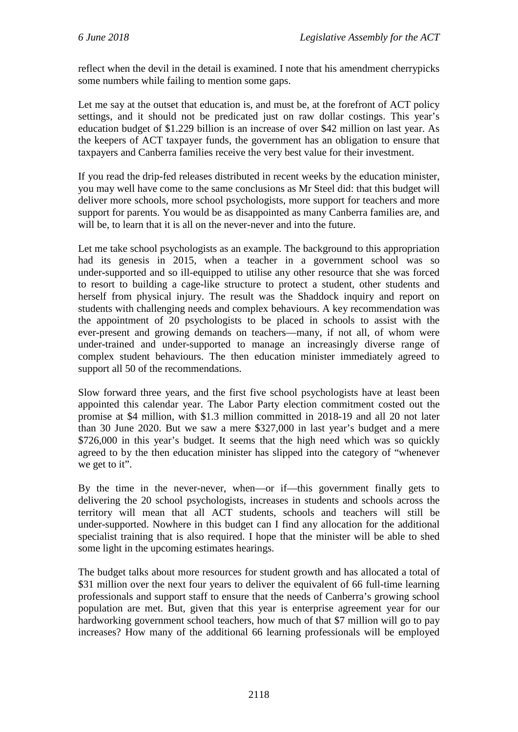reflect when the devil in the detail is examined. I note that his amendment cherrypicks some numbers while failing to mention some gaps.

Let me say at the outset that education is, and must be, at the forefront of ACT policy settings, and it should not be predicated just on raw dollar costings. This year's education budget of \$1.229 billion is an increase of over \$42 million on last year. As the keepers of ACT taxpayer funds, the government has an obligation to ensure that taxpayers and Canberra families receive the very best value for their investment.

If you read the drip-fed releases distributed in recent weeks by the education minister, you may well have come to the same conclusions as Mr Steel did: that this budget will deliver more schools, more school psychologists, more support for teachers and more support for parents. You would be as disappointed as many Canberra families are, and will be, to learn that it is all on the never-never and into the future.

Let me take school psychologists as an example. The background to this appropriation had its genesis in 2015, when a teacher in a government school was so under-supported and so ill-equipped to utilise any other resource that she was forced to resort to building a cage-like structure to protect a student, other students and herself from physical injury. The result was the Shaddock inquiry and report on students with challenging needs and complex behaviours. A key recommendation was the appointment of 20 psychologists to be placed in schools to assist with the ever-present and growing demands on teachers—many, if not all, of whom were under-trained and under-supported to manage an increasingly diverse range of complex student behaviours. The then education minister immediately agreed to support all 50 of the recommendations.

Slow forward three years, and the first five school psychologists have at least been appointed this calendar year. The Labor Party election commitment costed out the promise at \$4 million, with \$1.3 million committed in 2018-19 and all 20 not later than 30 June 2020. But we saw a mere \$327,000 in last year's budget and a mere \$726,000 in this year's budget. It seems that the high need which was so quickly agreed to by the then education minister has slipped into the category of "whenever we get to it".

By the time in the never-never, when—or if—this government finally gets to delivering the 20 school psychologists, increases in students and schools across the territory will mean that all ACT students, schools and teachers will still be under-supported. Nowhere in this budget can I find any allocation for the additional specialist training that is also required. I hope that the minister will be able to shed some light in the upcoming estimates hearings.

The budget talks about more resources for student growth and has allocated a total of \$31 million over the next four years to deliver the equivalent of 66 full-time learning professionals and support staff to ensure that the needs of Canberra's growing school population are met. But, given that this year is enterprise agreement year for our hardworking government school teachers, how much of that \$7 million will go to pay increases? How many of the additional 66 learning professionals will be employed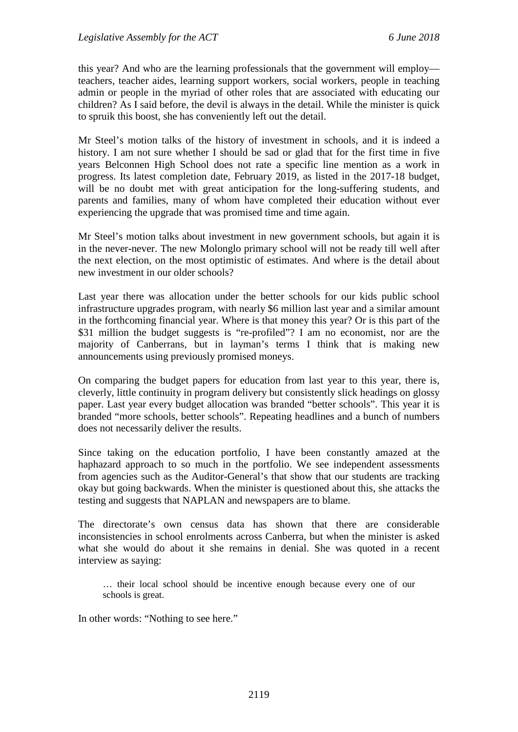this year? And who are the learning professionals that the government will employ teachers, teacher aides, learning support workers, social workers, people in teaching admin or people in the myriad of other roles that are associated with educating our children? As I said before, the devil is always in the detail. While the minister is quick to spruik this boost, she has conveniently left out the detail.

Mr Steel's motion talks of the history of investment in schools, and it is indeed a history. I am not sure whether I should be sad or glad that for the first time in five years Belconnen High School does not rate a specific line mention as a work in progress. Its latest completion date, February 2019, as listed in the 2017-18 budget, will be no doubt met with great anticipation for the long-suffering students, and parents and families, many of whom have completed their education without ever experiencing the upgrade that was promised time and time again.

Mr Steel's motion talks about investment in new government schools, but again it is in the never-never. The new Molonglo primary school will not be ready till well after the next election, on the most optimistic of estimates. And where is the detail about new investment in our older schools?

Last year there was allocation under the better schools for our kids public school infrastructure upgrades program, with nearly \$6 million last year and a similar amount in the forthcoming financial year. Where is that money this year? Or is this part of the \$31 million the budget suggests is "re-profiled"? I am no economist, nor are the majority of Canberrans, but in layman's terms I think that is making new announcements using previously promised moneys.

On comparing the budget papers for education from last year to this year, there is, cleverly, little continuity in program delivery but consistently slick headings on glossy paper. Last year every budget allocation was branded "better schools". This year it is branded "more schools, better schools". Repeating headlines and a bunch of numbers does not necessarily deliver the results.

Since taking on the education portfolio, I have been constantly amazed at the haphazard approach to so much in the portfolio. We see independent assessments from agencies such as the Auditor-General's that show that our students are tracking okay but going backwards. When the minister is questioned about this, she attacks the testing and suggests that NAPLAN and newspapers are to blame.

The directorate's own census data has shown that there are considerable inconsistencies in school enrolments across Canberra, but when the minister is asked what she would do about it she remains in denial. She was quoted in a recent interview as saying:

… their local school should be incentive enough because every one of our schools is great.

In other words: "Nothing to see here."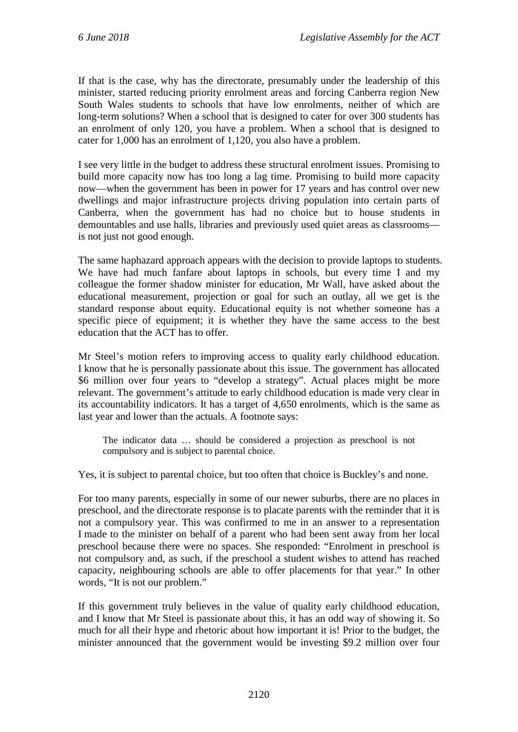If that is the case, why has the directorate, presumably under the leadership of this minister, started reducing priority enrolment areas and forcing Canberra region New South Wales students to schools that have low enrolments, neither of which are long-term solutions? When a school that is designed to cater for over 300 students has an enrolment of only 120, you have a problem. When a school that is designed to cater for 1,000 has an enrolment of 1,120, you also have a problem.

I see very little in the budget to address these structural enrolment issues. Promising to build more capacity now has too long a lag time. Promising to build more capacity now—when the government has been in power for 17 years and has control over new dwellings and major infrastructure projects driving population into certain parts of Canberra, when the government has had no choice but to house students in demountables and use halls, libraries and previously used quiet areas as classrooms is not just not good enough.

The same haphazard approach appears with the decision to provide laptops to students. We have had much fanfare about laptops in schools, but every time I and my colleague the former shadow minister for education, Mr Wall, have asked about the educational measurement, projection or goal for such an outlay, all we get is the standard response about equity. Educational equity is not whether someone has a specific piece of equipment; it is whether they have the same access to the best education that the ACT has to offer.

Mr Steel's motion refers to improving access to quality early childhood education. I know that he is personally passionate about this issue. The government has allocated \$6 million over four years to "develop a strategy". Actual places might be more relevant. The government's attitude to early childhood education is made very clear in its accountability indicators. It has a target of 4,650 enrolments, which is the same as last year and lower than the actuals. A footnote says:

The indicator data … should be considered a projection as preschool is not compulsory and is subject to parental choice.

Yes, it is subject to parental choice, but too often that choice is Buckley's and none.

For too many parents, especially in some of our newer suburbs, there are no places in preschool, and the directorate response is to placate parents with the reminder that it is not a compulsory year. This was confirmed to me in an answer to a representation I made to the minister on behalf of a parent who had been sent away from her local preschool because there were no spaces. She responded: "Enrolment in preschool is not compulsory and, as such, if the preschool a student wishes to attend has reached capacity, neighbouring schools are able to offer placements for that year." In other words, "It is not our problem."

If this government truly believes in the value of quality early childhood education, and I know that Mr Steel is passionate about this, it has an odd way of showing it. So much for all their hype and rhetoric about how important it is! Prior to the budget, the minister announced that the government would be investing \$9.2 million over four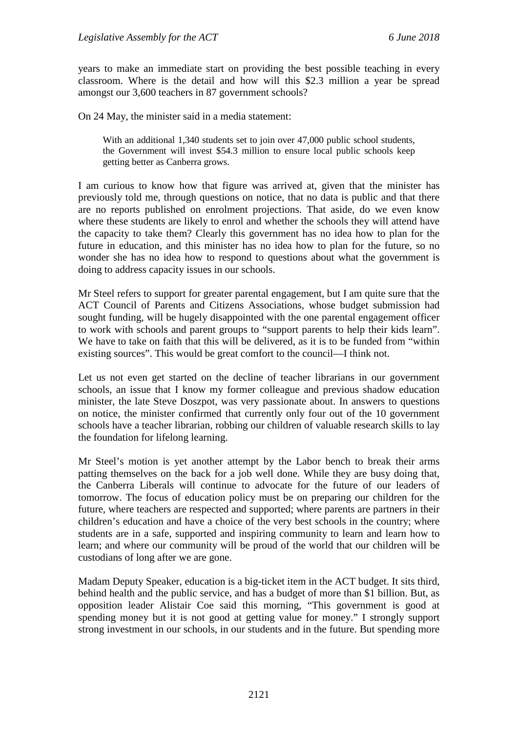years to make an immediate start on providing the best possible teaching in every classroom. Where is the detail and how will this \$2.3 million a year be spread amongst our 3,600 teachers in 87 government schools?

On 24 May, the minister said in a media statement:

With an additional 1,340 students set to join over 47,000 public school students, the Government will invest \$54.3 million to ensure local public schools keep getting better as Canberra grows.

I am curious to know how that figure was arrived at, given that the minister has previously told me, through questions on notice, that no data is public and that there are no reports published on enrolment projections. That aside, do we even know where these students are likely to enrol and whether the schools they will attend have the capacity to take them? Clearly this government has no idea how to plan for the future in education, and this minister has no idea how to plan for the future, so no wonder she has no idea how to respond to questions about what the government is doing to address capacity issues in our schools.

Mr Steel refers to support for greater parental engagement, but I am quite sure that the ACT Council of Parents and Citizens Associations, whose budget submission had sought funding, will be hugely disappointed with the one parental engagement officer to work with schools and parent groups to "support parents to help their kids learn". We have to take on faith that this will be delivered, as it is to be funded from "within existing sources". This would be great comfort to the council—I think not.

Let us not even get started on the decline of teacher librarians in our government schools, an issue that I know my former colleague and previous shadow education minister, the late Steve Doszpot, was very passionate about. In answers to questions on notice, the minister confirmed that currently only four out of the 10 government schools have a teacher librarian, robbing our children of valuable research skills to lay the foundation for lifelong learning.

Mr Steel's motion is yet another attempt by the Labor bench to break their arms patting themselves on the back for a job well done. While they are busy doing that, the Canberra Liberals will continue to advocate for the future of our leaders of tomorrow. The focus of education policy must be on preparing our children for the future, where teachers are respected and supported; where parents are partners in their children's education and have a choice of the very best schools in the country; where students are in a safe, supported and inspiring community to learn and learn how to learn; and where our community will be proud of the world that our children will be custodians of long after we are gone.

Madam Deputy Speaker, education is a big-ticket item in the ACT budget. It sits third, behind health and the public service, and has a budget of more than \$1 billion. But, as opposition leader Alistair Coe said this morning, "This government is good at spending money but it is not good at getting value for money." I strongly support strong investment in our schools, in our students and in the future. But spending more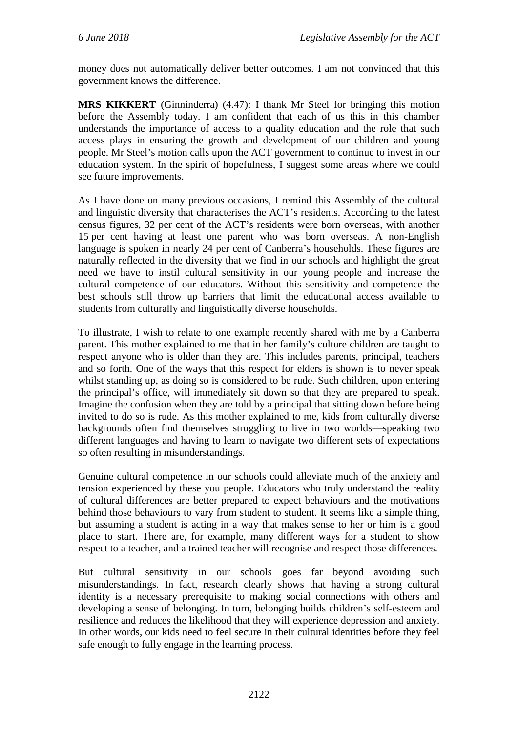money does not automatically deliver better outcomes. I am not convinced that this government knows the difference.

**MRS KIKKERT** (Ginninderra) (4.47): I thank Mr Steel for bringing this motion before the Assembly today. I am confident that each of us this in this chamber understands the importance of access to a quality education and the role that such access plays in ensuring the growth and development of our children and young people. Mr Steel's motion calls upon the ACT government to continue to invest in our education system. In the spirit of hopefulness, I suggest some areas where we could see future improvements.

As I have done on many previous occasions, I remind this Assembly of the cultural and linguistic diversity that characterises the ACT's residents. According to the latest census figures, 32 per cent of the ACT's residents were born overseas, with another 15 per cent having at least one parent who was born overseas. A non-English language is spoken in nearly 24 per cent of Canberra's households. These figures are naturally reflected in the diversity that we find in our schools and highlight the great need we have to instil cultural sensitivity in our young people and increase the cultural competence of our educators. Without this sensitivity and competence the best schools still throw up barriers that limit the educational access available to students from culturally and linguistically diverse households.

To illustrate, I wish to relate to one example recently shared with me by a Canberra parent. This mother explained to me that in her family's culture children are taught to respect anyone who is older than they are. This includes parents, principal, teachers and so forth. One of the ways that this respect for elders is shown is to never speak whilst standing up, as doing so is considered to be rude. Such children, upon entering the principal's office, will immediately sit down so that they are prepared to speak. Imagine the confusion when they are told by a principal that sitting down before being invited to do so is rude. As this mother explained to me, kids from culturally diverse backgrounds often find themselves struggling to live in two worlds—speaking two different languages and having to learn to navigate two different sets of expectations so often resulting in misunderstandings.

Genuine cultural competence in our schools could alleviate much of the anxiety and tension experienced by these you people. Educators who truly understand the reality of cultural differences are better prepared to expect behaviours and the motivations behind those behaviours to vary from student to student. It seems like a simple thing, but assuming a student is acting in a way that makes sense to her or him is a good place to start. There are, for example, many different ways for a student to show respect to a teacher, and a trained teacher will recognise and respect those differences.

But cultural sensitivity in our schools goes far beyond avoiding such misunderstandings. In fact, research clearly shows that having a strong cultural identity is a necessary prerequisite to making social connections with others and developing a sense of belonging. In turn, belonging builds children's self-esteem and resilience and reduces the likelihood that they will experience depression and anxiety. In other words, our kids need to feel secure in their cultural identities before they feel safe enough to fully engage in the learning process.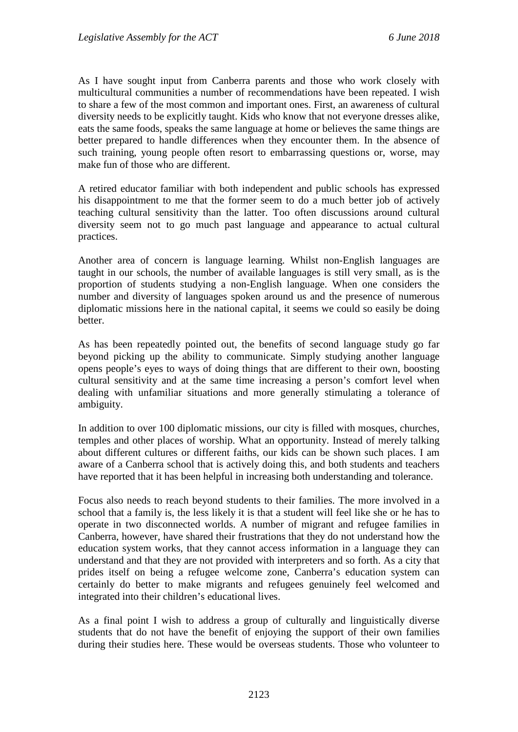As I have sought input from Canberra parents and those who work closely with multicultural communities a number of recommendations have been repeated. I wish to share a few of the most common and important ones. First, an awareness of cultural diversity needs to be explicitly taught. Kids who know that not everyone dresses alike, eats the same foods, speaks the same language at home or believes the same things are better prepared to handle differences when they encounter them. In the absence of such training, young people often resort to embarrassing questions or, worse, may make fun of those who are different.

A retired educator familiar with both independent and public schools has expressed his disappointment to me that the former seem to do a much better job of actively teaching cultural sensitivity than the latter. Too often discussions around cultural diversity seem not to go much past language and appearance to actual cultural practices.

Another area of concern is language learning. Whilst non-English languages are taught in our schools, the number of available languages is still very small, as is the proportion of students studying a non-English language. When one considers the number and diversity of languages spoken around us and the presence of numerous diplomatic missions here in the national capital, it seems we could so easily be doing better.

As has been repeatedly pointed out, the benefits of second language study go far beyond picking up the ability to communicate. Simply studying another language opens people's eyes to ways of doing things that are different to their own, boosting cultural sensitivity and at the same time increasing a person's comfort level when dealing with unfamiliar situations and more generally stimulating a tolerance of ambiguity.

In addition to over 100 diplomatic missions, our city is filled with mosques, churches, temples and other places of worship. What an opportunity. Instead of merely talking about different cultures or different faiths, our kids can be shown such places. I am aware of a Canberra school that is actively doing this, and both students and teachers have reported that it has been helpful in increasing both understanding and tolerance.

Focus also needs to reach beyond students to their families. The more involved in a school that a family is, the less likely it is that a student will feel like she or he has to operate in two disconnected worlds. A number of migrant and refugee families in Canberra, however, have shared their frustrations that they do not understand how the education system works, that they cannot access information in a language they can understand and that they are not provided with interpreters and so forth. As a city that prides itself on being a refugee welcome zone, Canberra's education system can certainly do better to make migrants and refugees genuinely feel welcomed and integrated into their children's educational lives.

As a final point I wish to address a group of culturally and linguistically diverse students that do not have the benefit of enjoying the support of their own families during their studies here. These would be overseas students. Those who volunteer to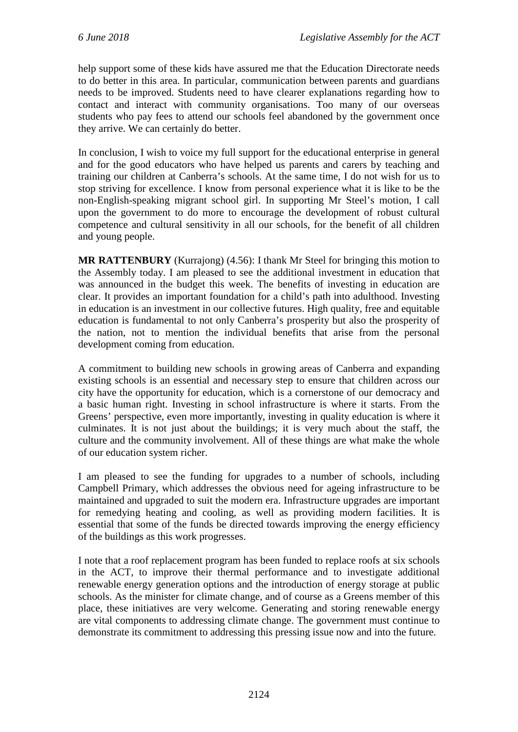help support some of these kids have assured me that the Education Directorate needs to do better in this area. In particular, communication between parents and guardians needs to be improved. Students need to have clearer explanations regarding how to contact and interact with community organisations. Too many of our overseas students who pay fees to attend our schools feel abandoned by the government once they arrive. We can certainly do better.

In conclusion, I wish to voice my full support for the educational enterprise in general and for the good educators who have helped us parents and carers by teaching and training our children at Canberra's schools. At the same time, I do not wish for us to stop striving for excellence. I know from personal experience what it is like to be the non-English-speaking migrant school girl. In supporting Mr Steel's motion, I call upon the government to do more to encourage the development of robust cultural competence and cultural sensitivity in all our schools, for the benefit of all children and young people.

**MR RATTENBURY** (Kurrajong) (4.56): I thank Mr Steel for bringing this motion to the Assembly today. I am pleased to see the additional investment in education that was announced in the budget this week. The benefits of investing in education are clear. It provides an important foundation for a child's path into adulthood. Investing in education is an investment in our collective futures. High quality, free and equitable education is fundamental to not only Canberra's prosperity but also the prosperity of the nation, not to mention the individual benefits that arise from the personal development coming from education.

A commitment to building new schools in growing areas of Canberra and expanding existing schools is an essential and necessary step to ensure that children across our city have the opportunity for education, which is a cornerstone of our democracy and a basic human right. Investing in school infrastructure is where it starts. From the Greens' perspective, even more importantly, investing in quality education is where it culminates. It is not just about the buildings; it is very much about the staff, the culture and the community involvement. All of these things are what make the whole of our education system richer.

I am pleased to see the funding for upgrades to a number of schools, including Campbell Primary, which addresses the obvious need for ageing infrastructure to be maintained and upgraded to suit the modern era. Infrastructure upgrades are important for remedying heating and cooling, as well as providing modern facilities. It is essential that some of the funds be directed towards improving the energy efficiency of the buildings as this work progresses.

I note that a roof replacement program has been funded to replace roofs at six schools in the ACT, to improve their thermal performance and to investigate additional renewable energy generation options and the introduction of energy storage at public schools. As the minister for climate change, and of course as a Greens member of this place, these initiatives are very welcome. Generating and storing renewable energy are vital components to addressing climate change. The government must continue to demonstrate its commitment to addressing this pressing issue now and into the future.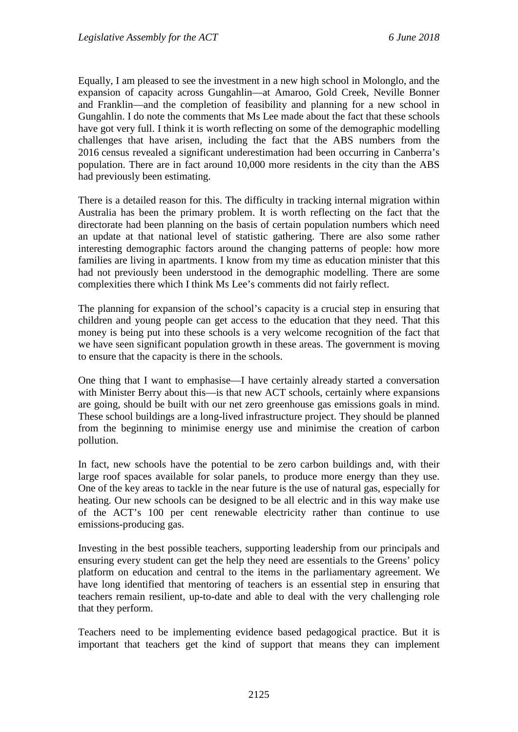Equally, I am pleased to see the investment in a new high school in Molonglo, and the expansion of capacity across Gungahlin—at Amaroo, Gold Creek, Neville Bonner and Franklin—and the completion of feasibility and planning for a new school in Gungahlin. I do note the comments that Ms Lee made about the fact that these schools have got very full. I think it is worth reflecting on some of the demographic modelling challenges that have arisen, including the fact that the ABS numbers from the 2016 census revealed a significant underestimation had been occurring in Canberra's population. There are in fact around 10,000 more residents in the city than the ABS had previously been estimating.

There is a detailed reason for this. The difficulty in tracking internal migration within Australia has been the primary problem. It is worth reflecting on the fact that the directorate had been planning on the basis of certain population numbers which need an update at that national level of statistic gathering. There are also some rather interesting demographic factors around the changing patterns of people: how more families are living in apartments. I know from my time as education minister that this had not previously been understood in the demographic modelling. There are some complexities there which I think Ms Lee's comments did not fairly reflect.

The planning for expansion of the school's capacity is a crucial step in ensuring that children and young people can get access to the education that they need. That this money is being put into these schools is a very welcome recognition of the fact that we have seen significant population growth in these areas. The government is moving to ensure that the capacity is there in the schools.

One thing that I want to emphasise—I have certainly already started a conversation with Minister Berry about this—is that new ACT schools, certainly where expansions are going, should be built with our net zero greenhouse gas emissions goals in mind. These school buildings are a long-lived infrastructure project. They should be planned from the beginning to minimise energy use and minimise the creation of carbon pollution.

In fact, new schools have the potential to be zero carbon buildings and, with their large roof spaces available for solar panels, to produce more energy than they use. One of the key areas to tackle in the near future is the use of natural gas, especially for heating. Our new schools can be designed to be all electric and in this way make use of the ACT's 100 per cent renewable electricity rather than continue to use emissions-producing gas.

Investing in the best possible teachers, supporting leadership from our principals and ensuring every student can get the help they need are essentials to the Greens' policy platform on education and central to the items in the parliamentary agreement. We have long identified that mentoring of teachers is an essential step in ensuring that teachers remain resilient, up-to-date and able to deal with the very challenging role that they perform.

Teachers need to be implementing evidence based pedagogical practice. But it is important that teachers get the kind of support that means they can implement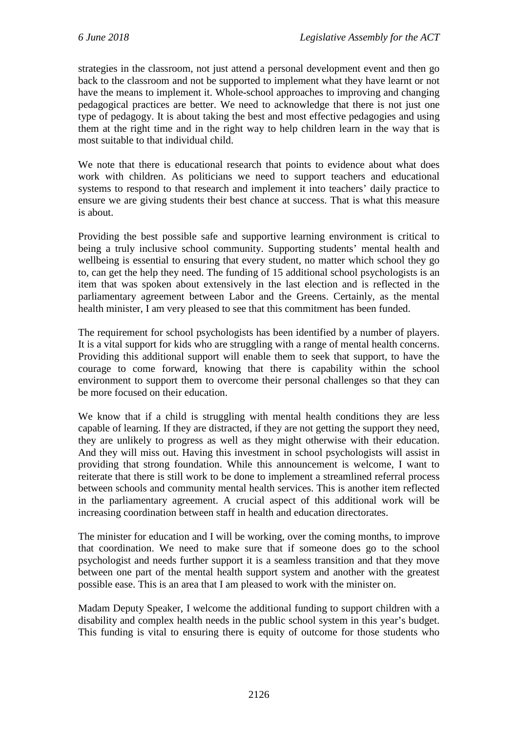strategies in the classroom, not just attend a personal development event and then go back to the classroom and not be supported to implement what they have learnt or not have the means to implement it. Whole-school approaches to improving and changing pedagogical practices are better. We need to acknowledge that there is not just one type of pedagogy. It is about taking the best and most effective pedagogies and using them at the right time and in the right way to help children learn in the way that is most suitable to that individual child.

We note that there is educational research that points to evidence about what does work with children. As politicians we need to support teachers and educational systems to respond to that research and implement it into teachers' daily practice to ensure we are giving students their best chance at success. That is what this measure is about.

Providing the best possible safe and supportive learning environment is critical to being a truly inclusive school community. Supporting students' mental health and wellbeing is essential to ensuring that every student, no matter which school they go to, can get the help they need. The funding of 15 additional school psychologists is an item that was spoken about extensively in the last election and is reflected in the parliamentary agreement between Labor and the Greens. Certainly, as the mental health minister, I am very pleased to see that this commitment has been funded.

The requirement for school psychologists has been identified by a number of players. It is a vital support for kids who are struggling with a range of mental health concerns. Providing this additional support will enable them to seek that support, to have the courage to come forward, knowing that there is capability within the school environment to support them to overcome their personal challenges so that they can be more focused on their education.

We know that if a child is struggling with mental health conditions they are less capable of learning. If they are distracted, if they are not getting the support they need, they are unlikely to progress as well as they might otherwise with their education. And they will miss out. Having this investment in school psychologists will assist in providing that strong foundation. While this announcement is welcome, I want to reiterate that there is still work to be done to implement a streamlined referral process between schools and community mental health services. This is another item reflected in the parliamentary agreement. A crucial aspect of this additional work will be increasing coordination between staff in health and education directorates.

The minister for education and I will be working, over the coming months, to improve that coordination. We need to make sure that if someone does go to the school psychologist and needs further support it is a seamless transition and that they move between one part of the mental health support system and another with the greatest possible ease. This is an area that I am pleased to work with the minister on.

Madam Deputy Speaker, I welcome the additional funding to support children with a disability and complex health needs in the public school system in this year's budget. This funding is vital to ensuring there is equity of outcome for those students who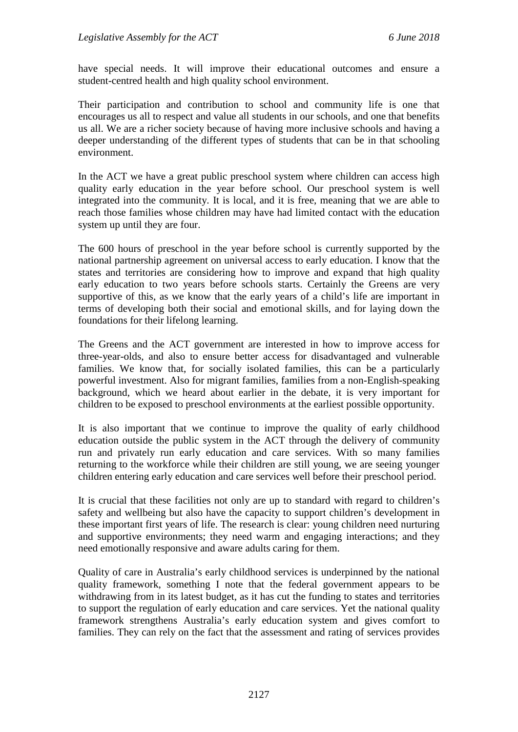have special needs. It will improve their educational outcomes and ensure a student-centred health and high quality school environment.

Their participation and contribution to school and community life is one that encourages us all to respect and value all students in our schools, and one that benefits us all. We are a richer society because of having more inclusive schools and having a deeper understanding of the different types of students that can be in that schooling environment.

In the ACT we have a great public preschool system where children can access high quality early education in the year before school. Our preschool system is well integrated into the community. It is local, and it is free, meaning that we are able to reach those families whose children may have had limited contact with the education system up until they are four.

The 600 hours of preschool in the year before school is currently supported by the national partnership agreement on universal access to early education. I know that the states and territories are considering how to improve and expand that high quality early education to two years before schools starts. Certainly the Greens are very supportive of this, as we know that the early years of a child's life are important in terms of developing both their social and emotional skills, and for laying down the foundations for their lifelong learning.

The Greens and the ACT government are interested in how to improve access for three-year-olds, and also to ensure better access for disadvantaged and vulnerable families. We know that, for socially isolated families, this can be a particularly powerful investment. Also for migrant families, families from a non-English-speaking background, which we heard about earlier in the debate, it is very important for children to be exposed to preschool environments at the earliest possible opportunity.

It is also important that we continue to improve the quality of early childhood education outside the public system in the ACT through the delivery of community run and privately run early education and care services. With so many families returning to the workforce while their children are still young, we are seeing younger children entering early education and care services well before their preschool period.

It is crucial that these facilities not only are up to standard with regard to children's safety and wellbeing but also have the capacity to support children's development in these important first years of life. The research is clear: young children need nurturing and supportive environments; they need warm and engaging interactions; and they need emotionally responsive and aware adults caring for them.

Quality of care in Australia's early childhood services is underpinned by the national quality framework, something I note that the federal government appears to be withdrawing from in its latest budget, as it has cut the funding to states and territories to support the regulation of early education and care services. Yet the national quality framework strengthens Australia's early education system and gives comfort to families. They can rely on the fact that the assessment and rating of services provides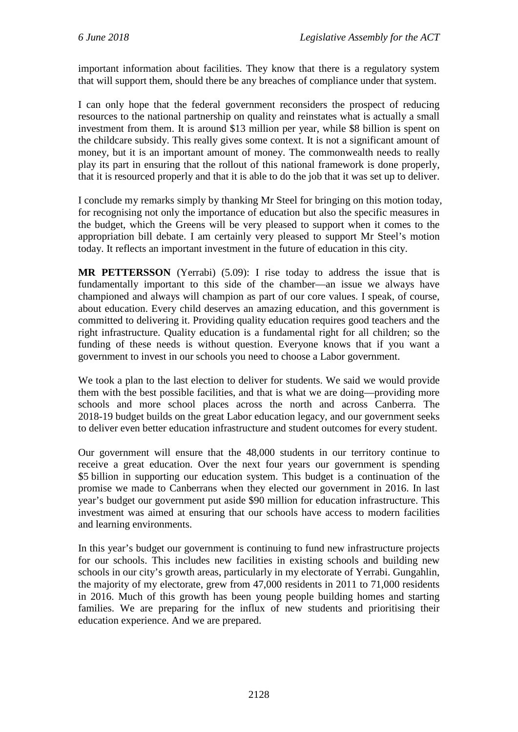important information about facilities. They know that there is a regulatory system that will support them, should there be any breaches of compliance under that system.

I can only hope that the federal government reconsiders the prospect of reducing resources to the national partnership on quality and reinstates what is actually a small investment from them. It is around \$13 million per year, while \$8 billion is spent on the childcare subsidy. This really gives some context. It is not a significant amount of money, but it is an important amount of money. The commonwealth needs to really play its part in ensuring that the rollout of this national framework is done properly, that it is resourced properly and that it is able to do the job that it was set up to deliver.

I conclude my remarks simply by thanking Mr Steel for bringing on this motion today, for recognising not only the importance of education but also the specific measures in the budget, which the Greens will be very pleased to support when it comes to the appropriation bill debate. I am certainly very pleased to support Mr Steel's motion today. It reflects an important investment in the future of education in this city.

**MR PETTERSSON** (Yerrabi) (5.09): I rise today to address the issue that is fundamentally important to this side of the chamber—an issue we always have championed and always will champion as part of our core values. I speak, of course, about education. Every child deserves an amazing education, and this government is committed to delivering it. Providing quality education requires good teachers and the right infrastructure. Quality education is a fundamental right for all children; so the funding of these needs is without question. Everyone knows that if you want a government to invest in our schools you need to choose a Labor government.

We took a plan to the last election to deliver for students. We said we would provide them with the best possible facilities, and that is what we are doing—providing more schools and more school places across the north and across Canberra. The 2018-19 budget builds on the great Labor education legacy, and our government seeks to deliver even better education infrastructure and student outcomes for every student.

Our government will ensure that the 48,000 students in our territory continue to receive a great education. Over the next four years our government is spending \$5 billion in supporting our education system. This budget is a continuation of the promise we made to Canberrans when they elected our government in 2016. In last year's budget our government put aside \$90 million for education infrastructure. This investment was aimed at ensuring that our schools have access to modern facilities and learning environments.

In this year's budget our government is continuing to fund new infrastructure projects for our schools. This includes new facilities in existing schools and building new schools in our city's growth areas, particularly in my electorate of Yerrabi. Gungahlin, the majority of my electorate, grew from 47,000 residents in 2011 to 71,000 residents in 2016. Much of this growth has been young people building homes and starting families. We are preparing for the influx of new students and prioritising their education experience. And we are prepared.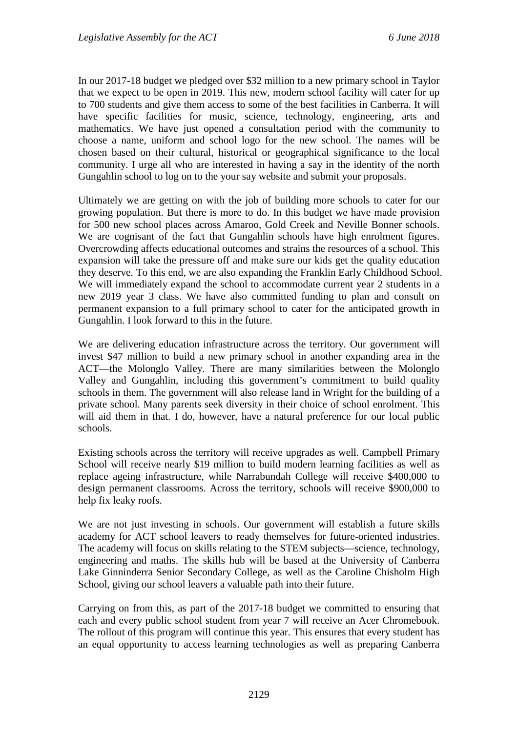In our 2017-18 budget we pledged over \$32 million to a new primary school in Taylor that we expect to be open in 2019. This new, modern school facility will cater for up to 700 students and give them access to some of the best facilities in Canberra. It will have specific facilities for music, science, technology, engineering, arts and mathematics. We have just opened a consultation period with the community to choose a name, uniform and school logo for the new school. The names will be chosen based on their cultural, historical or geographical significance to the local community. I urge all who are interested in having a say in the identity of the north Gungahlin school to log on to the your say website and submit your proposals.

Ultimately we are getting on with the job of building more schools to cater for our growing population. But there is more to do. In this budget we have made provision for 500 new school places across Amaroo, Gold Creek and Neville Bonner schools. We are cognisant of the fact that Gungahlin schools have high enrolment figures. Overcrowding affects educational outcomes and strains the resources of a school. This expansion will take the pressure off and make sure our kids get the quality education they deserve. To this end, we are also expanding the Franklin Early Childhood School. We will immediately expand the school to accommodate current year 2 students in a new 2019 year 3 class. We have also committed funding to plan and consult on permanent expansion to a full primary school to cater for the anticipated growth in Gungahlin. I look forward to this in the future.

We are delivering education infrastructure across the territory. Our government will invest \$47 million to build a new primary school in another expanding area in the ACT—the Molonglo Valley. There are many similarities between the Molonglo Valley and Gungahlin, including this government's commitment to build quality schools in them. The government will also release land in Wright for the building of a private school. Many parents seek diversity in their choice of school enrolment. This will aid them in that. I do, however, have a natural preference for our local public schools.

Existing schools across the territory will receive upgrades as well. Campbell Primary School will receive nearly \$19 million to build modern learning facilities as well as replace ageing infrastructure, while Narrabundah College will receive \$400,000 to design permanent classrooms. Across the territory, schools will receive \$900,000 to help fix leaky roofs.

We are not just investing in schools. Our government will establish a future skills academy for ACT school leavers to ready themselves for future-oriented industries. The academy will focus on skills relating to the STEM subjects—science, technology, engineering and maths. The skills hub will be based at the University of Canberra Lake Ginninderra Senior Secondary College, as well as the Caroline Chisholm High School, giving our school leavers a valuable path into their future.

Carrying on from this, as part of the 2017-18 budget we committed to ensuring that each and every public school student from year 7 will receive an Acer Chromebook. The rollout of this program will continue this year. This ensures that every student has an equal opportunity to access learning technologies as well as preparing Canberra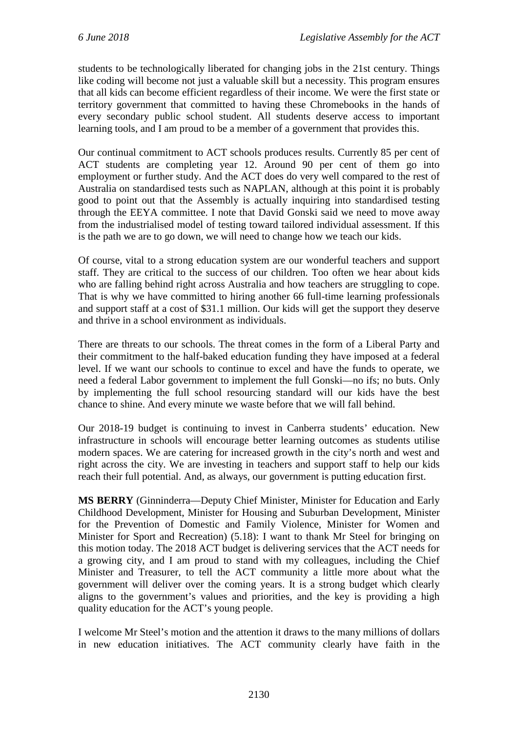students to be technologically liberated for changing jobs in the 21st century. Things like coding will become not just a valuable skill but a necessity. This program ensures that all kids can become efficient regardless of their income. We were the first state or territory government that committed to having these Chromebooks in the hands of every secondary public school student. All students deserve access to important learning tools, and I am proud to be a member of a government that provides this.

Our continual commitment to ACT schools produces results. Currently 85 per cent of ACT students are completing year 12. Around 90 per cent of them go into employment or further study. And the ACT does do very well compared to the rest of Australia on standardised tests such as NAPLAN, although at this point it is probably good to point out that the Assembly is actually inquiring into standardised testing through the EEYA committee. I note that David Gonski said we need to move away from the industrialised model of testing toward tailored individual assessment. If this is the path we are to go down, we will need to change how we teach our kids.

Of course, vital to a strong education system are our wonderful teachers and support staff. They are critical to the success of our children. Too often we hear about kids who are falling behind right across Australia and how teachers are struggling to cope. That is why we have committed to hiring another 66 full-time learning professionals and support staff at a cost of \$31.1 million. Our kids will get the support they deserve and thrive in a school environment as individuals.

There are threats to our schools. The threat comes in the form of a Liberal Party and their commitment to the half-baked education funding they have imposed at a federal level. If we want our schools to continue to excel and have the funds to operate, we need a federal Labor government to implement the full Gonski—no ifs; no buts. Only by implementing the full school resourcing standard will our kids have the best chance to shine. And every minute we waste before that we will fall behind.

Our 2018-19 budget is continuing to invest in Canberra students' education. New infrastructure in schools will encourage better learning outcomes as students utilise modern spaces. We are catering for increased growth in the city's north and west and right across the city. We are investing in teachers and support staff to help our kids reach their full potential. And, as always, our government is putting education first.

**MS BERRY** (Ginninderra—Deputy Chief Minister, Minister for Education and Early Childhood Development, Minister for Housing and Suburban Development, Minister for the Prevention of Domestic and Family Violence, Minister for Women and Minister for Sport and Recreation) (5.18): I want to thank Mr Steel for bringing on this motion today. The 2018 ACT budget is delivering services that the ACT needs for a growing city, and I am proud to stand with my colleagues, including the Chief Minister and Treasurer, to tell the ACT community a little more about what the government will deliver over the coming years. It is a strong budget which clearly aligns to the government's values and priorities, and the key is providing a high quality education for the ACT's young people.

I welcome Mr Steel's motion and the attention it draws to the many millions of dollars in new education initiatives. The ACT community clearly have faith in the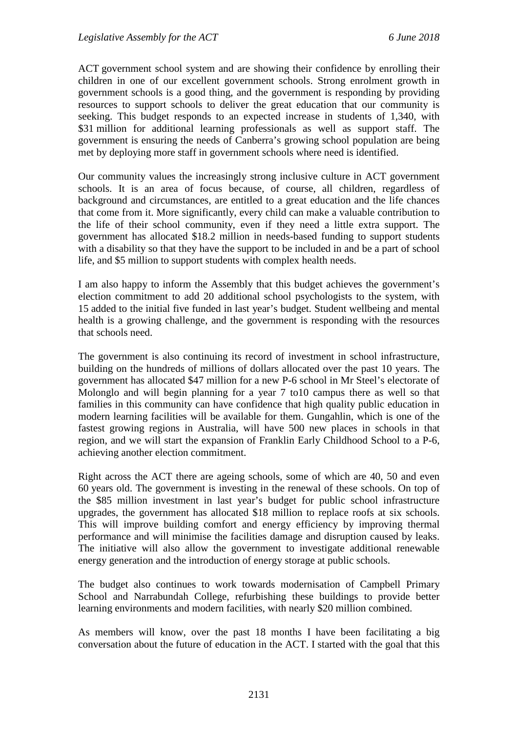ACT government school system and are showing their confidence by enrolling their children in one of our excellent government schools. Strong enrolment growth in government schools is a good thing, and the government is responding by providing resources to support schools to deliver the great education that our community is seeking. This budget responds to an expected increase in students of 1,340, with \$31 million for additional learning professionals as well as support staff. The government is ensuring the needs of Canberra's growing school population are being met by deploying more staff in government schools where need is identified.

Our community values the increasingly strong inclusive culture in ACT government schools. It is an area of focus because, of course, all children, regardless of background and circumstances, are entitled to a great education and the life chances that come from it. More significantly, every child can make a valuable contribution to the life of their school community, even if they need a little extra support. The government has allocated \$18.2 million in needs-based funding to support students with a disability so that they have the support to be included in and be a part of school life, and \$5 million to support students with complex health needs.

I am also happy to inform the Assembly that this budget achieves the government's election commitment to add 20 additional school psychologists to the system, with 15 added to the initial five funded in last year's budget. Student wellbeing and mental health is a growing challenge, and the government is responding with the resources that schools need.

The government is also continuing its record of investment in school infrastructure, building on the hundreds of millions of dollars allocated over the past 10 years. The government has allocated \$47 million for a new P-6 school in Mr Steel's electorate of Molonglo and will begin planning for a year 7 to10 campus there as well so that families in this community can have confidence that high quality public education in modern learning facilities will be available for them. Gungahlin, which is one of the fastest growing regions in Australia, will have 500 new places in schools in that region, and we will start the expansion of Franklin Early Childhood School to a P-6, achieving another election commitment.

Right across the ACT there are ageing schools, some of which are 40, 50 and even 60 years old. The government is investing in the renewal of these schools. On top of the \$85 million investment in last year's budget for public school infrastructure upgrades, the government has allocated \$18 million to replace roofs at six schools. This will improve building comfort and energy efficiency by improving thermal performance and will minimise the facilities damage and disruption caused by leaks. The initiative will also allow the government to investigate additional renewable energy generation and the introduction of energy storage at public schools.

The budget also continues to work towards modernisation of Campbell Primary School and Narrabundah College, refurbishing these buildings to provide better learning environments and modern facilities, with nearly \$20 million combined.

As members will know, over the past 18 months I have been facilitating a big conversation about the future of education in the ACT. I started with the goal that this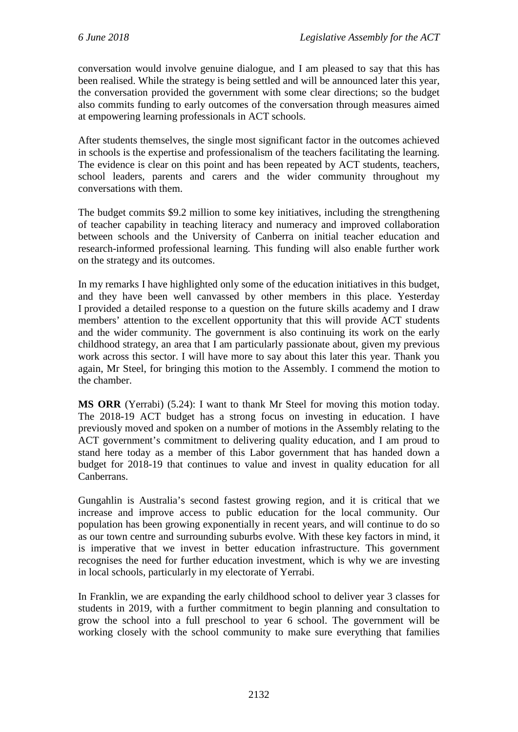conversation would involve genuine dialogue, and I am pleased to say that this has been realised. While the strategy is being settled and will be announced later this year, the conversation provided the government with some clear directions; so the budget also commits funding to early outcomes of the conversation through measures aimed at empowering learning professionals in ACT schools.

After students themselves, the single most significant factor in the outcomes achieved in schools is the expertise and professionalism of the teachers facilitating the learning. The evidence is clear on this point and has been repeated by ACT students, teachers, school leaders, parents and carers and the wider community throughout my conversations with them.

The budget commits \$9.2 million to some key initiatives, including the strengthening of teacher capability in teaching literacy and numeracy and improved collaboration between schools and the University of Canberra on initial teacher education and research-informed professional learning. This funding will also enable further work on the strategy and its outcomes.

In my remarks I have highlighted only some of the education initiatives in this budget, and they have been well canvassed by other members in this place. Yesterday I provided a detailed response to a question on the future skills academy and I draw members' attention to the excellent opportunity that this will provide ACT students and the wider community. The government is also continuing its work on the early childhood strategy, an area that I am particularly passionate about, given my previous work across this sector. I will have more to say about this later this year. Thank you again, Mr Steel, for bringing this motion to the Assembly. I commend the motion to the chamber.

**MS ORR** (Yerrabi) (5.24): I want to thank Mr Steel for moving this motion today. The 2018-19 ACT budget has a strong focus on investing in education. I have previously moved and spoken on a number of motions in the Assembly relating to the ACT government's commitment to delivering quality education, and I am proud to stand here today as a member of this Labor government that has handed down a budget for 2018-19 that continues to value and invest in quality education for all Canberrans.

Gungahlin is Australia's second fastest growing region, and it is critical that we increase and improve access to public education for the local community. Our population has been growing exponentially in recent years, and will continue to do so as our town centre and surrounding suburbs evolve. With these key factors in mind, it is imperative that we invest in better education infrastructure. This government recognises the need for further education investment, which is why we are investing in local schools, particularly in my electorate of Yerrabi.

In Franklin, we are expanding the early childhood school to deliver year 3 classes for students in 2019, with a further commitment to begin planning and consultation to grow the school into a full preschool to year 6 school. The government will be working closely with the school community to make sure everything that families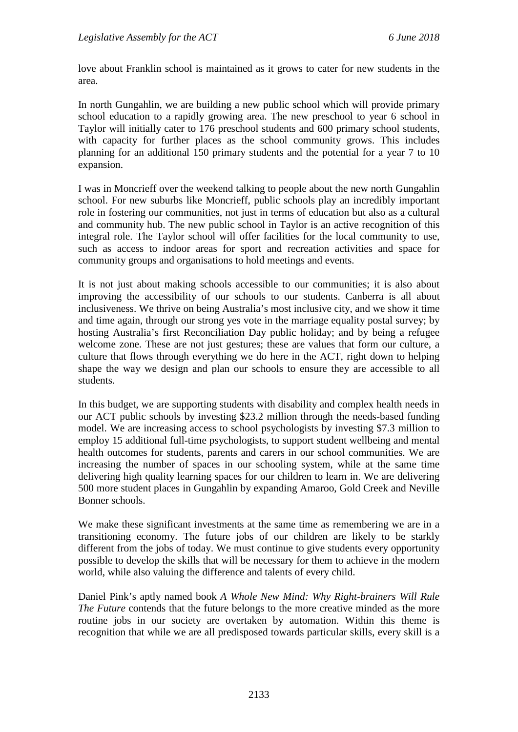love about Franklin school is maintained as it grows to cater for new students in the area.

In north Gungahlin, we are building a new public school which will provide primary school education to a rapidly growing area. The new preschool to year 6 school in Taylor will initially cater to 176 preschool students and 600 primary school students, with capacity for further places as the school community grows. This includes planning for an additional 150 primary students and the potential for a year 7 to 10 expansion.

I was in Moncrieff over the weekend talking to people about the new north Gungahlin school. For new suburbs like Moncrieff, public schools play an incredibly important role in fostering our communities, not just in terms of education but also as a cultural and community hub. The new public school in Taylor is an active recognition of this integral role. The Taylor school will offer facilities for the local community to use, such as access to indoor areas for sport and recreation activities and space for community groups and organisations to hold meetings and events.

It is not just about making schools accessible to our communities; it is also about improving the accessibility of our schools to our students. Canberra is all about inclusiveness. We thrive on being Australia's most inclusive city, and we show it time and time again, through our strong yes vote in the marriage equality postal survey; by hosting Australia's first Reconciliation Day public holiday; and by being a refugee welcome zone. These are not just gestures; these are values that form our culture, a culture that flows through everything we do here in the ACT, right down to helping shape the way we design and plan our schools to ensure they are accessible to all students.

In this budget, we are supporting students with disability and complex health needs in our ACT public schools by investing \$23.2 million through the needs-based funding model. We are increasing access to school psychologists by investing \$7.3 million to employ 15 additional full-time psychologists, to support student wellbeing and mental health outcomes for students, parents and carers in our school communities. We are increasing the number of spaces in our schooling system, while at the same time delivering high quality learning spaces for our children to learn in. We are delivering 500 more student places in Gungahlin by expanding Amaroo, Gold Creek and Neville Bonner schools.

We make these significant investments at the same time as remembering we are in a transitioning economy. The future jobs of our children are likely to be starkly different from the jobs of today. We must continue to give students every opportunity possible to develop the skills that will be necessary for them to achieve in the modern world, while also valuing the difference and talents of every child.

Daniel Pink's aptly named book *A Whole New Mind: Why Right-brainers Will Rule The Future* contends that the future belongs to the more creative minded as the more routine jobs in our society are overtaken by automation. Within this theme is recognition that while we are all predisposed towards particular skills, every skill is a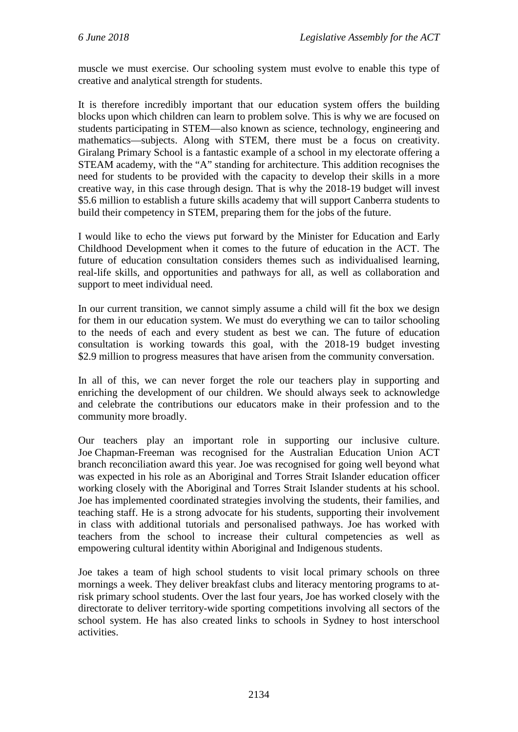muscle we must exercise. Our schooling system must evolve to enable this type of creative and analytical strength for students.

It is therefore incredibly important that our education system offers the building blocks upon which children can learn to problem solve. This is why we are focused on students participating in STEM—also known as science, technology, engineering and mathematics—subjects. Along with STEM, there must be a focus on creativity. Giralang Primary School is a fantastic example of a school in my electorate offering a STEAM academy, with the "A" standing for architecture. This addition recognises the need for students to be provided with the capacity to develop their skills in a more creative way, in this case through design. That is why the 2018-19 budget will invest \$5.6 million to establish a future skills academy that will support Canberra students to build their competency in STEM, preparing them for the jobs of the future.

I would like to echo the views put forward by the Minister for Education and Early Childhood Development when it comes to the future of education in the ACT. The future of education consultation considers themes such as individualised learning, real-life skills, and opportunities and pathways for all, as well as collaboration and support to meet individual need.

In our current transition, we cannot simply assume a child will fit the box we design for them in our education system. We must do everything we can to tailor schooling to the needs of each and every student as best we can. The future of education consultation is working towards this goal, with the 2018-19 budget investing \$2.9 million to progress measures that have arisen from the community conversation.

In all of this, we can never forget the role our teachers play in supporting and enriching the development of our children. We should always seek to acknowledge and celebrate the contributions our educators make in their profession and to the community more broadly.

Our teachers play an important role in supporting our inclusive culture. Joe Chapman-Freeman was recognised for the Australian Education Union ACT branch reconciliation award this year. Joe was recognised for going well beyond what was expected in his role as an Aboriginal and Torres Strait Islander education officer working closely with the Aboriginal and Torres Strait Islander students at his school. Joe has implemented coordinated strategies involving the students, their families, and teaching staff. He is a strong advocate for his students, supporting their involvement in class with additional tutorials and personalised pathways. Joe has worked with teachers from the school to increase their cultural competencies as well as empowering cultural identity within Aboriginal and Indigenous students.

Joe takes a team of high school students to visit local primary schools on three mornings a week. They deliver breakfast clubs and literacy mentoring programs to atrisk primary school students. Over the last four years, Joe has worked closely with the directorate to deliver territory-wide sporting competitions involving all sectors of the school system. He has also created links to schools in Sydney to host interschool activities.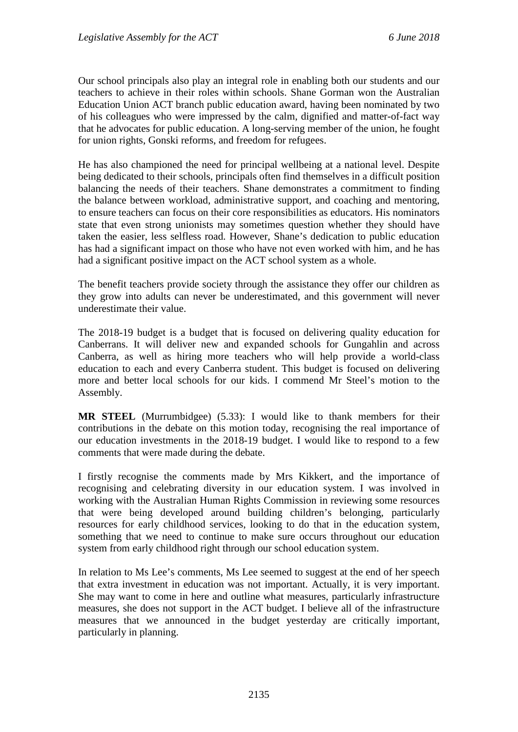Our school principals also play an integral role in enabling both our students and our teachers to achieve in their roles within schools. Shane Gorman won the Australian Education Union ACT branch public education award, having been nominated by two of his colleagues who were impressed by the calm, dignified and matter-of-fact way that he advocates for public education. A long-serving member of the union, he fought for union rights, Gonski reforms, and freedom for refugees.

He has also championed the need for principal wellbeing at a national level. Despite being dedicated to their schools, principals often find themselves in a difficult position balancing the needs of their teachers. Shane demonstrates a commitment to finding the balance between workload, administrative support, and coaching and mentoring, to ensure teachers can focus on their core responsibilities as educators. His nominators state that even strong unionists may sometimes question whether they should have taken the easier, less selfless road. However, Shane's dedication to public education has had a significant impact on those who have not even worked with him, and he has had a significant positive impact on the ACT school system as a whole.

The benefit teachers provide society through the assistance they offer our children as they grow into adults can never be underestimated, and this government will never underestimate their value.

The 2018-19 budget is a budget that is focused on delivering quality education for Canberrans. It will deliver new and expanded schools for Gungahlin and across Canberra, as well as hiring more teachers who will help provide a world-class education to each and every Canberra student. This budget is focused on delivering more and better local schools for our kids. I commend Mr Steel's motion to the Assembly.

**MR STEEL** (Murrumbidgee) (5.33): I would like to thank members for their contributions in the debate on this motion today, recognising the real importance of our education investments in the 2018-19 budget. I would like to respond to a few comments that were made during the debate.

I firstly recognise the comments made by Mrs Kikkert, and the importance of recognising and celebrating diversity in our education system. I was involved in working with the Australian Human Rights Commission in reviewing some resources that were being developed around building children's belonging, particularly resources for early childhood services, looking to do that in the education system, something that we need to continue to make sure occurs throughout our education system from early childhood right through our school education system.

In relation to Ms Lee's comments, Ms Lee seemed to suggest at the end of her speech that extra investment in education was not important. Actually, it is very important. She may want to come in here and outline what measures, particularly infrastructure measures, she does not support in the ACT budget. I believe all of the infrastructure measures that we announced in the budget yesterday are critically important, particularly in planning.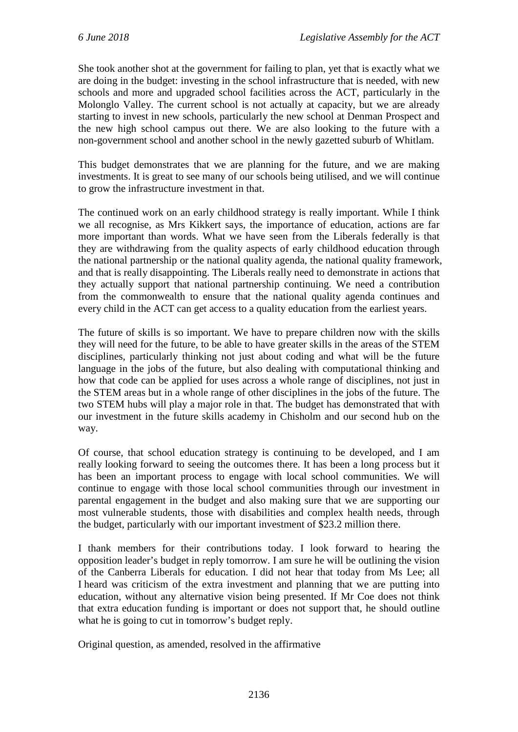She took another shot at the government for failing to plan, yet that is exactly what we are doing in the budget: investing in the school infrastructure that is needed, with new schools and more and upgraded school facilities across the ACT, particularly in the Molonglo Valley. The current school is not actually at capacity, but we are already starting to invest in new schools, particularly the new school at Denman Prospect and the new high school campus out there. We are also looking to the future with a non-government school and another school in the newly gazetted suburb of Whitlam.

This budget demonstrates that we are planning for the future, and we are making investments. It is great to see many of our schools being utilised, and we will continue to grow the infrastructure investment in that.

The continued work on an early childhood strategy is really important. While I think we all recognise, as Mrs Kikkert says, the importance of education, actions are far more important than words. What we have seen from the Liberals federally is that they are withdrawing from the quality aspects of early childhood education through the national partnership or the national quality agenda, the national quality framework, and that is really disappointing. The Liberals really need to demonstrate in actions that they actually support that national partnership continuing. We need a contribution from the commonwealth to ensure that the national quality agenda continues and every child in the ACT can get access to a quality education from the earliest years.

The future of skills is so important. We have to prepare children now with the skills they will need for the future, to be able to have greater skills in the areas of the STEM disciplines, particularly thinking not just about coding and what will be the future language in the jobs of the future, but also dealing with computational thinking and how that code can be applied for uses across a whole range of disciplines, not just in the STEM areas but in a whole range of other disciplines in the jobs of the future. The two STEM hubs will play a major role in that. The budget has demonstrated that with our investment in the future skills academy in Chisholm and our second hub on the way.

Of course, that school education strategy is continuing to be developed, and I am really looking forward to seeing the outcomes there. It has been a long process but it has been an important process to engage with local school communities. We will continue to engage with those local school communities through our investment in parental engagement in the budget and also making sure that we are supporting our most vulnerable students, those with disabilities and complex health needs, through the budget, particularly with our important investment of \$23.2 million there.

I thank members for their contributions today. I look forward to hearing the opposition leader's budget in reply tomorrow. I am sure he will be outlining the vision of the Canberra Liberals for education. I did not hear that today from Ms Lee; all I heard was criticism of the extra investment and planning that we are putting into education, without any alternative vision being presented. If Mr Coe does not think that extra education funding is important or does not support that, he should outline what he is going to cut in tomorrow's budget reply.

Original question, as amended, resolved in the affirmative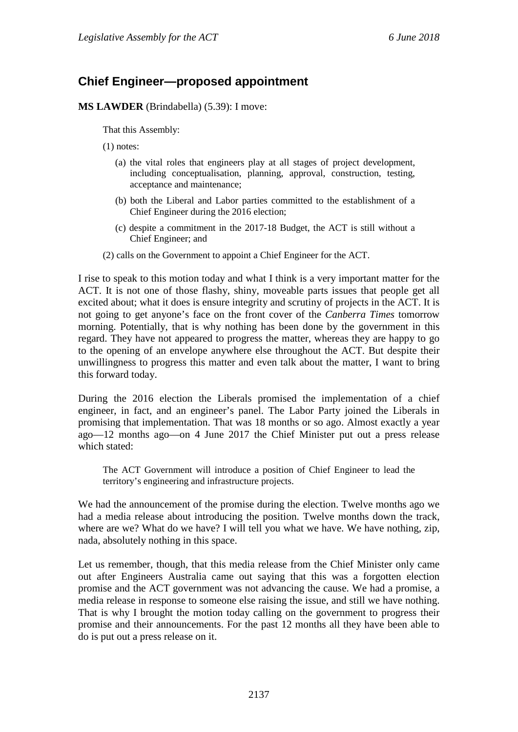# **Chief Engineer—proposed appointment**

**MS LAWDER** (Brindabella) (5.39): I move:

That this Assembly:

(1) notes:

- (a) the vital roles that engineers play at all stages of project development, including conceptualisation, planning, approval, construction, testing, acceptance and maintenance;
- (b) both the Liberal and Labor parties committed to the establishment of a Chief Engineer during the 2016 election;
- (c) despite a commitment in the 2017-18 Budget, the ACT is still without a Chief Engineer; and
- (2) calls on the Government to appoint a Chief Engineer for the ACT.

I rise to speak to this motion today and what I think is a very important matter for the ACT. It is not one of those flashy, shiny, moveable parts issues that people get all excited about; what it does is ensure integrity and scrutiny of projects in the ACT. It is not going to get anyone's face on the front cover of the *Canberra Times* tomorrow morning. Potentially, that is why nothing has been done by the government in this regard. They have not appeared to progress the matter, whereas they are happy to go to the opening of an envelope anywhere else throughout the ACT. But despite their unwillingness to progress this matter and even talk about the matter, I want to bring this forward today.

During the 2016 election the Liberals promised the implementation of a chief engineer, in fact, and an engineer's panel. The Labor Party joined the Liberals in promising that implementation. That was 18 months or so ago. Almost exactly a year ago—12 months ago—on 4 June 2017 the Chief Minister put out a press release which stated:

The ACT Government will introduce a position of Chief Engineer to lead the territory's engineering and infrastructure projects.

We had the announcement of the promise during the election. Twelve months ago we had a media release about introducing the position. Twelve months down the track, where are we? What do we have? I will tell you what we have. We have nothing, zip, nada, absolutely nothing in this space.

Let us remember, though, that this media release from the Chief Minister only came out after Engineers Australia came out saying that this was a forgotten election promise and the ACT government was not advancing the cause. We had a promise, a media release in response to someone else raising the issue, and still we have nothing. That is why I brought the motion today calling on the government to progress their promise and their announcements. For the past 12 months all they have been able to do is put out a press release on it.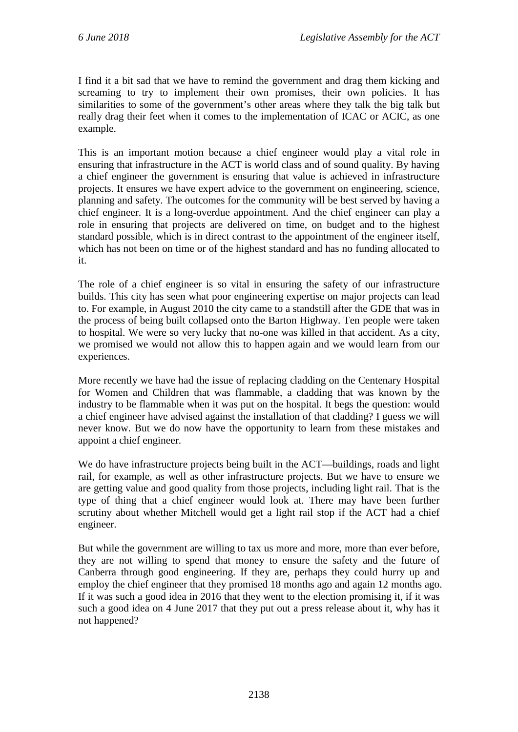I find it a bit sad that we have to remind the government and drag them kicking and screaming to try to implement their own promises, their own policies. It has similarities to some of the government's other areas where they talk the big talk but really drag their feet when it comes to the implementation of ICAC or ACIC, as one example.

This is an important motion because a chief engineer would play a vital role in ensuring that infrastructure in the ACT is world class and of sound quality. By having a chief engineer the government is ensuring that value is achieved in infrastructure projects. It ensures we have expert advice to the government on engineering, science, planning and safety. The outcomes for the community will be best served by having a chief engineer. It is a long-overdue appointment. And the chief engineer can play a role in ensuring that projects are delivered on time, on budget and to the highest standard possible, which is in direct contrast to the appointment of the engineer itself, which has not been on time or of the highest standard and has no funding allocated to it.

The role of a chief engineer is so vital in ensuring the safety of our infrastructure builds. This city has seen what poor engineering expertise on major projects can lead to. For example, in August 2010 the city came to a standstill after the GDE that was in the process of being built collapsed onto the Barton Highway. Ten people were taken to hospital. We were so very lucky that no-one was killed in that accident. As a city, we promised we would not allow this to happen again and we would learn from our experiences.

More recently we have had the issue of replacing cladding on the Centenary Hospital for Women and Children that was flammable, a cladding that was known by the industry to be flammable when it was put on the hospital. It begs the question: would a chief engineer have advised against the installation of that cladding? I guess we will never know. But we do now have the opportunity to learn from these mistakes and appoint a chief engineer.

We do have infrastructure projects being built in the ACT—buildings, roads and light rail, for example, as well as other infrastructure projects. But we have to ensure we are getting value and good quality from those projects, including light rail. That is the type of thing that a chief engineer would look at. There may have been further scrutiny about whether Mitchell would get a light rail stop if the ACT had a chief engineer.

But while the government are willing to tax us more and more, more than ever before, they are not willing to spend that money to ensure the safety and the future of Canberra through good engineering. If they are, perhaps they could hurry up and employ the chief engineer that they promised 18 months ago and again 12 months ago. If it was such a good idea in 2016 that they went to the election promising it, if it was such a good idea on 4 June 2017 that they put out a press release about it, why has it not happened?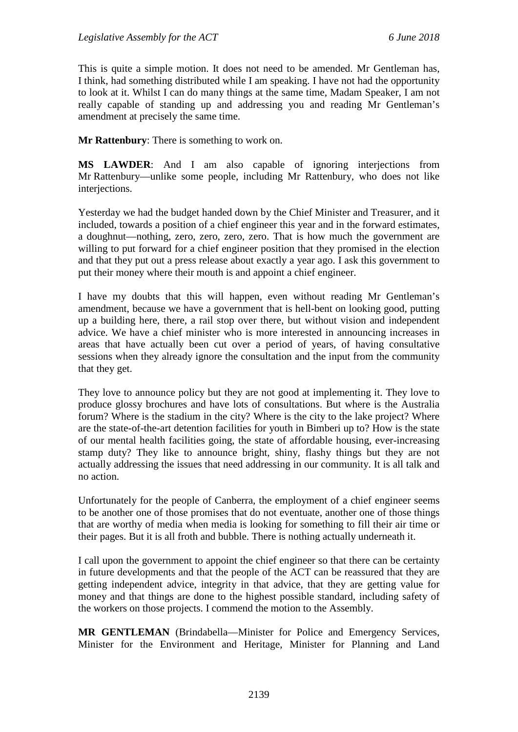This is quite a simple motion. It does not need to be amended. Mr Gentleman has, I think, had something distributed while I am speaking. I have not had the opportunity to look at it. Whilst I can do many things at the same time, Madam Speaker, I am not really capable of standing up and addressing you and reading Mr Gentleman's amendment at precisely the same time.

**Mr Rattenbury**: There is something to work on.

**MS LAWDER**: And I am also capable of ignoring interjections from Mr Rattenbury—unlike some people, including Mr Rattenbury, who does not like interjections.

Yesterday we had the budget handed down by the Chief Minister and Treasurer, and it included, towards a position of a chief engineer this year and in the forward estimates, a doughnut—nothing, zero, zero, zero, zero. That is how much the government are willing to put forward for a chief engineer position that they promised in the election and that they put out a press release about exactly a year ago. I ask this government to put their money where their mouth is and appoint a chief engineer.

I have my doubts that this will happen, even without reading Mr Gentleman's amendment, because we have a government that is hell-bent on looking good, putting up a building here, there, a rail stop over there, but without vision and independent advice. We have a chief minister who is more interested in announcing increases in areas that have actually been cut over a period of years, of having consultative sessions when they already ignore the consultation and the input from the community that they get.

They love to announce policy but they are not good at implementing it. They love to produce glossy brochures and have lots of consultations. But where is the Australia forum? Where is the stadium in the city? Where is the city to the lake project? Where are the state-of-the-art detention facilities for youth in Bimberi up to? How is the state of our mental health facilities going, the state of affordable housing, ever-increasing stamp duty? They like to announce bright, shiny, flashy things but they are not actually addressing the issues that need addressing in our community. It is all talk and no action.

Unfortunately for the people of Canberra, the employment of a chief engineer seems to be another one of those promises that do not eventuate, another one of those things that are worthy of media when media is looking for something to fill their air time or their pages. But it is all froth and bubble. There is nothing actually underneath it.

I call upon the government to appoint the chief engineer so that there can be certainty in future developments and that the people of the ACT can be reassured that they are getting independent advice, integrity in that advice, that they are getting value for money and that things are done to the highest possible standard, including safety of the workers on those projects. I commend the motion to the Assembly.

**MR GENTLEMAN** (Brindabella—Minister for Police and Emergency Services, Minister for the Environment and Heritage, Minister for Planning and Land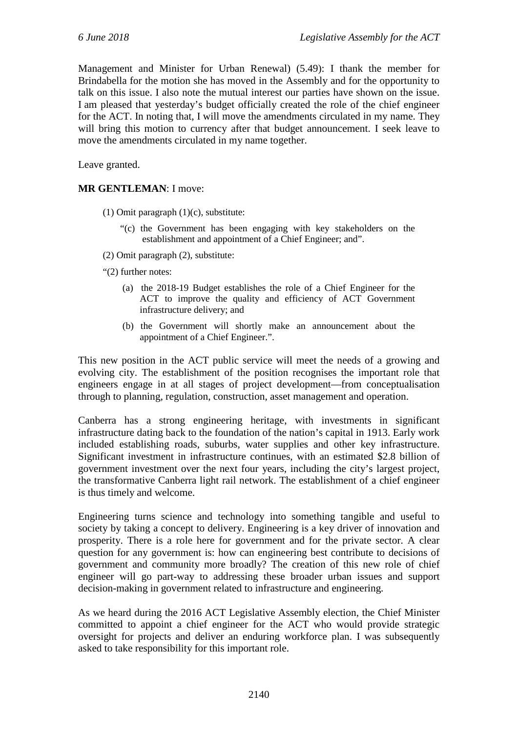Management and Minister for Urban Renewal) (5.49): I thank the member for Brindabella for the motion she has moved in the Assembly and for the opportunity to talk on this issue. I also note the mutual interest our parties have shown on the issue. I am pleased that yesterday's budget officially created the role of the chief engineer for the ACT. In noting that, I will move the amendments circulated in my name. They will bring this motion to currency after that budget announcement. I seek leave to move the amendments circulated in my name together.

Leave granted.

#### **MR GENTLEMAN**: I move:

- (1) Omit paragraph (1)(c), substitute:
	- "(c) the Government has been engaging with key stakeholders on the establishment and appointment of a Chief Engineer; and".
- (2) Omit paragraph (2), substitute:
- "(2) further notes:
	- (a) the 2018-19 Budget establishes the role of a Chief Engineer for the ACT to improve the quality and efficiency of ACT Government infrastructure delivery; and
	- (b) the Government will shortly make an announcement about the appointment of a Chief Engineer.".

This new position in the ACT public service will meet the needs of a growing and evolving city. The establishment of the position recognises the important role that engineers engage in at all stages of project development—from conceptualisation through to planning, regulation, construction, asset management and operation.

Canberra has a strong engineering heritage, with investments in significant infrastructure dating back to the foundation of the nation's capital in 1913. Early work included establishing roads, suburbs, water supplies and other key infrastructure. Significant investment in infrastructure continues, with an estimated \$2.8 billion of government investment over the next four years, including the city's largest project, the transformative Canberra light rail network. The establishment of a chief engineer is thus timely and welcome.

Engineering turns science and technology into something tangible and useful to society by taking a concept to delivery. Engineering is a key driver of innovation and prosperity. There is a role here for government and for the private sector. A clear question for any government is: how can engineering best contribute to decisions of government and community more broadly? The creation of this new role of chief engineer will go part-way to addressing these broader urban issues and support decision-making in government related to infrastructure and engineering.

As we heard during the 2016 ACT Legislative Assembly election, the Chief Minister committed to appoint a chief engineer for the ACT who would provide strategic oversight for projects and deliver an enduring workforce plan. I was subsequently asked to take responsibility for this important role.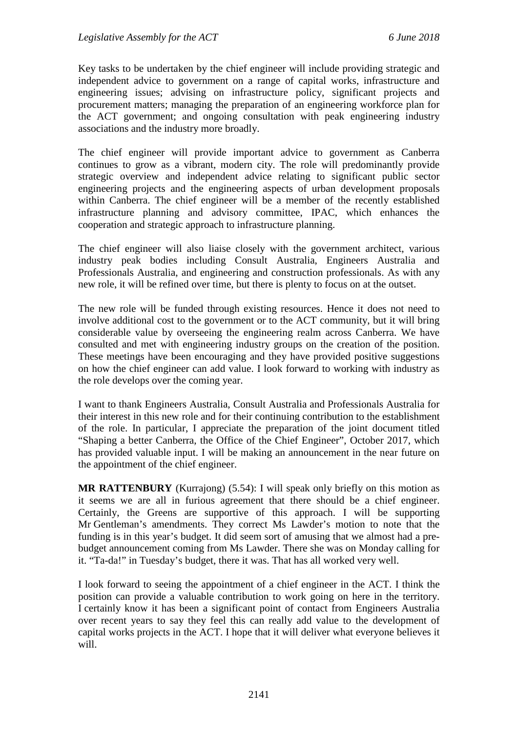Key tasks to be undertaken by the chief engineer will include providing strategic and independent advice to government on a range of capital works, infrastructure and engineering issues; advising on infrastructure policy, significant projects and procurement matters; managing the preparation of an engineering workforce plan for the ACT government; and ongoing consultation with peak engineering industry associations and the industry more broadly.

The chief engineer will provide important advice to government as Canberra continues to grow as a vibrant, modern city. The role will predominantly provide strategic overview and independent advice relating to significant public sector engineering projects and the engineering aspects of urban development proposals within Canberra. The chief engineer will be a member of the recently established infrastructure planning and advisory committee, IPAC, which enhances the cooperation and strategic approach to infrastructure planning.

The chief engineer will also liaise closely with the government architect, various industry peak bodies including Consult Australia, Engineers Australia and Professionals Australia, and engineering and construction professionals. As with any new role, it will be refined over time, but there is plenty to focus on at the outset.

The new role will be funded through existing resources. Hence it does not need to involve additional cost to the government or to the ACT community, but it will bring considerable value by overseeing the engineering realm across Canberra. We have consulted and met with engineering industry groups on the creation of the position. These meetings have been encouraging and they have provided positive suggestions on how the chief engineer can add value. I look forward to working with industry as the role develops over the coming year.

I want to thank Engineers Australia, Consult Australia and Professionals Australia for their interest in this new role and for their continuing contribution to the establishment of the role. In particular, I appreciate the preparation of the joint document titled "Shaping a better Canberra, the Office of the Chief Engineer", October 2017, which has provided valuable input. I will be making an announcement in the near future on the appointment of the chief engineer.

**MR RATTENBURY** (Kurrajong) (5.54): I will speak only briefly on this motion as it seems we are all in furious agreement that there should be a chief engineer. Certainly, the Greens are supportive of this approach. I will be supporting Mr Gentleman's amendments. They correct Ms Lawder's motion to note that the funding is in this year's budget. It did seem sort of amusing that we almost had a prebudget announcement coming from Ms Lawder. There she was on Monday calling for it. "Ta-da!" in Tuesday's budget, there it was. That has all worked very well.

I look forward to seeing the appointment of a chief engineer in the ACT. I think the position can provide a valuable contribution to work going on here in the territory. I certainly know it has been a significant point of contact from Engineers Australia over recent years to say they feel this can really add value to the development of capital works projects in the ACT. I hope that it will deliver what everyone believes it will.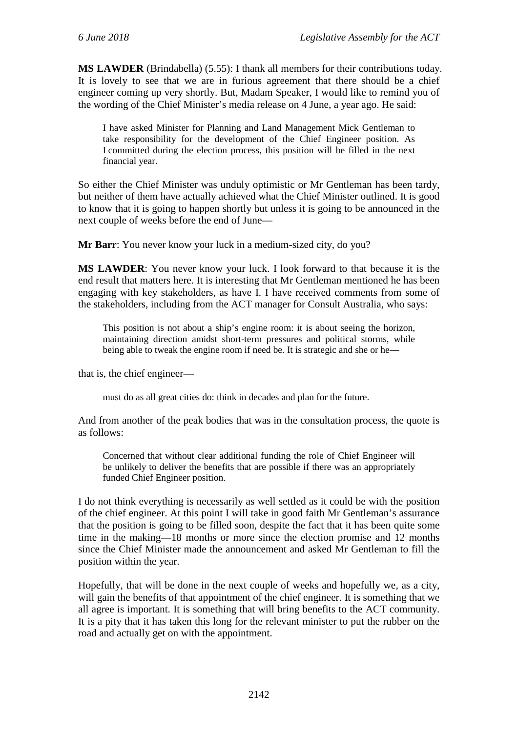**MS LAWDER** (Brindabella) (5.55): I thank all members for their contributions today. It is lovely to see that we are in furious agreement that there should be a chief engineer coming up very shortly. But, Madam Speaker, I would like to remind you of the wording of the Chief Minister's media release on 4 June, a year ago. He said:

I have asked Minister for Planning and Land Management Mick Gentleman to take responsibility for the development of the Chief Engineer position. As I committed during the election process, this position will be filled in the next financial year.

So either the Chief Minister was unduly optimistic or Mr Gentleman has been tardy, but neither of them have actually achieved what the Chief Minister outlined. It is good to know that it is going to happen shortly but unless it is going to be announced in the next couple of weeks before the end of June—

**Mr Barr**: You never know your luck in a medium-sized city, do you?

**MS LAWDER**: You never know your luck. I look forward to that because it is the end result that matters here. It is interesting that Mr Gentleman mentioned he has been engaging with key stakeholders, as have I. I have received comments from some of the stakeholders, including from the ACT manager for Consult Australia, who says:

This position is not about a ship's engine room: it is about seeing the horizon, maintaining direction amidst short-term pressures and political storms, while being able to tweak the engine room if need be. It is strategic and she or he—

that is, the chief engineer—

must do as all great cities do: think in decades and plan for the future.

And from another of the peak bodies that was in the consultation process, the quote is as follows:

Concerned that without clear additional funding the role of Chief Engineer will be unlikely to deliver the benefits that are possible if there was an appropriately funded Chief Engineer position.

I do not think everything is necessarily as well settled as it could be with the position of the chief engineer. At this point I will take in good faith Mr Gentleman's assurance that the position is going to be filled soon, despite the fact that it has been quite some time in the making—18 months or more since the election promise and 12 months since the Chief Minister made the announcement and asked Mr Gentleman to fill the position within the year.

Hopefully, that will be done in the next couple of weeks and hopefully we, as a city, will gain the benefits of that appointment of the chief engineer. It is something that we all agree is important. It is something that will bring benefits to the ACT community. It is a pity that it has taken this long for the relevant minister to put the rubber on the road and actually get on with the appointment.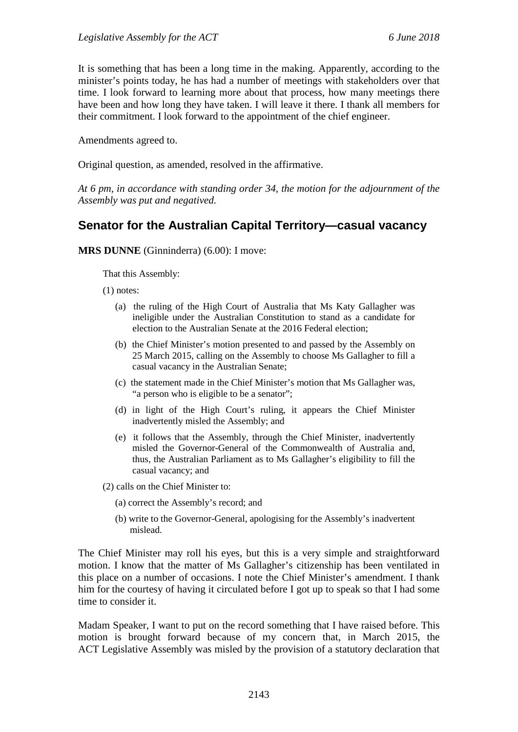It is something that has been a long time in the making. Apparently, according to the minister's points today, he has had a number of meetings with stakeholders over that time. I look forward to learning more about that process, how many meetings there have been and how long they have taken. I will leave it there. I thank all members for their commitment. I look forward to the appointment of the chief engineer.

Amendments agreed to.

Original question, as amended, resolved in the affirmative.

*At 6 pm, in accordance with standing order 34, the motion for the adjournment of the Assembly was put and negatived.*

# **Senator for the Australian Capital Territory—casual vacancy**

**MRS DUNNE** (Ginninderra) (6.00): I move:

That this Assembly:

(1) notes:

- (a) the ruling of the High Court of Australia that Ms Katy Gallagher was ineligible under the Australian Constitution to stand as a candidate for election to the Australian Senate at the 2016 Federal election;
- (b) the Chief Minister's motion presented to and passed by the Assembly on 25 March 2015, calling on the Assembly to choose Ms Gallagher to fill a casual vacancy in the Australian Senate;
- (c) the statement made in the Chief Minister's motion that Ms Gallagher was, "a person who is eligible to be a senator";
- (d) in light of the High Court's ruling, it appears the Chief Minister inadvertently misled the Assembly; and
- (e) it follows that the Assembly, through the Chief Minister, inadvertently misled the Governor-General of the Commonwealth of Australia and, thus, the Australian Parliament as to Ms Gallagher's eligibility to fill the casual vacancy; and

(2) calls on the Chief Minister to:

- (a) correct the Assembly's record; and
- (b) write to the Governor-General, apologising for the Assembly's inadvertent mislead.

The Chief Minister may roll his eyes, but this is a very simple and straightforward motion. I know that the matter of Ms Gallagher's citizenship has been ventilated in this place on a number of occasions. I note the Chief Minister's amendment. I thank him for the courtesy of having it circulated before I got up to speak so that I had some time to consider it.

Madam Speaker, I want to put on the record something that I have raised before. This motion is brought forward because of my concern that, in March 2015, the ACT Legislative Assembly was misled by the provision of a statutory declaration that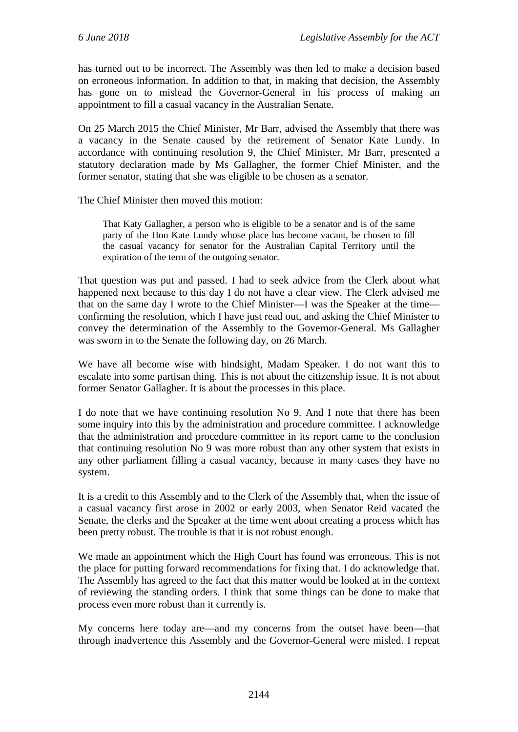has turned out to be incorrect. The Assembly was then led to make a decision based on erroneous information. In addition to that, in making that decision, the Assembly has gone on to mislead the Governor-General in his process of making an appointment to fill a casual vacancy in the Australian Senate.

On 25 March 2015 the Chief Minister, Mr Barr, advised the Assembly that there was a vacancy in the Senate caused by the retirement of Senator Kate Lundy. In accordance with continuing resolution 9, the Chief Minister, Mr Barr, presented a statutory declaration made by Ms Gallagher, the former Chief Minister, and the former senator, stating that she was eligible to be chosen as a senator.

The Chief Minister then moved this motion:

That Katy Gallagher, a person who is eligible to be a senator and is of the same party of the Hon Kate Lundy whose place has become vacant, be chosen to fill the casual vacancy for senator for the Australian Capital Territory until the expiration of the term of the outgoing senator.

That question was put and passed. I had to seek advice from the Clerk about what happened next because to this day I do not have a clear view. The Clerk advised me that on the same day I wrote to the Chief Minister—I was the Speaker at the time confirming the resolution, which I have just read out, and asking the Chief Minister to convey the determination of the Assembly to the Governor-General. Ms Gallagher was sworn in to the Senate the following day, on 26 March.

We have all become wise with hindsight, Madam Speaker. I do not want this to escalate into some partisan thing. This is not about the citizenship issue. It is not about former Senator Gallagher. It is about the processes in this place.

I do note that we have continuing resolution No 9. And I note that there has been some inquiry into this by the administration and procedure committee. I acknowledge that the administration and procedure committee in its report came to the conclusion that continuing resolution No 9 was more robust than any other system that exists in any other parliament filling a casual vacancy, because in many cases they have no system.

It is a credit to this Assembly and to the Clerk of the Assembly that, when the issue of a casual vacancy first arose in 2002 or early 2003, when Senator Reid vacated the Senate, the clerks and the Speaker at the time went about creating a process which has been pretty robust. The trouble is that it is not robust enough.

We made an appointment which the High Court has found was erroneous. This is not the place for putting forward recommendations for fixing that. I do acknowledge that. The Assembly has agreed to the fact that this matter would be looked at in the context of reviewing the standing orders. I think that some things can be done to make that process even more robust than it currently is.

My concerns here today are—and my concerns from the outset have been—that through inadvertence this Assembly and the Governor-General were misled. I repeat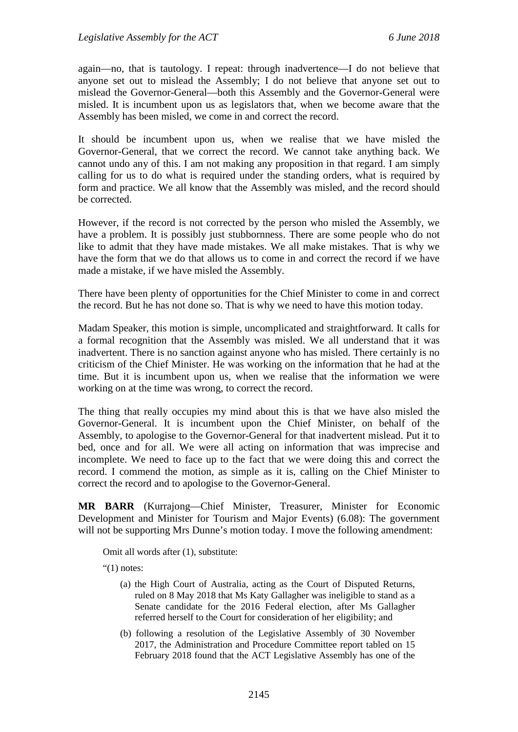again—no, that is tautology. I repeat: through inadvertence—I do not believe that anyone set out to mislead the Assembly; I do not believe that anyone set out to mislead the Governor-General—both this Assembly and the Governor-General were misled. It is incumbent upon us as legislators that, when we become aware that the Assembly has been misled, we come in and correct the record.

It should be incumbent upon us, when we realise that we have misled the Governor-General, that we correct the record. We cannot take anything back. We cannot undo any of this. I am not making any proposition in that regard. I am simply calling for us to do what is required under the standing orders, what is required by form and practice. We all know that the Assembly was misled, and the record should be corrected.

However, if the record is not corrected by the person who misled the Assembly, we have a problem. It is possibly just stubbornness. There are some people who do not like to admit that they have made mistakes. We all make mistakes. That is why we have the form that we do that allows us to come in and correct the record if we have made a mistake, if we have misled the Assembly.

There have been plenty of opportunities for the Chief Minister to come in and correct the record. But he has not done so. That is why we need to have this motion today.

Madam Speaker, this motion is simple, uncomplicated and straightforward. It calls for a formal recognition that the Assembly was misled. We all understand that it was inadvertent. There is no sanction against anyone who has misled. There certainly is no criticism of the Chief Minister. He was working on the information that he had at the time. But it is incumbent upon us, when we realise that the information we were working on at the time was wrong, to correct the record.

The thing that really occupies my mind about this is that we have also misled the Governor-General. It is incumbent upon the Chief Minister, on behalf of the Assembly, to apologise to the Governor-General for that inadvertent mislead. Put it to bed, once and for all. We were all acting on information that was imprecise and incomplete. We need to face up to the fact that we were doing this and correct the record. I commend the motion, as simple as it is, calling on the Chief Minister to correct the record and to apologise to the Governor-General.

**MR BARR** (Kurrajong—Chief Minister, Treasurer, Minister for Economic Development and Minister for Tourism and Major Events) (6.08): The government will not be supporting Mrs Dunne's motion today. I move the following amendment:

Omit all words after (1), substitute:

"(1) notes:

- (a) the High Court of Australia, acting as the Court of Disputed Returns, ruled on 8 May 2018 that Ms Katy Gallagher was ineligible to stand as a Senate candidate for the 2016 Federal election, after Ms Gallagher referred herself to the Court for consideration of her eligibility; and
- (b) following a resolution of the Legislative Assembly of 30 November 2017, the Administration and Procedure Committee report tabled on 15 February 2018 found that the ACT Legislative Assembly has one of the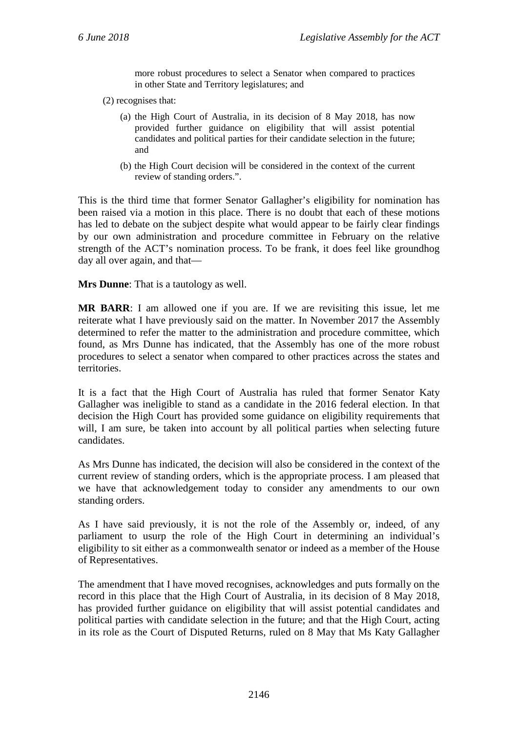more robust procedures to select a Senator when compared to practices in other State and Territory legislatures; and

- (2) recognises that:
	- (a) the High Court of Australia, in its decision of 8 May 2018, has now provided further guidance on eligibility that will assist potential candidates and political parties for their candidate selection in the future; and
	- (b) the High Court decision will be considered in the context of the current review of standing orders.".

This is the third time that former Senator Gallagher's eligibility for nomination has been raised via a motion in this place. There is no doubt that each of these motions has led to debate on the subject despite what would appear to be fairly clear findings by our own administration and procedure committee in February on the relative strength of the ACT's nomination process. To be frank, it does feel like groundhog day all over again, and that—

**Mrs Dunne**: That is a tautology as well.

**MR BARR**: I am allowed one if you are. If we are revisiting this issue, let me reiterate what I have previously said on the matter. In November 2017 the Assembly determined to refer the matter to the administration and procedure committee, which found, as Mrs Dunne has indicated, that the Assembly has one of the more robust procedures to select a senator when compared to other practices across the states and territories.

It is a fact that the High Court of Australia has ruled that former Senator Katy Gallagher was ineligible to stand as a candidate in the 2016 federal election. In that decision the High Court has provided some guidance on eligibility requirements that will, I am sure, be taken into account by all political parties when selecting future candidates.

As Mrs Dunne has indicated, the decision will also be considered in the context of the current review of standing orders, which is the appropriate process. I am pleased that we have that acknowledgement today to consider any amendments to our own standing orders.

As I have said previously, it is not the role of the Assembly or, indeed, of any parliament to usurp the role of the High Court in determining an individual's eligibility to sit either as a commonwealth senator or indeed as a member of the House of Representatives.

The amendment that I have moved recognises, acknowledges and puts formally on the record in this place that the High Court of Australia, in its decision of 8 May 2018, has provided further guidance on eligibility that will assist potential candidates and political parties with candidate selection in the future; and that the High Court, acting in its role as the Court of Disputed Returns, ruled on 8 May that Ms Katy Gallagher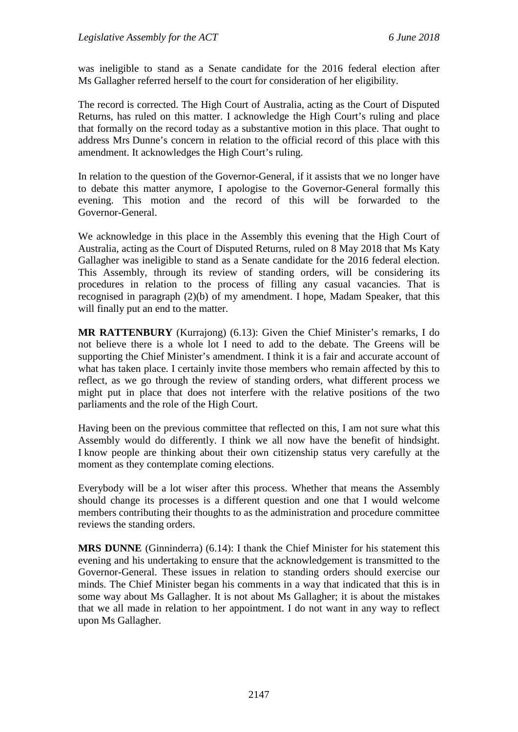was ineligible to stand as a Senate candidate for the 2016 federal election after Ms Gallagher referred herself to the court for consideration of her eligibility.

The record is corrected. The High Court of Australia, acting as the Court of Disputed Returns, has ruled on this matter. I acknowledge the High Court's ruling and place that formally on the record today as a substantive motion in this place. That ought to address Mrs Dunne's concern in relation to the official record of this place with this amendment. It acknowledges the High Court's ruling.

In relation to the question of the Governor-General, if it assists that we no longer have to debate this matter anymore, I apologise to the Governor-General formally this evening. This motion and the record of this will be forwarded to the Governor-General.

We acknowledge in this place in the Assembly this evening that the High Court of Australia, acting as the Court of Disputed Returns, ruled on 8 May 2018 that Ms Katy Gallagher was ineligible to stand as a Senate candidate for the 2016 federal election. This Assembly, through its review of standing orders, will be considering its procedures in relation to the process of filling any casual vacancies. That is recognised in paragraph (2)(b) of my amendment. I hope, Madam Speaker, that this will finally put an end to the matter.

**MR RATTENBURY** (Kurrajong) (6.13): Given the Chief Minister's remarks, I do not believe there is a whole lot I need to add to the debate. The Greens will be supporting the Chief Minister's amendment. I think it is a fair and accurate account of what has taken place. I certainly invite those members who remain affected by this to reflect, as we go through the review of standing orders, what different process we might put in place that does not interfere with the relative positions of the two parliaments and the role of the High Court.

Having been on the previous committee that reflected on this, I am not sure what this Assembly would do differently. I think we all now have the benefit of hindsight. I know people are thinking about their own citizenship status very carefully at the moment as they contemplate coming elections.

Everybody will be a lot wiser after this process. Whether that means the Assembly should change its processes is a different question and one that I would welcome members contributing their thoughts to as the administration and procedure committee reviews the standing orders.

**MRS DUNNE** (Ginninderra) (6.14): I thank the Chief Minister for his statement this evening and his undertaking to ensure that the acknowledgement is transmitted to the Governor-General. These issues in relation to standing orders should exercise our minds. The Chief Minister began his comments in a way that indicated that this is in some way about Ms Gallagher. It is not about Ms Gallagher; it is about the mistakes that we all made in relation to her appointment. I do not want in any way to reflect upon Ms Gallagher.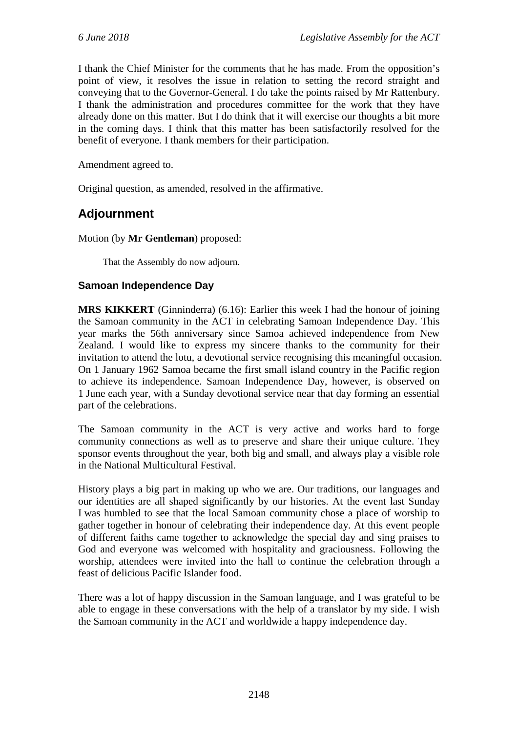I thank the Chief Minister for the comments that he has made. From the opposition's point of view, it resolves the issue in relation to setting the record straight and conveying that to the Governor-General. I do take the points raised by Mr Rattenbury. I thank the administration and procedures committee for the work that they have already done on this matter. But I do think that it will exercise our thoughts a bit more in the coming days. I think that this matter has been satisfactorily resolved for the benefit of everyone. I thank members for their participation.

Amendment agreed to.

Original question, as amended, resolved in the affirmative.

# **Adjournment**

Motion (by **Mr Gentleman**) proposed:

That the Assembly do now adjourn.

### **Samoan Independence Day**

**MRS KIKKERT** (Ginninderra) (6.16): Earlier this week I had the honour of joining the Samoan community in the ACT in celebrating Samoan Independence Day. This year marks the 56th anniversary since Samoa achieved independence from New Zealand. I would like to express my sincere thanks to the community for their invitation to attend the lotu, a devotional service recognising this meaningful occasion. On 1 January 1962 Samoa became the first small island country in the Pacific region to achieve its independence. Samoan Independence Day, however, is observed on 1 June each year, with a Sunday devotional service near that day forming an essential part of the celebrations.

The Samoan community in the ACT is very active and works hard to forge community connections as well as to preserve and share their unique culture. They sponsor events throughout the year, both big and small, and always play a visible role in the National Multicultural Festival.

History plays a big part in making up who we are. Our traditions, our languages and our identities are all shaped significantly by our histories. At the event last Sunday I was humbled to see that the local Samoan community chose a place of worship to gather together in honour of celebrating their independence day. At this event people of different faiths came together to acknowledge the special day and sing praises to God and everyone was welcomed with hospitality and graciousness. Following the worship, attendees were invited into the hall to continue the celebration through a feast of delicious Pacific Islander food.

There was a lot of happy discussion in the Samoan language, and I was grateful to be able to engage in these conversations with the help of a translator by my side. I wish the Samoan community in the ACT and worldwide a happy independence day.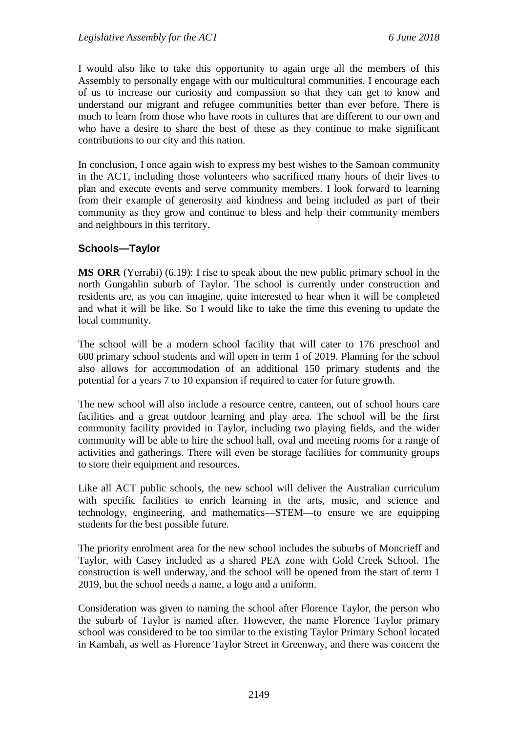I would also like to take this opportunity to again urge all the members of this Assembly to personally engage with our multicultural communities. I encourage each of us to increase our curiosity and compassion so that they can get to know and understand our migrant and refugee communities better than ever before. There is much to learn from those who have roots in cultures that are different to our own and who have a desire to share the best of these as they continue to make significant contributions to our city and this nation.

In conclusion, I once again wish to express my best wishes to the Samoan community in the ACT, including those volunteers who sacrificed many hours of their lives to plan and execute events and serve community members. I look forward to learning from their example of generosity and kindness and being included as part of their community as they grow and continue to bless and help their community members and neighbours in this territory.

### **Schools—Taylor**

**MS ORR** (Yerrabi) (6.19): I rise to speak about the new public primary school in the north Gungahlin suburb of Taylor. The school is currently under construction and residents are, as you can imagine, quite interested to hear when it will be completed and what it will be like. So I would like to take the time this evening to update the local community.

The school will be a modern school facility that will cater to 176 preschool and 600 primary school students and will open in term 1 of 2019. Planning for the school also allows for accommodation of an additional 150 primary students and the potential for a years 7 to 10 expansion if required to cater for future growth.

The new school will also include a resource centre, canteen, out of school hours care facilities and a great outdoor learning and play area. The school will be the first community facility provided in Taylor, including two playing fields, and the wider community will be able to hire the school hall, oval and meeting rooms for a range of activities and gatherings. There will even be storage facilities for community groups to store their equipment and resources.

Like all ACT public schools, the new school will deliver the Australian curriculum with specific facilities to enrich learning in the arts, music, and science and technology, engineering, and mathematics—STEM—to ensure we are equipping students for the best possible future.

The priority enrolment area for the new school includes the suburbs of Moncrieff and Taylor, with Casey included as a shared PEA zone with Gold Creek School. The construction is well underway, and the school will be opened from the start of term 1 2019, but the school needs a name, a logo and a uniform.

Consideration was given to naming the school after Florence Taylor, the person who the suburb of Taylor is named after. However, the name Florence Taylor primary school was considered to be too similar to the existing Taylor Primary School located in Kambah, as well as Florence Taylor Street in Greenway, and there was concern the